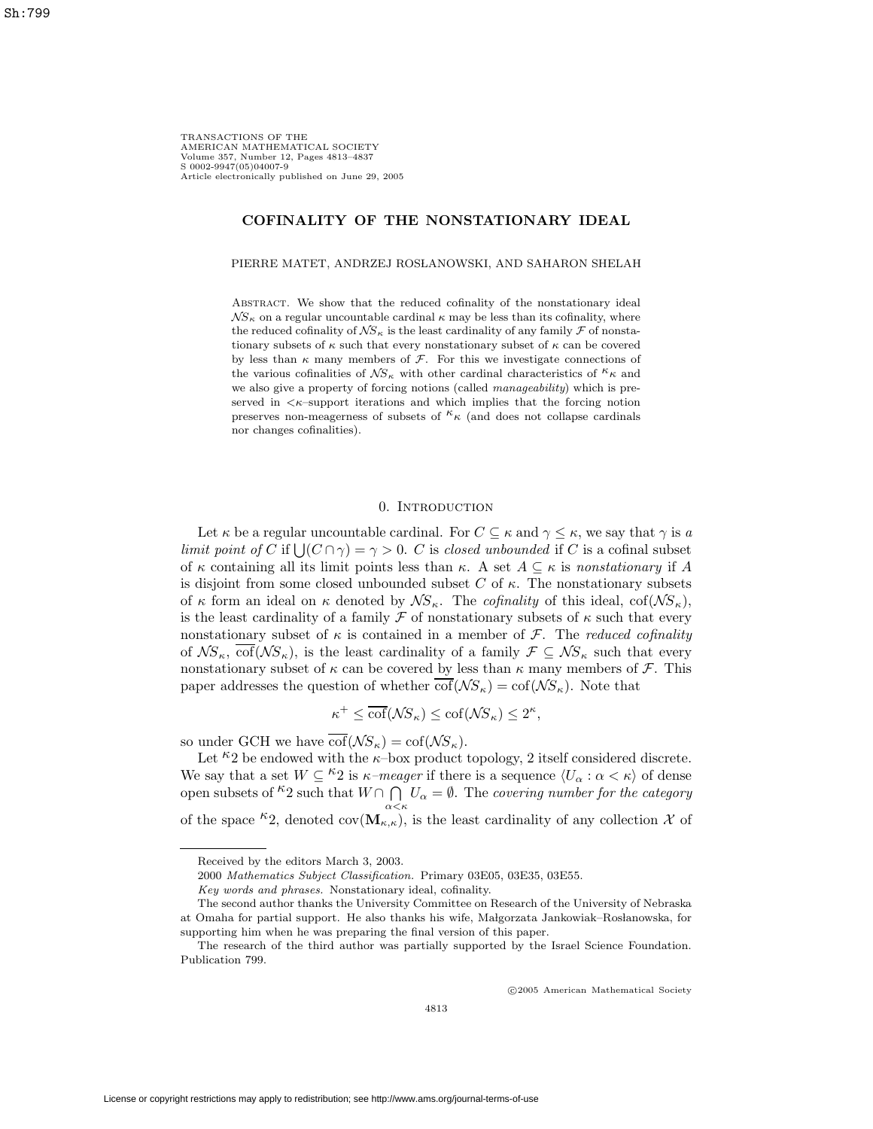TRANSACTIONS OF THE AMERICAN MATHEMATICAL SOCIETY Volume 357, Number 12, Pages 4813–4837 S 0002-9947(05)04007-9 Article electronically published on June 29, 2005

# **COFINALITY OF THE NONSTATIONARY IDEAL**

#### PIERRE MATET, ANDRZEJ ROSLANOWSKI, AND SAHARON SHELAH

ABSTRACT. We show that the reduced cofinality of the nonstationary ideal  $\mathcal{N}S_{\kappa}$  on a regular uncountable cardinal  $\kappa$  may be less than its cofinality, where the reduced cofinality of  $\mathcal{NS}_{\kappa}$  is the least cardinality of any family  $\mathcal F$  of nonstationary subsets of  $\kappa$  such that every nonstationary subset of  $\kappa$  can be covered by less than  $\kappa$  many members of  $\mathcal F$ . For this we investigate connections of the various cofinalities of  $\mathcal{NS}_{\kappa}$  with other cardinal characteristics of  $k_{\kappa}$  and we also give a property of forcing notions (called *manageability*) which is preserved in  $\lt \kappa$ -support iterations and which implies that the forcing notion preserves non-meagerness of subsets of  $k \kappa$  (and does not collapse cardinals nor changes cofinalities).

## 0. INTRODUCTION

Let  $\kappa$  be a regular uncountable cardinal. For  $C \subseteq \kappa$  and  $\gamma \leq \kappa$ , we say that  $\gamma$  is a limit point of C if  $\bigcup (C \cap \gamma) = \gamma > 0$ . C is closed unbounded if C is a cofinal subset of κ containing all its limit points less than κ. A set  $A \subseteq \kappa$  is nonstationary if A is disjoint from some closed unbounded subset C of  $\kappa$ . The nonstationary subsets of  $\kappa$  form an ideal on  $\kappa$  denoted by  $\mathcal{NS}_{\kappa}$ . The *cofinality* of this ideal, cof( $\mathcal{NS}_{\kappa}$ ), is the least cardinality of a family  $\mathcal F$  of nonstationary subsets of  $\kappa$  such that every nonstationary subset of  $\kappa$  is contained in a member of  $\mathcal{F}$ . The reduced cofinality of  $\mathcal{NS}_{\kappa}$ ,  $\overline{\text{cof}}(\mathcal{NS}_{\kappa})$ , is the least cardinality of a family  $\mathcal{F}\subseteq\mathcal{NS}_{\kappa}$  such that every nonstationary subset of  $\kappa$  can be covered by less than  $\kappa$  many members of  $\mathcal{F}$ . This paper addresses the question of whether  $\overline{\text{cof}}(\mathcal{N}S_{\kappa}) = \text{cof}(\mathcal{N}S_{\kappa})$ . Note that

$$
\kappa^+ \le \overline{\text{cof}}(\mathcal{N}S_{\kappa}) \le \text{cof}(\mathcal{N}S_{\kappa}) \le 2^{\kappa},
$$

so under GCH we have  $\overline{\text{cof}}(\mathcal{N}S_{\kappa}) = \text{cof}(\mathcal{N}S_{\kappa}).$ 

Let  $\kappa_2$  be endowed with the  $\kappa$ -box product topology, 2 itself considered discrete. We say that a set  $W \subseteq {}^{\kappa}2$  is  $\kappa$ -meager if there is a sequence  $\langle U_{\alpha} : \alpha < \kappa \rangle$  of dense open subsets of  $k^2$  such that  $W \cap \bigcap^{n} U_{\alpha} = \emptyset$ . The covering number for the category of the space <sup> $\kappa$ </sup>2, denoted cov( $\mathbf{M}_{\kappa,\kappa}$ ), is the least cardinality of any collection X of

c 2005 American Mathematical Society

Received by the editors March 3, 2003.

<sup>2000</sup> Mathematics Subject Classification. Primary 03E05, 03E35, 03E55.

Key words and phrases. Nonstationary ideal, cofinality.

The second author thanks the University Committee on Research of the University of Nebraska at Omaha for partial support. He also thanks his wife, Malgorzata Jankowiak–Roslanowska, for supporting him when he was preparing the final version of this paper.

The research of the third author was partially supported by the Israel Science Foundation. Publication 799.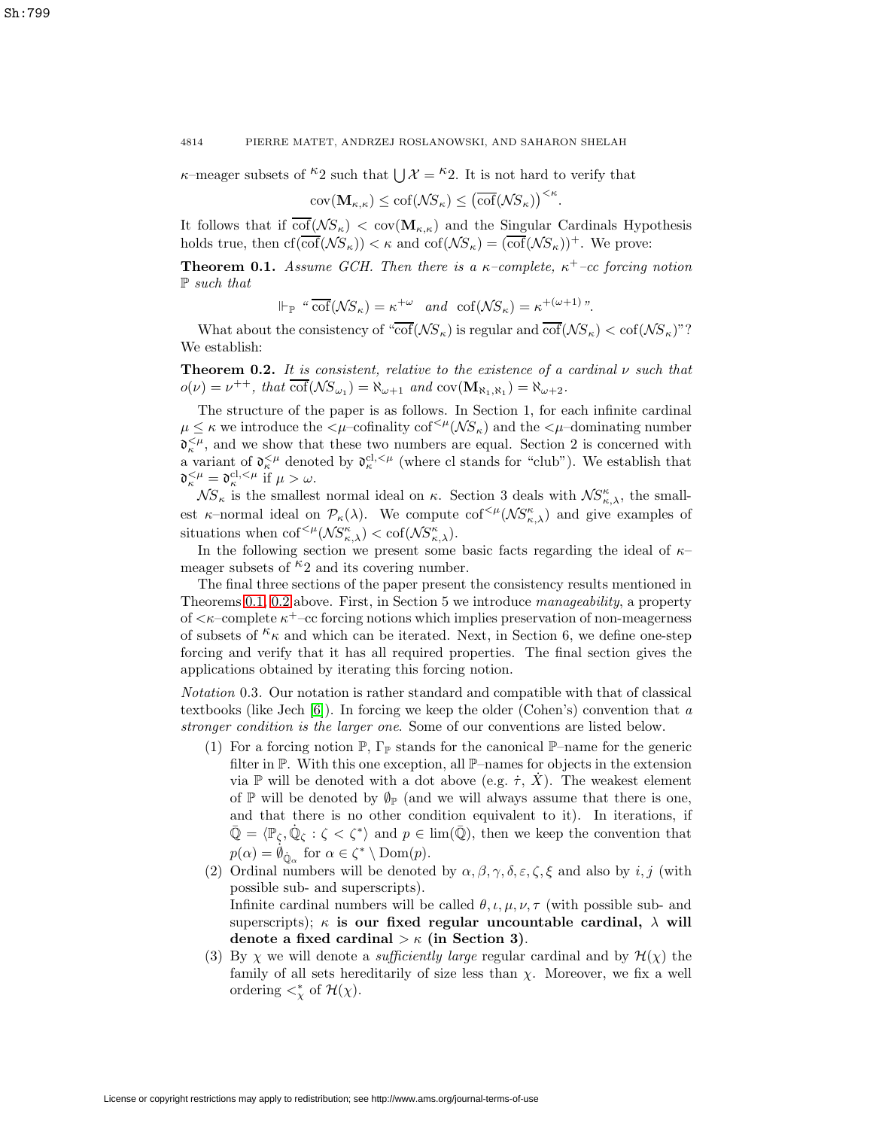$\kappa$ –meager subsets of <sup> $\kappa$ </sup>2 such that  $\chi$   $\mathcal{X} = \kappa$ <sup>2</sup>. It is not hard to verify that

$$
cov(\mathbf{M}_{\kappa,\kappa}) \leq cof(\mathcal{N}S_{\kappa}) \leq (\overline{cof}(\mathcal{N}S_{\kappa}))^{<\kappa}.
$$

<span id="page-1-0"></span>It follows that if  $\overline{\text{cof}}(\mathcal{NS}_{\kappa}) < \text{cov}(\mathbf{M}_{\kappa,\kappa})$  and the Singular Cardinals Hypothesis holds true, then  $cf(\overline{cof}(\mathcal{N}S_{\kappa})) < \kappa$  and  $cof(\mathcal{N}S_{\kappa})=(\overline{cof}(\mathcal{N}S_{\kappa}))^+$ . We prove:

**Theorem 0.1.** Assume GCH. Then there is a  $\kappa$ -complete,  $\kappa$ <sup>+</sup>-cc forcing notion P such that

$$
\Vdash_{\mathbb{P}} \text{``}\overline{\text{cof}}(\mathcal{N}S_{\kappa}) = \kappa^{+\omega} \quad \text{and} \quad \text{cof}(\mathcal{N}S_{\kappa}) = \kappa^{+(\omega+1)} \text{''}.
$$

<span id="page-1-1"></span>What about the consistency of " $\overline{\text{cof}}(\mathcal{N}S_{\kappa})$  is regular and  $\overline{\text{cof}}(\mathcal{N}S_{\kappa}) < \text{cof}(\mathcal{N}S_{\kappa})$ "? We establish:

**Theorem 0.2.** It is consistent, relative to the existence of a cardinal  $\nu$  such that  $o(\nu) = \nu^{++}$ , that  $\text{cof}(\mathcal{N}S_{\omega_1}) = \aleph_{\omega+1}$  and  $\text{cov}(\mathbf{M}_{\aleph_1,\aleph_1}) = \aleph_{\omega+2}$ .

The structure of the paper is as follows. In Section 1, for each infinite cardinal  $\mu \leq \kappa$  we introduce the  $\langle \mu$ -cofinality cof<sup> $\langle \mu(\mathcal{N}S_{\kappa})\rangle$  and the  $\langle \mu$ -dominating number</sup>  $\mathfrak{d}_{\kappa}^{\leq \mu}$ , and we show that these two numbers are equal. Section 2 is concerned with a variant of  $\mathfrak{d}_{\kappa}^{<\mu}$  denoted by  $\mathfrak{d}_{\kappa}^{cl,<\mu}$  (where cl stands for "club"). We establish that  $\mathfrak{d}_{\kappa}^{<\mu} = \mathfrak{d}_{\kappa}^{\text{cl},<\mu}$  if  $\mu > \omega$ .

 $\mathcal{NS}_{\kappa}$  is the smallest normal ideal on  $\kappa$ . Section 3 deals with  $\mathcal{NS}_{\kappa,\lambda}^{\kappa}$ , the smallest  $\kappa$ -normal ideal on  $\mathcal{P}_{\kappa}(\lambda)$ . We compute  $\text{cof}^{<\mu}(\mathcal{NS}_{\kappa,\lambda}^{\kappa})$  and give examples of situations when  $\mathrm{cof}^{<\mu}(\mathcal{NS}_{\kappa,\lambda}^{\kappa}) < \mathrm{cof}(\mathcal{NS}_{\kappa,\lambda}^{\kappa}).$ 

In the following section we present some basic facts regarding the ideal of  $\kappa$ – meager subsets of  $\kappa_2$  and its covering number.

The final three sections of the paper present the consistency results mentioned in Theorems [0.1,](#page-1-0) [0.2](#page-1-1) above. First, in Section 5 we introduce manageability, a property of  $\langle \kappa$ –complete  $\kappa^+$ –cc forcing notions which implies preservation of non-meagerness of subsets of  $\kappa_{\kappa}$  and which can be iterated. Next, in Section 6, we define one-step forcing and verify that it has all required properties. The final section gives the applications obtained by iterating this forcing notion.

<span id="page-1-2"></span>Notation 0.3. Our notation is rather standard and compatible with that of classical textbooks (like Jech  $[6]$ ). In forcing we keep the older (Cohen's) convention that a stronger condition is the larger one. Some of our conventions are listed below.

- (1) For a forcing notion  $\mathbb{P}, \Gamma_{\mathbb{P}}$  stands for the canonical  $\mathbb{P}-$ name for the generic filter in P. With this one exception, all P–names for objects in the extension via P will be denoted with a dot above (e.g.  $\dot{\tau}$ , X). The weakest element of P will be denoted by  $\mathcal{O}_P$  (and we will always assume that there is one, and that there is no other condition equivalent to it). In iterations, if  $\overline{\mathbb{Q}} = \langle \mathbb{P}_{\zeta}, \mathbb{Q}_{\zeta} : \zeta < \zeta^* \rangle$  and  $p \in \text{lim}(\overline{\mathbb{Q}})$ , then we keep the convention that  $p(\alpha) = \dot{\phi}_{\dot{\mathbb{Q}}_{\alpha}}$  for  $\alpha \in \zeta^* \setminus \text{Dom}(p)$ .
- (2) Ordinal numbers will be denoted by  $\alpha, \beta, \gamma, \delta, \varepsilon, \zeta, \xi$  and also by i, j (with possible sub- and superscripts). Infinite cardinal numbers will be called  $\theta$ ,  $\iota$ ,  $\mu$ ,  $\nu$ ,  $\tau$  (with possible sub- and superscripts);  $\kappa$  **is our fixed regular uncountable cardinal,**  $\lambda$  will **denote a fixed cardinal** > κ **(in Section 3)**.
- (3) By  $\chi$  we will denote a *sufficiently large* regular cardinal and by  $\mathcal{H}(\chi)$  the family of all sets hereditarily of size less than  $\chi$ . Moreover, we fix a well ordering  $\lt^*_\chi$  of  $\mathcal{H}(\chi)$ .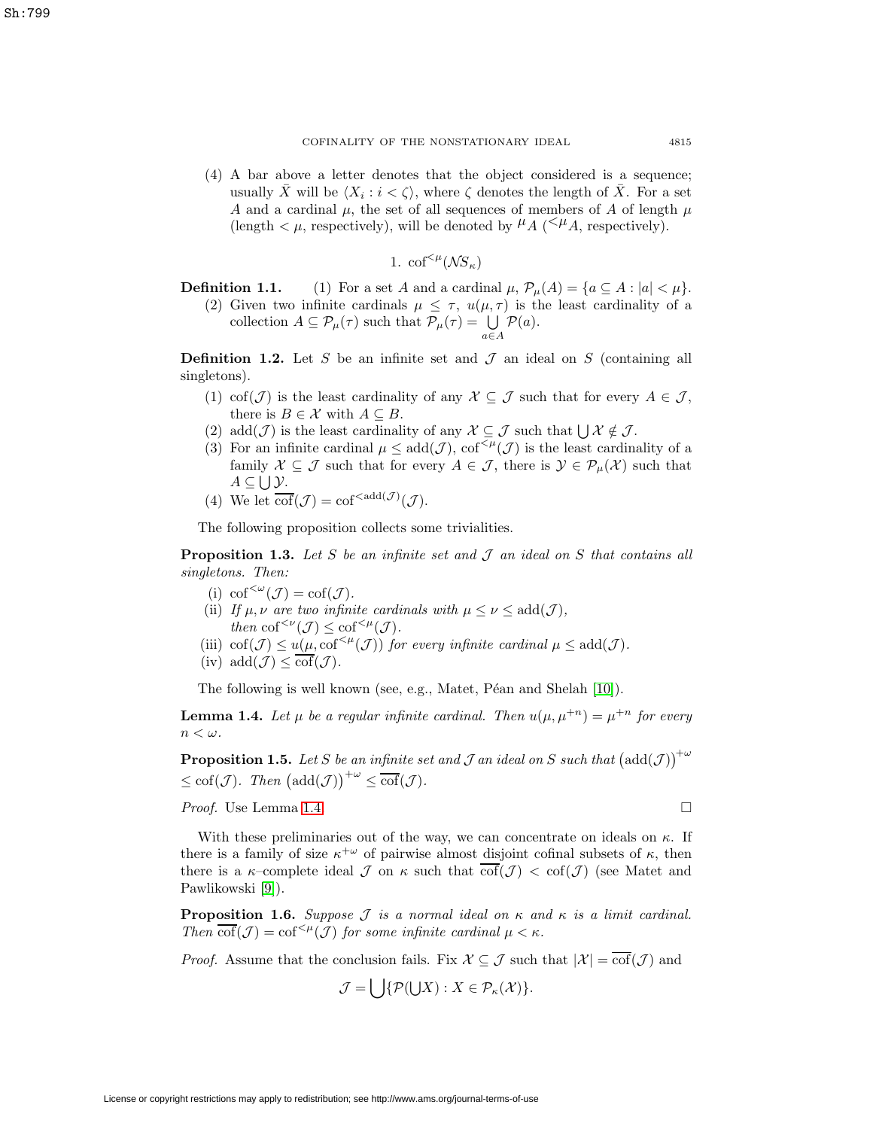Sh:799

(4) A bar above a letter denotes that the object considered is a sequence; usually X will be  $\langle X_i : i < \zeta \rangle$ , where  $\zeta$  denotes the length of X. For a set A and a cardinal  $\mu$ , the set of all sequences of members of A of length  $\mu$ (length  $\lt \mu$ , respectively), will be denoted by  $\mu_A \leq \mu_A$ , respectively).

1. 
$$
\mathrm{cof}^{<\mu}(\mathcal{N}S_{\kappa})
$$

**Definition 1.1.** (1) For a set A and a cardinal  $\mu$ ,  $\mathcal{P}_{\mu}(A) = \{a \subseteq A : |a| < \mu\}.$ 

(2) Given two infinite cardinals  $\mu \leq \tau$ ,  $u(\mu, \tau)$  is the least cardinality of a collection  $A \subseteq \mathcal{P}_{\mu}(\tau)$  such that  $\mathcal{P}_{\mu}(\tau) = \bigcup_{a \in A}$  $\mathcal{P}(a)$ .

**Definition 1.2.** Let S be an infinite set and  $\mathcal{J}$  an ideal on S (containing all singletons).

- (1) cof( $\mathcal{J}$ ) is the least cardinality of any  $\mathcal{X} \subseteq \mathcal{J}$  such that for every  $A \in \mathcal{J}$ , there is  $B \in \mathcal{X}$  with  $A \subseteq B$ .
- (2) add $(\mathcal{J})$  is the least cardinality of any  $\mathcal{X} \subseteq \mathcal{J}$  such that  $\bigcup \mathcal{X} \notin \mathcal{J}$ .
- (3) For an infinite cardinal  $\mu \leq \text{add}(\mathcal{J})$ ,  $\text{cof}^{<\mu}(\mathcal{J})$  is the least cardinality of a family  $\mathcal{X} \subseteq \mathcal{J}$  such that for every  $A \in \mathcal{J}$ , there is  $\mathcal{Y} \in \mathcal{P}_{\mu}(\mathcal{X})$  such that  $A \subseteq \bigcup \mathcal{Y}$ .
- (4) We let  $\overline{\text{cof}}(\mathcal{J}) = \text{cof}^{<\text{add}(\mathcal{J})}(\mathcal{J}).$

The following proposition collects some trivialities.

**Proposition 1.3.** Let S be an infinite set and  $\mathcal J$  an ideal on S that contains all singletons. Then:

- (i)  $\text{cof}^{<\omega}(\mathcal{J}) = \text{cof}(\mathcal{J}).$
- (ii) If  $\mu, \nu$  are two infinite cardinals with  $\mu \leq \nu \leq \text{add}(\mathcal{J}),$ then  $\mathrm{cof}^{<\nu}(\mathcal{J}) \leq \mathrm{cof}^{<\mu}(\mathcal{J}).$
- (iii)  $\text{cof}(\mathcal{J}) \leq u(\mu, \text{cof}^{<\mu}(\mathcal{J}))$  for every infinite cardinal  $\mu \leq \text{add}(\mathcal{J})$ .
- (iv)  $\text{add}(\mathcal{J}) \leq \overline{\text{cof}}(\mathcal{J}).$

The following is well known (see, e.g., Matet, Péan and Shelah [\[10\]](#page-23-1)).

<span id="page-2-0"></span>**Lemma 1.4.** Let  $\mu$  be a regular infinite cardinal. Then  $u(\mu, \mu^{+n}) = \mu^{+n}$  for every  $n<\omega$ .

**Proposition 1.5.** Let S be an infinite set and J an ideal on S such that  $(\text{add}(\mathcal{J}))^{\phi}$  $\leq \mathrm{cof}(\mathcal{J})$ . Then  $(\mathrm{add}(\mathcal{J}))^{+\omega} \leq \mathrm{\overline{cof}}(\mathcal{J})$ .

Proof. Use Lemma [1.4.](#page-2-0)

With these preliminaries out of the way, we can concentrate on ideals on  $\kappa$ . If there is a family of size  $\kappa^{+\omega}$  of pairwise almost disjoint cofinal subsets of  $\kappa$ , then there is a  $\kappa$ -complete ideal  $\mathcal J$  on  $\kappa$  such that  $\overline{\text{cof}}(\mathcal J) < \text{cof}(\mathcal J)$  (see Matet and Pawlikowski [\[9\]](#page-23-2)).

<span id="page-2-1"></span>**Proposition 1.6.** Suppose  $\mathcal J$  is a normal ideal on  $\kappa$  and  $\kappa$  is a limit cardinal. Then  $\overline{\text{cof}}(\mathcal{J}) = \text{cof}^{<\mu}(\mathcal{J})$  for some infinite cardinal  $\mu < \kappa$ .

*Proof.* Assume that the conclusion fails. Fix  $\mathcal{X} \subseteq \mathcal{J}$  such that  $|\mathcal{X}| = \overline{\text{cof}}(\mathcal{J})$  and

$$
\mathcal{J} = \bigcup \{ \mathcal{P}(\bigcup X) : X \in \mathcal{P}_{\kappa}(\mathcal{X}) \}.
$$

$$
\Box
$$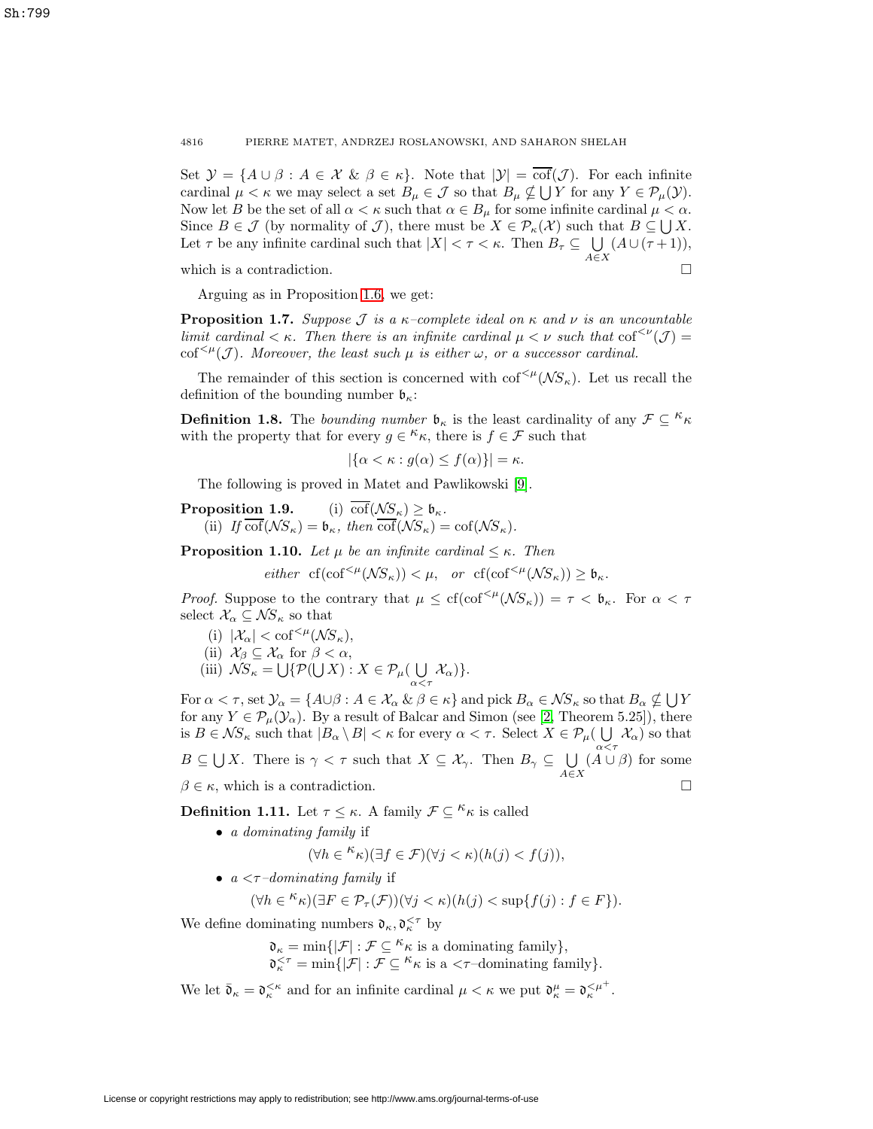Set  $\mathcal{Y} = \{A \cup \beta : A \in \mathcal{X} \& \beta \in \kappa\}.$  Note that  $|\mathcal{Y}| = \overline{\text{cof}}(\mathcal{J})$ . For each infinite cardinal  $\mu < \kappa$  we may select a set  $B_{\mu} \in \mathcal{J}$  so that  $B_{\mu} \notin \bigcup Y$  for any  $Y \in \mathcal{P}_{\mu}(\mathcal{Y})$ . Now let B be the set of all  $\alpha < \kappa$  such that  $\alpha \in B_\mu$  for some infinite cardinal  $\mu < \alpha$ . Since  $B \in \mathcal{J}$  (by normality of  $\mathcal{J}$ ), there must be  $X \in \mathcal{P}_{\kappa}(\mathcal{X})$  such that  $B \subseteq \bigcup X$ . Let  $\tau$  be any infinite cardinal such that  $|X| < \tau < \kappa$ . Then  $B_{\tau} \subseteq \bigcup_{A \in X}$  $(A \cup (\tau + 1)),$ 

which is a contradiction.  $\Box$ 

Arguing as in Proposition [1.6,](#page-2-1) we get:

<span id="page-3-0"></span>**Proposition 1.7.** Suppose J is a  $\kappa$ -complete ideal on  $\kappa$  and  $\nu$  is an uncountable limit cardinal  $\lt \kappa$ . Then there is an infinite cardinal  $\mu \lt \nu$  such that  $\text{cof}^{<\nu}(\mathcal{J}) =$  $\text{cof}^{<\mu}(\mathcal{J})$ . Moreover, the least such  $\mu$  is either  $\omega$ , or a successor cardinal.

The remainder of this section is concerned with  $\text{cof}^{<\mu}(\mathcal{NS}_{\kappa})$ . Let us recall the definition of the bounding number  $\mathfrak{b}_{\kappa}$ :

**Definition 1.8.** The bounding number  $\mathfrak{b}_{\kappa}$  is the least cardinality of any  $\mathcal{F} \subseteq \kappa_{\kappa}$ with the property that for every  $g \in \kappa_{\kappa}$ , there is  $f \in \mathcal{F}$  such that

$$
|\{\alpha < \kappa : g(\alpha) \le f(\alpha)\}| = \kappa.
$$

The following is proved in Matet and Pawlikowski [\[9\]](#page-23-2).

**Proposition 1.9.** (i)  $\overline{\text{cof}}(\mathcal{N}S_{\kappa}) \geq \mathfrak{b}_{\kappa}$ . (ii) If  $\overline{\text{cof}}(\mathcal{N}S_{\kappa}) = \mathfrak{b}_{\kappa}$ , then  $\overline{\text{cof}}(\mathcal{N}S_{\kappa}) = \text{cof}(\mathcal{N}S_{\kappa}).$ 

**Proposition 1.10.** Let  $\mu$  be an infinite cardinal  $\leq \kappa$ . Then

$$
either \ \ \text{cf}(\text{cof}^{<\mu}(\mathcal{N}S_{\kappa})) < \mu, \ \ \text{or} \ \ \text{cf}(\text{cof}^{<\mu}(\mathcal{N}S_{\kappa})) \geq \mathfrak{b}_{\kappa}.
$$

*Proof.* Suppose to the contrary that  $\mu \leq cf(\mathrm{cof}^{<\mu}(\mathcal{NS}_\kappa)) = \tau \lt \mathfrak{b}_\kappa$ . For  $\alpha \lt \tau$ select  $\mathcal{X}_{\alpha} \subseteq \mathcal{N}S_{\kappa}$  so that

- (i)  $|\mathcal{X}_\alpha| < \text{cof}^{<\mu}(\mathcal{N}S_\kappa),$
- (ii)  $\mathcal{X}_{\beta} \subseteq \mathcal{X}_{\alpha}$  for  $\beta < \alpha$ ,
- (iii)  $\mathcal{NS}_{\kappa} = \bigcup \{ \mathcal{P}(\bigcup X) : X \in \mathcal{P}_{\mu}(\bigcup_{\alpha < \tau} \mathcal{X}_{\alpha}) \}.$

For  $\alpha < \tau$ , set  $\mathcal{Y}_{\alpha} = \{ A \cup \beta : A \in \mathcal{X}_{\alpha} \& \beta \in \kappa \}$  and pick  $B_{\alpha} \in \mathcal{NS}_{\kappa}$  so that  $B_{\alpha} \nsubseteq \bigcup Y$ for any  $Y \in \mathcal{P}_{\mu}(\mathcal{Y}_{\alpha})$ . By a result of Balcar and Simon (see [\[2,](#page-23-3) Theorem 5.25]), there is  $B \in \mathcal{NS}_{\kappa}$  such that  $|B_{\alpha} \setminus B| < \kappa$  for every  $\alpha < \tau$ . Select  $X \in \mathcal{P}_{\mu}(\bigcup \mathcal{X}_{\alpha})$  so that  $B \subseteq \bigcup X$ . There is  $\gamma < \tau$  such that  $X \subseteq \mathcal{X}_{\gamma}$ . Then  $B_{\gamma} \subseteq \bigcup_{A \in X} (A \cup$  $(A \cup \beta)$  for some  $\beta \in \kappa$ , which is a contradiction.  $\Box$ 

**Definition 1.11.** Let  $\tau \leq \kappa$ . A family  $\mathcal{F} \subseteq \kappa$  is called

• a dominating family if

$$
(\forall h\in{}^{\textstyle \kappa}\kappa)(\exists f\in\mathcal{F})(\forall j<\kappa)(h(j)
$$

•  $a < \tau$ -dominating family if

$$
(\forall h \in \mathcal{K}_{\kappa})(\exists F \in \mathcal{P}_{\tau}(\mathcal{F}))(\forall j < \kappa)(h(j) < \sup\{f(j) : f \in F\}).
$$

We define dominating numbers  $\mathfrak{d}_{\kappa},\mathfrak{d}_{\kappa}^{<\tau}$  by

 $\mathfrak{d}_{\kappa} = \min\{|\mathcal{F}| : \mathcal{F} \subseteq \kappa_{\kappa} \text{ is a dominating family}\},\$  $\mathfrak{d}_{\kappa}^{\leq \tau} = \min \{|\mathcal{F}| : \mathcal{F} \subseteq \kappa_{\kappa} \text{ is a } \lt \tau\text{-dominating family}\}.$ 

We let  $\bar{\mathfrak{d}}_{\kappa} = \mathfrak{d}_{\kappa}^{\kappa}$  and for an infinite cardinal  $\mu < \kappa$  we put  $\mathfrak{d}_{\kappa}^{\mu} = \mathfrak{d}_{\kappa}^{\kappa}$ .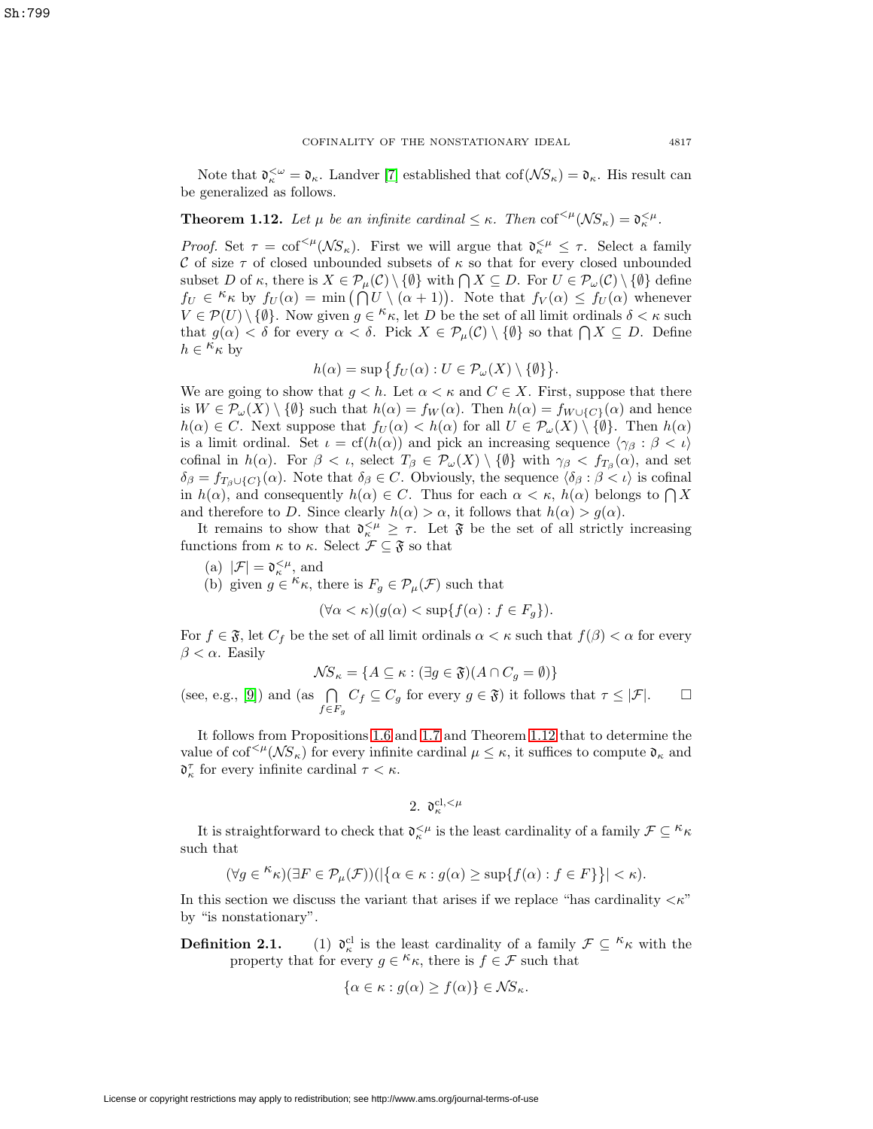<span id="page-4-0"></span>Note that  $\mathfrak{d}_{\kappa}^{\leq \omega} = \mathfrak{d}_{\kappa}$ . Landver [\[7\]](#page-23-4) established that  $\text{cof}(\mathcal{N}S_{\kappa}) = \mathfrak{d}_{\kappa}$ . His result can be generalized as follows.

**Theorem 1.12.** Let  $\mu$  be an infinite cardinal  $\leq \kappa$ . Then cof<sup> $\leq \mu$ </sup>( $\mathcal{NS}_{\kappa}$ ) =  $\mathfrak{d}_{\kappa}^{\leq \mu}$ .

Proof. Set  $\tau = \text{cof}^{<\mu}(\mathcal{N}S_{\kappa})$ . First we will argue that  $\mathfrak{d}_{\kappa}^{<\mu} \leq \tau$ . Select a family C of size  $\tau$  of closed unbounded subsets of  $\kappa$  so that for every closed unbounded subset D of  $\kappa$ , there is  $X \in \mathcal{P}_{\mu}(\mathcal{C}) \setminus \{ \emptyset \}$  with  $\bigcap X \subseteq D$ . For  $U \in \mathcal{P}_{\omega}(\mathcal{C}) \setminus \{ \emptyset \}$  define  $f_U \in \kappa_{\kappa}$  by  $f_U(\alpha) = \min(\bigcap_{\alpha=0}^{K} U \setminus (\alpha+1)).$  Note that  $f_V(\alpha) \leq f_U(\alpha)$  whenever  $V \in \mathcal{P}(U) \setminus \{ \emptyset \}.$  Now given  $g \in \kappa_{\kappa}$ , let D be the set of all limit ordinals  $\delta < \kappa$  such that  $g(\alpha) < \delta$  for every  $\alpha < \delta$ . Pick  $X \in \mathcal{P}_{\mu}(\mathcal{C}) \setminus \{\emptyset\}$  so that  $\bigcap X \subseteq D$ . Define  $h \in \kappa_{\kappa}$  by

$$
h(\alpha) = \sup \{ f_U(\alpha) : U \in \mathcal{P}_{\omega}(X) \setminus \{ \emptyset \} \}.
$$

We are going to show that  $g < h$ . Let  $\alpha < \kappa$  and  $C \in X$ . First, suppose that there is  $W \in \mathcal{P}_{\omega}(X) \setminus \{\emptyset\}$  such that  $h(\alpha) = f_W(\alpha)$ . Then  $h(\alpha) = f_{W \cup \{C\}}(\alpha)$  and hence  $h(\alpha) \in C$ . Next suppose that  $f_U(\alpha) < h(\alpha)$  for all  $U \in \mathcal{P}_\omega(X) \setminus \{\emptyset\}$ . Then  $h(\alpha)$ is a limit ordinal. Set  $\iota = cf(h(\alpha))$  and pick an increasing sequence  $\langle \gamma_\beta : \beta < \iota \rangle$ cofinal in  $h(\alpha)$ . For  $\beta < \iota$ , select  $T_{\beta} \in \mathcal{P}_{\omega}(X) \setminus \{\emptyset\}$  with  $\gamma_{\beta} < f_{T_{\beta}}(\alpha)$ , and set  $\delta_{\beta} = f_{T_{\beta} \cup \{C\}}(\alpha)$ . Note that  $\delta_{\beta} \in C$ . Obviously, the sequence  $\langle \delta_{\beta} : \beta \langle \iota \rangle$  is cofinal in  $h(\alpha)$ , and consequently  $h(\alpha) \in C$ . Thus for each  $\alpha < \kappa$ ,  $h(\alpha)$  belongs to  $\bigcap X$ and therefore to D. Since clearly  $h(\alpha) > \alpha$ , it follows that  $h(\alpha) > q(\alpha)$ .

It remains to show that  $\mathfrak{d}_{\kappa}^{<\mu} \geq \tau$ . Let  $\mathfrak{F}$  be the set of all strictly increasing functions from  $\kappa$  to  $\kappa$ . Select  $\mathcal{F} \subseteq \mathfrak{F}$  so that

(a)  $|\mathcal{F}| = \mathfrak{d}_\kappa^{<\mu},$  and

(b) given  $g \in \kappa_{\kappa}$ , there is  $F_g \in \mathcal{P}_{\mu}(\mathcal{F})$  such that

$$
(\forall \alpha < \kappa)(g(\alpha) < \sup\{f(\alpha) : f \in F_g\}).
$$

For  $f \in \mathfrak{F}$ , let  $C_f$  be the set of all limit ordinals  $\alpha < \kappa$  such that  $f(\beta) < \alpha$  for every  $\beta < \alpha$ . Easily

$$
\mathcal{N}S_{\kappa} = \{ A \subseteq \kappa : (\exists g \in \mathfrak{F})(A \cap C_g = \emptyset) \}
$$

(see, e.g., [\[9\]](#page-23-2)) and (as  $\bigcap$  $f\in F_g$  $C_f \subseteq C_g$  for every  $g \in \mathfrak{F}$ ) it follows that  $\tau \leq |\mathcal{F}|$ .  $\Box$  $\Box$ 

It follows from Propositions [1.6](#page-2-1) and [1.7](#page-3-0) and Theorem [1.12](#page-4-0) that to determine the value of  $\text{cof}^{<\mu}(\mathcal{NS}_{\kappa})$  for every infinite cardinal  $\mu \leq \kappa$ , it suffices to compute  $\mathfrak{d}_{\kappa}$  and  $\mathfrak{d}_{\kappa}^{\tau}$  for every infinite cardinal  $\tau < \kappa$ .

2. 
$$
\mathfrak{d}_{\kappa}^{\mathrm{cl},<\mu}
$$

It is straightforward to check that  $\mathfrak{d}_{\kappa}^{\leq \mu}$  is the least cardinality of a family  $\mathcal{F} \subseteq {}^{\kappa} \kappa$ such that

$$
(\forall g \in {}^{\kappa}\kappa)(\exists F \in \mathcal{P}_{\mu}(\mathcal{F}))(|\{\alpha \in \kappa : g(\alpha) \geq \sup\{f(\alpha) : f \in F\}\}| < \kappa).
$$

In this section we discuss the variant that arises if we replace "has cardinality  $\langle \kappa$ " by "is nonstationary".

**Definition 2.1.** (1)  $\mathfrak{d}_{\kappa}^{\text{cl}}$  is the least cardinality of a family  $\mathcal{F} \subseteq {}^{\kappa_{\kappa}}$  with the property that for every  $g \in \kappa_{\kappa}$ , there is  $f \in \mathcal{F}$  such that

$$
\{\alpha \in \kappa : g(\alpha) \ge f(\alpha)\} \in \mathcal{NS}_{\kappa}.
$$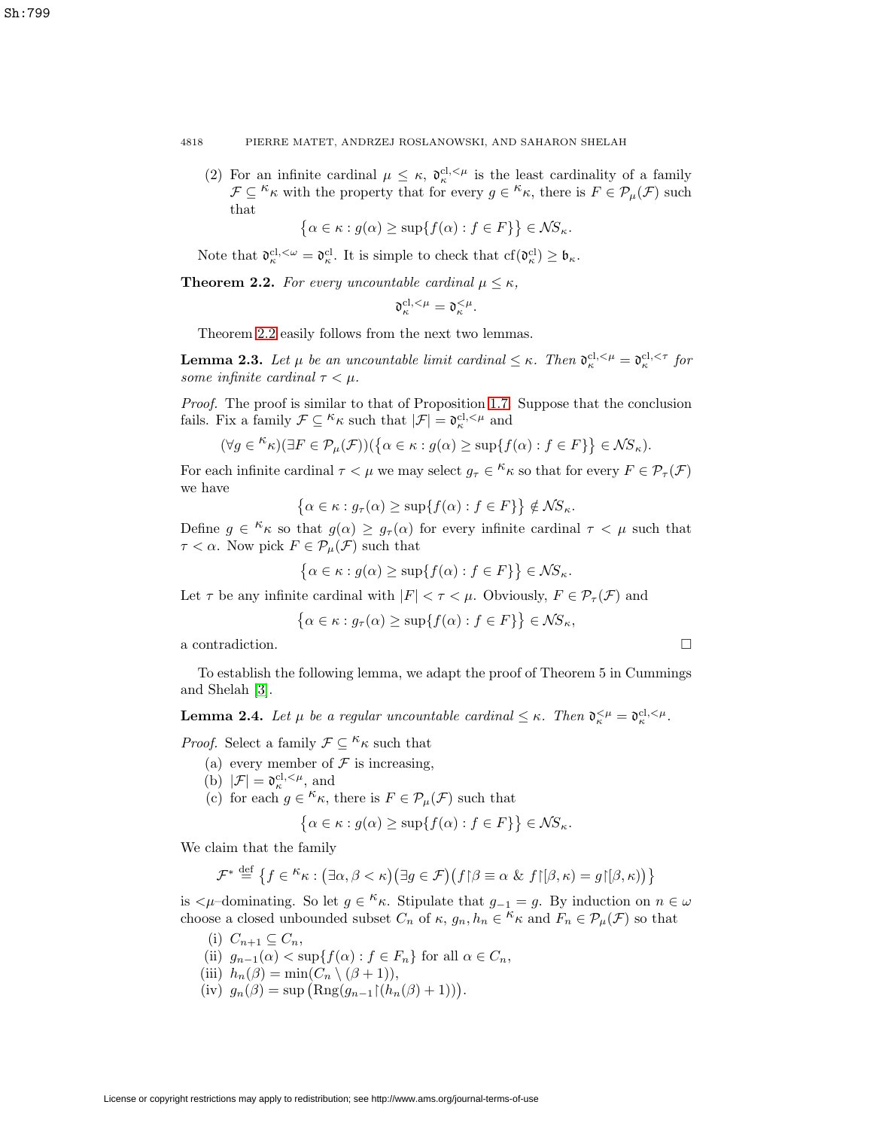(2) For an infinite cardinal  $\mu \leq \kappa$ ,  $\mathfrak{d}_{\kappa}^{\text{cl},\leq \mu}$  is the least cardinality of a family  $\mathcal{F} \subseteq \kappa_K$  with the property that for every  $g \in \kappa_K$ , there is  $F \in \mathcal{P}_\mu(\mathcal{F})$  such that

$$
\{\alpha \in \kappa : g(\alpha) \ge \sup\{f(\alpha) : f \in F\}\}\in \mathcal{NS}_{\kappa}.
$$

Note that  $\mathfrak{d}_{\kappa}^{\text{cl},\leq\omega}=\mathfrak{d}_{\kappa}^{\text{cl}}$ . It is simple to check that  $cf(\mathfrak{d}_{\kappa}^{\text{cl}})\geq\mathfrak{b}_{\kappa}$ .

<span id="page-5-0"></span>**Theorem 2.2.** For every uncountable cardinal  $\mu \leq \kappa$ ,

$$
\mathfrak{d}_{\kappa}^{\mathrm{cl},<\mu}=\mathfrak{d}_{\kappa}^{<\mu}.
$$

Theorem [2.2](#page-5-0) easily follows from the next two lemmas.

**Lemma 2.3.** Let  $\mu$  be an uncountable limit cardinal  $\leq \kappa$ . Then  $\mathfrak{d}_{\kappa}^{\text{cl},\lt\mu} = \mathfrak{d}_{\kappa}^{\text{cl},\lt\tau}$  for some infinite cardinal  $\tau < \mu$ .

Proof. The proof is similar to that of Proposition [1.7.](#page-3-0) Suppose that the conclusion fails. Fix a family  $\mathcal{F} \subseteq \kappa_{\kappa}$  such that  $|\mathcal{F}| = \mathfrak{d}_{\kappa}^{\text{cl}, \leq \mu}$  and

$$
(\forall g \in {}^{\mathcal{K}} \kappa)(\exists F \in \mathcal{P}_{\mu}(\mathcal{F}))(\{\alpha \in \kappa : g(\alpha) \geq \sup\{f(\alpha) : f \in F\}\} \in \mathcal{N}S_{\kappa}).
$$

For each infinite cardinal  $\tau < \mu$  we may select  $g_{\tau} \in \kappa_{\kappa}$  so that for every  $F \in \mathcal{P}_{\tau}(\mathcal{F})$ we have

$$
\left\{\alpha \in \kappa : g_{\tau}(\alpha) \ge \sup\{f(\alpha) : f \in F\}\right\} \notin \mathcal{NS}_{\kappa}.
$$

Define  $g \in \kappa_{\kappa}$  so that  $g(\alpha) \geq g_{\tau}(\alpha)$  for every infinite cardinal  $\tau < \mu$  such that  $\tau < \alpha$ . Now pick  $F \in \mathcal{P}_{\mu}(\mathcal{F})$  such that

$$
\{\alpha \in \kappa : g(\alpha) \ge \sup\{f(\alpha) : f \in F\}\}\in \mathcal{NS}_{\kappa}.
$$

Let  $\tau$  be any infinite cardinal with  $|F| < \tau < \mu$ . Obviously,  $F \in \mathcal{P}_{\tau}(\mathcal{F})$  and

$$
\left\{\alpha \in \kappa : g_{\tau}(\alpha) \ge \sup\{f(\alpha) : f \in F\}\right\} \in \mathcal{NS}_{\kappa},
$$

a contradiction.  $\Box$ 

To establish the following lemma, we adapt the proof of Theorem 5 in Cummings and Shelah [\[3\]](#page-23-5).

**Lemma 2.4.** Let  $\mu$  be a regular uncountable cardinal  $\leq \kappa$ . Then  $\mathfrak{d}_{\kappa}^{\leq \mu} = \mathfrak{d}_{\kappa}^{\text{cl},\leq \mu}$ .

*Proof.* Select a family  $\mathcal{F} \subseteq \kappa_{\kappa}$  such that

- (a) every member of  $\mathcal F$  is increasing,
- (b)  $|\mathcal{F}| = \mathfrak{d}_{\kappa}^{\text{cl}, \leq \mu}$ , and
- (c) for each  $g \in \kappa_{\kappa}$ , there is  $F \in \mathcal{P}_{\mu}(\mathcal{F})$  such that

$$
\{\alpha \in \kappa : g(\alpha) \ge \sup\{f(\alpha) : f \in F\}\}\in \mathcal{NS}_{\kappa}.
$$

We claim that the family

$$
\mathcal{F}^* \stackrel{\text{def}}{=} \left\{ f \in \mathcal{K} \kappa : (\exists \alpha, \beta < \kappa) (\exists g \in \mathcal{F}) (f \upharpoonright \beta \equiv \alpha \& f \upharpoonright [\beta, \kappa) = g \upharpoonright [\beta, \kappa)) \right\}
$$

is  $\lt \mu$ –dominating. So let  $g \in \kappa$ . Stipulate that  $g_{-1} = g$ . By induction on  $n \in \omega$ choose a closed unbounded subset  $C_n$  of  $\kappa$ ,  $g_n, h_n \in \kappa$  and  $F_n \in \mathcal{P}_\mu(\mathcal{F})$  so that

- (i)  $C_{n+1} \subseteq C_n$ , (ii)  $g_{n-1}(\alpha) < \sup\{f(\alpha) : f \in F_n\}$  for all  $\alpha \in C_n$ , (iii)  $h_n(\beta) = \min(C_n \setminus (\beta + 1)),$ (iv)  $g_n(\beta) = \sup \left( \text{Rng}(g_{n-1} \upharpoonright (h_n(\beta) + 1)) \right).$
- License or copyright restrictions may apply to redistribution; see http://www.ams.org/journal-terms-of-use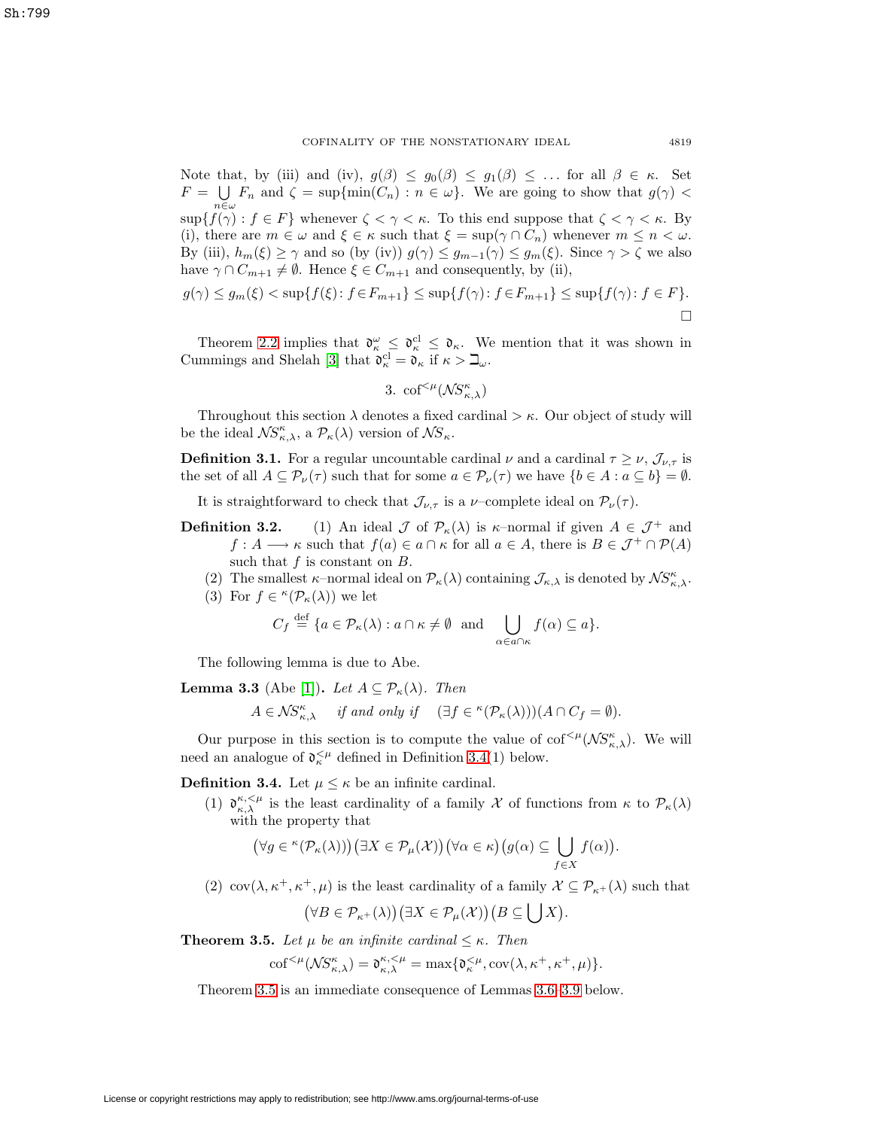Note that, by (iii) and (iv),  $g(\beta) \leq g_0(\beta) \leq g_1(\beta) \leq \ldots$  for all  $\beta \in \kappa$ . Set  $F = \bigcup F_n$  and  $\zeta = \sup\{\min(C_n) : n \in \omega\}$ . We are going to show that  $g(\gamma)$  $\sup_{n\in\omega}$  sup  $\{f(\gamma): f\in F\}$  whenever  $\zeta \leq \gamma \leq \kappa$ . To this end suppose that  $\zeta \leq \gamma \leq \kappa$ . By (i), there are  $m \in \omega$  and  $\xi \in \kappa$  such that  $\xi = \sup(\gamma \cap C_n)$  whenever  $m \leq n < \omega$ . By (iii),  $h_m(\xi) \ge \gamma$  and so (by (iv))  $g(\gamma) \le g_{m-1}(\gamma) \le g_m(\xi)$ . Since  $\gamma > \zeta$  we also have  $\gamma \cap C_{m+1} \neq \emptyset$ . Hence  $\xi \in C_{m+1}$  and consequently, by (ii),

$$
g(\gamma) \le g_m(\xi) < \sup\{f(\xi) : f \in F_{m+1}\} \le \sup\{f(\gamma) : f \in F_{m+1}\} \le \sup\{f(\gamma) : f \in F\}.
$$

Theorem [2.2](#page-5-0) implies that  $\mathfrak{d}_{\kappa}^{\omega} \leq \mathfrak{d}_{\kappa}^{\mathfrak{cl}} \leq \mathfrak{d}_{\kappa}$ . We mention that it was shown in Cummings and Shelah [\[3\]](#page-23-5) that  $\mathfrak{d}_{\kappa}^{\text{cl}} = \mathfrak{d}_{\kappa}$  if  $\kappa > \mathfrak{Q}_{\omega}$ .

3. 
$$
\mathrm{cof}^{<\mu}(\mathcal{NS}_{\kappa,\lambda}^{\kappa})
$$

Throughout this section  $\lambda$  denotes a fixed cardinal  $>\kappa$ . Our object of study will be the ideal  $\mathcal{NS}_{\kappa,\lambda}^{\kappa}$ , a  $\mathcal{P}_{\kappa}(\lambda)$  version of  $\mathcal{NS}_{\kappa}$ .

**Definition 3.1.** For a regular uncountable cardinal  $\nu$  and a cardinal  $\tau \geq \nu$ ,  $\mathcal{J}_{\nu,\tau}$  is the set of all  $A \subseteq \mathcal{P}_{\nu}(\tau)$  such that for some  $a \in \mathcal{P}_{\nu}(\tau)$  we have  $\{b \in A : a \subseteq b\} = \emptyset$ .

It is straightforward to check that  $\mathcal{J}_{\nu,\tau}$  is a  $\nu$ -complete ideal on  $\mathcal{P}_{\nu}(\tau)$ .

- **Definition 3.2.** (1) An ideal  $\mathcal{J}$  of  $\mathcal{P}_{\kappa}(\lambda)$  is  $\kappa$ -normal if given  $A \in \mathcal{J}^+$  and  $f: A \longrightarrow \kappa$  such that  $f(a) \in a \cap \kappa$  for all  $a \in A$ , there is  $B \in \mathcal{J}^+ \cap \mathcal{P}(A)$ such that  $f$  is constant on  $B$ .
	- (2) The smallest  $\kappa$ -normal ideal on  $\mathcal{P}_{\kappa}(\lambda)$  containing  $\mathcal{J}_{\kappa,\lambda}$  is denoted by  $\mathcal{NS}_{\kappa,\lambda}^{\kappa}$ .
	- (3) For  $f \in \kappa(\mathcal{P}_\kappa(\lambda))$  we let

$$
C_f \stackrel{\text{def}}{=} \{ a \in \mathcal{P}_\kappa(\lambda) : a \cap \kappa \neq \emptyset \text{ and } \bigcup_{\alpha \in a \cap \kappa} f(\alpha) \subseteq a \}.
$$

The following lemma is due to Abe.

<span id="page-6-3"></span>**Lemma 3.3** (Abe [1]). Let 
$$
A \subseteq \mathcal{P}_{\kappa}(\lambda)
$$
. Then  
\n
$$
A \in \mathcal{NS}_{\kappa,\lambda}^{\kappa} \quad \text{if and only if} \quad (\exists f \in {^{\kappa}(\mathcal{P}_{\kappa}(\lambda))})(A \cap C_f = \emptyset).
$$

Our purpose in this section is to compute the value of  $\mathrm{cof}^{<\mu}(\mathcal{NS}_{\kappa,\lambda}^{\kappa})$ . We will need an analogue of  $\mathfrak{d}_{\kappa}^{\leq \mu}$  defined in Definition [3.4\(](#page-6-0)1) below.

<span id="page-6-0"></span>**Definition 3.4.** Let  $\mu \leq \kappa$  be an infinite cardinal.

(1)  $\mathfrak{d}_{\kappa,\lambda}^{\kappa,<\mu}$  is the least cardinality of a family X of functions from  $\kappa$  to  $\mathcal{P}_{\kappa}(\lambda)$ with the property that

$$
(\forall g \in {}^{\kappa}(\mathcal{P}_{\kappa}(\lambda))) (\exists X \in \mathcal{P}_{\mu}(\mathcal{X})) (\forall \alpha \in \kappa) (g(\alpha) \subseteq \bigcup_{f \in X} f(\alpha)).
$$

(2) cov $(\lambda, \kappa^+, \kappa^+, \mu)$  is the least cardinality of a family  $\mathcal{X} \subseteq \mathcal{P}_{\kappa^+}(\lambda)$  such that

$$
(\forall B\in\mathcal{P}_{\kappa^+}(\lambda))(\exists X\in\mathcal{P}_{\mu}(\mathcal{X}))\big(B\subseteq\bigcup X\big).
$$

<span id="page-6-2"></span><span id="page-6-1"></span>**Theorem 3.5.** Let  $\mu$  be an infinite cardinal  $\leq \kappa$ . Then

$$
\mathrm{cof}^{<\mu}(\mathcal{NS}_{\kappa,\lambda}^{\kappa})=\mathfrak{d}_{\kappa,\lambda}^{\kappa,<\mu}=\max\{\mathfrak{d}_{\kappa}^{<\mu},\mathrm{cov}(\lambda,\kappa^+,\kappa^+,\mu)\}.
$$

Theorem [3.5](#page-6-1) is an immediate consequence of Lemmas [3.6](#page-6-2)[–3.9](#page-7-0) below.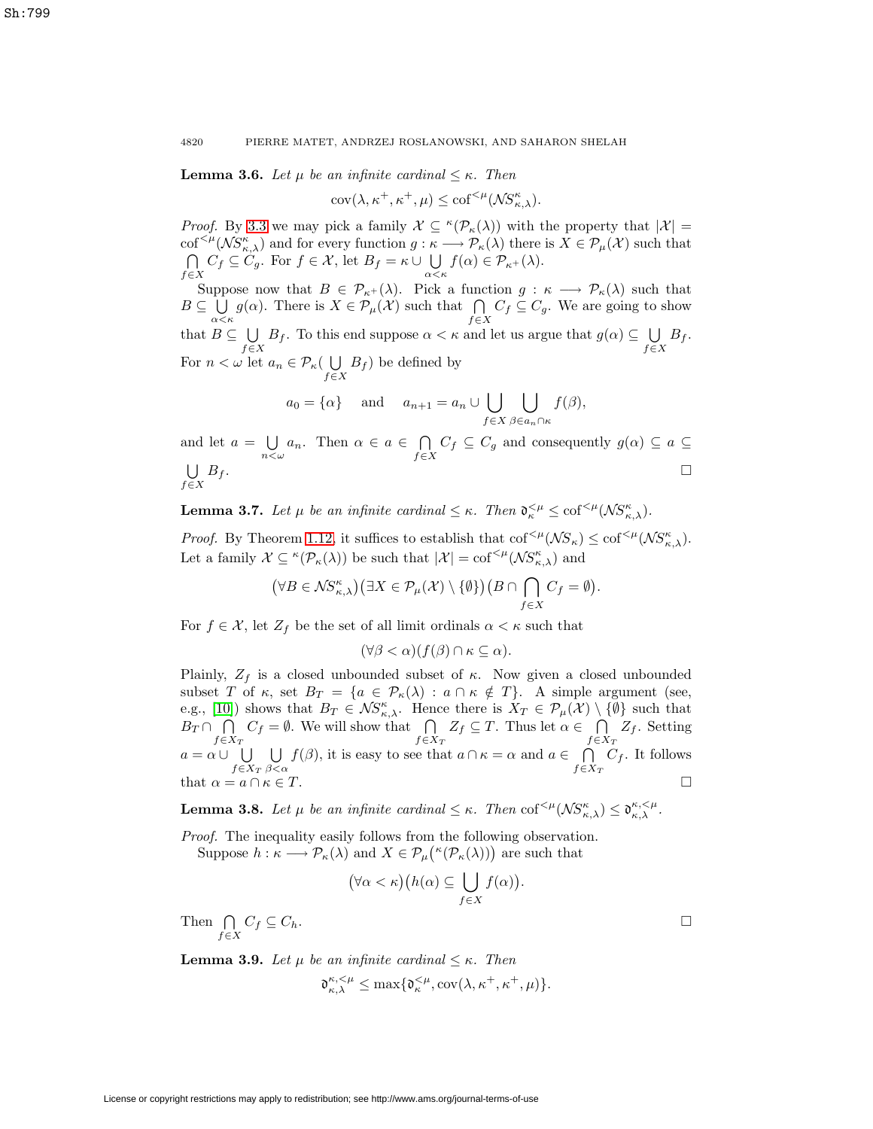**Lemma 3.6.** Let  $\mu$  be an infinite cardinal  $\leq \kappa$ . Then

 $\text{cov}(\lambda, \kappa^+, \kappa^+, \mu) \leq \text{cof}^{<\mu}(\mathcal{NS}_{\kappa,\lambda}^{\kappa}).$ 

*Proof.* By [3.3](#page-6-3) we may pick a family  $\mathcal{X} \subseteq \kappa(\mathcal{P}_{\kappa}(\lambda))$  with the property that  $|\mathcal{X}| =$  $\text{cof}^{<\mu}(\mathcal{NS}_{\kappa,\lambda}^{\kappa})$  and for every function  $g: \kappa \longrightarrow \mathcal{P}_{\kappa}(\lambda)$  there is  $X \in \mathcal{P}_{\mu}(\mathcal{X})$  such that ∩  $\bigcap_{f\in X} C_f \subseteq C_g$ . For  $f \in \mathcal{X}$ , let  $B_f = \kappa \cup \bigcup_{\alpha \leq \kappa} f(\alpha) \in \mathcal{P}_{\kappa^+}(\lambda)$ .

Suppose now that  $B \in \mathcal{P}_{\kappa^+}(\lambda)$ . Pick a function  $g : \kappa \longrightarrow \mathcal{P}_{\kappa}(\lambda)$  such that  $B \subseteq \bigcup_{\alpha < \kappa} g(\alpha)$ . There is  $X \in \mathcal{P}_{\mu}(\mathcal{X})$  such that  $\bigcap_{f \in \mathcal{F}}$  $\bigcap_{f\in X} C_f \subseteq C_g$ . We are going to show that  $B \subseteq \bigcup$  $\bigcup_{f\in X} B_f$ . To this end suppose  $\alpha < \kappa$  and let us argue that  $g(\alpha) \subseteq \bigcup_{f\in X} B_f$ . For  $n < \omega$  let  $a_n \in \mathcal{P}_{\kappa}(\bigcup_{f \in X} B_f)$  be defined by

$$
a_0 = {\alpha}
$$
 and  $a_{n+1} = a_n \cup \bigcup_{f \in X} \bigcup_{\beta \in a_n \cap \kappa} f(\beta),$ 

and let  $a = \bigcup_{n < \omega} a_n$ . Then  $\alpha \in a \in \bigcap_{f \in \mathcal{F}}$  $\bigcap_{f\in X} C_f \subseteq C_g$  and consequently  $g(\alpha) \subseteq a \subseteq$ U  $f \in X$  $B_f$ .

**Lemma 3.7.** Let  $\mu$  be an infinite cardinal  $\leq \kappa$ . Then  $\mathfrak{d}_{\kappa}^{<\mu} \leq \text{cof}^{<\mu}(\mathcal{NS}_{\kappa,\lambda}^{\kappa})$ .

*Proof.* By Theorem [1.12,](#page-4-0) it suffices to establish that  $\text{cof}^{<\mu}(\mathcal{NS}_{\kappa}) \leq \text{cof}^{<\mu}(\mathcal{NS}_{\kappa,\lambda})$ . Let a family  $\mathcal{X} \subseteq \kappa(\mathcal{P}_\kappa(\lambda))$  be such that  $|\mathcal{X}| = \text{cof}^{<\mu}(\mathcal{NS}_{\kappa,\lambda}^{\kappa})$  and

$$
(\forall B\in \mathcal{NS}_{\kappa,\lambda}^{\kappa})\left(\exists X\in \mathcal{P}_{\mu}(\mathcal{X})\setminus\{\emptyset\}\right)(B\cap\bigcap_{f\in X}C_f=\emptyset).
$$

For  $f \in \mathcal{X}$ , let  $Z_f$  be the set of all limit ordinals  $\alpha < \kappa$  such that

 $(\forall \beta < \alpha)(f(\beta) \cap \kappa \subseteq \alpha).$ 

Plainly,  $Z_f$  is a closed unbounded subset of  $\kappa$ . Now given a closed unbounded subset T of  $\kappa$ , set  $B_T = \{a \in \mathcal{P}_{\kappa}(\lambda) : a \cap \kappa \notin T\}$ . A simple argument (see, e.g., [\[10\]](#page-23-1)) shows that  $B_T \in \mathcal{NS}_{\kappa,\lambda}^{\kappa}$ . Hence there is  $X_T \in \mathcal{P}_{\mu}(\mathcal{X}) \setminus \{\emptyset\}$  such that  $B_T \cap \ \ \bigcap$  $f \in X_T$  $C_f = \emptyset$ . We will show that  $\bigcap$  $f \in X_T$  $Z_f \subseteq T$ . Thus let  $\alpha \in \bigcap$  $f \in X_T$  $Z_f$ . Setting  $a = \alpha \cup \bigcup$  $f \in X_T$ U  $\beta<\alpha$  $f(\beta)$ , it is easy to see that  $a \cap \kappa = \alpha$  and  $a \in \bigcap$  $f \in X_T$  $C_f$ . It follows that  $\alpha = a \cap \kappa \in T$ .  $\Box$ 

**Lemma 3.8.** Let  $\mu$  be an infinite cardinal  $\leq \kappa$ . Then  $\text{cof}^{<\mu}(\mathcal{NS}_{\kappa,\lambda}^{\kappa}) \leq \mathfrak{d}_{\kappa,\lambda}^{\kappa,<\mu}$ .

Proof. The inequality easily follows from the following observation. Suppose  $h : \kappa \longrightarrow \mathcal{P}_{\kappa}(\lambda)$  and  $X \in \mathcal{P}_{\mu}(\kappa(\mathcal{P}_{\kappa}(\lambda)))$  are such that

$$
(\forall \alpha < \kappa)(h(\alpha) \subseteq \bigcup_{f \in X} f(\alpha)).
$$

Then  $\bigcap$  $\bigcap_{f\in X} C_f \subseteq C_h.$ 

<span id="page-7-0"></span>**Lemma 3.9.** Let  $\mu$  be an infinite cardinal  $\leq \kappa$ . Then

$$
\mathfrak{d}^{\kappa,<\mu}_{\kappa,\lambda}\leq \max\{\mathfrak{d}^{<\mu}_{\kappa}, \mathrm{cov}(\lambda,\kappa^+,\kappa^+,\mu)\}.
$$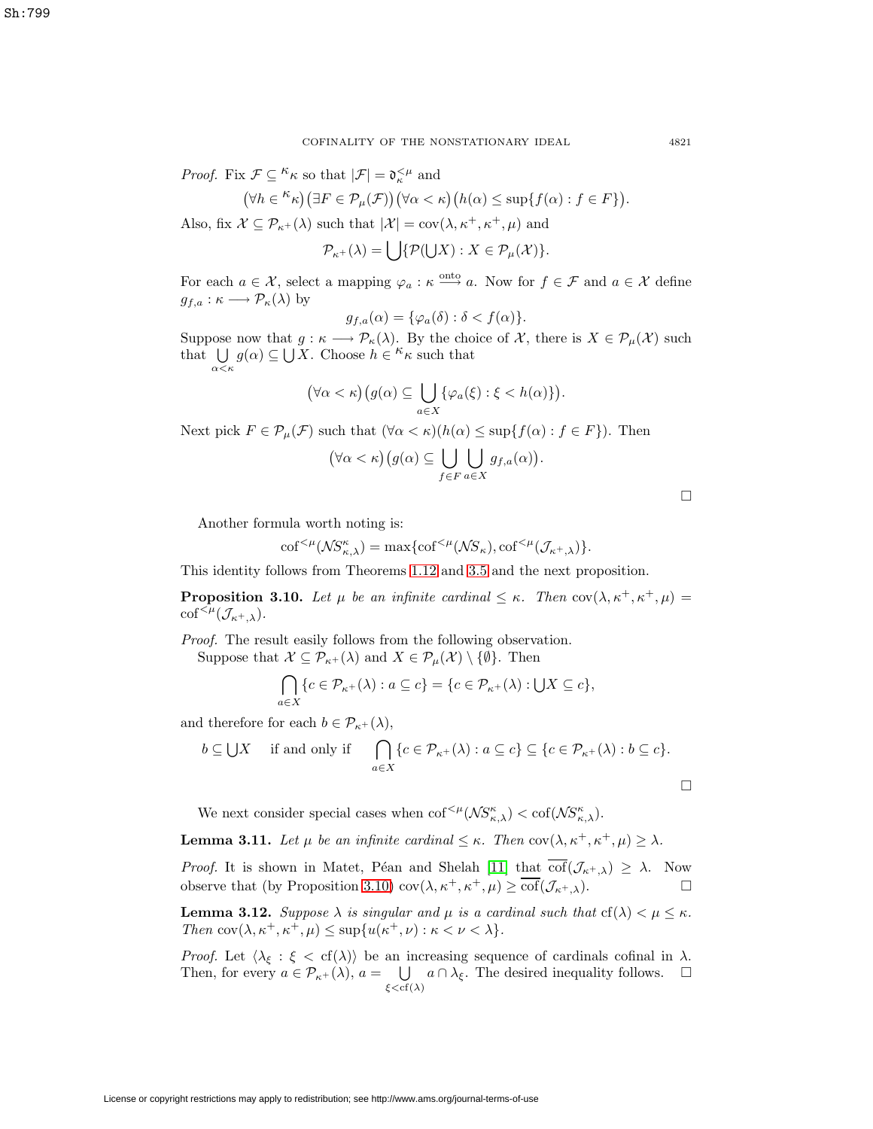*Proof.* Fix  $\mathcal{F} \subseteq {}^{\kappa} \kappa$  so that  $|\mathcal{F}| = \mathfrak{d}_{\kappa}^{\leq \mu}$  and

$$
(\forall h \in {}^{\kappa}\kappa) (\exists F \in \mathcal{P}_{\mu}(\mathcal{F})) (\forall \alpha < \kappa) (h(\alpha) \leq \sup\{f(\alpha) : f \in F\}).
$$

Also, fix  $\mathcal{X} \subseteq \mathcal{P}_{\kappa+}(\lambda)$  such that  $|\mathcal{X}| = \text{cov}(\lambda, \kappa^+, \kappa^+, \mu)$  and

 $\mathcal{P}_{\kappa^+}(\lambda) = \bigcup \{ \mathcal{P}(\bigcup X) : X \in \mathcal{P}_{\mu}(\mathcal{X}) \}.$ 

For each  $a \in \mathcal{X}$ , select a mapping  $\varphi_a : \kappa \stackrel{\text{onto}}{\longrightarrow} a$ . Now for  $f \in \mathcal{F}$  and  $a \in \mathcal{X}$  define  $g_{f,a} : \kappa \longrightarrow \mathcal{P}_{\kappa}(\lambda)$  by

$$
g_{f,a}(\alpha) = \{\varphi_a(\delta) : \delta < f(\alpha)\}.
$$

Suppose now that  $g : \kappa \longrightarrow \mathcal{P}_{\kappa}(\lambda)$ . By the choice of X, there is  $X \in \mathcal{P}_{\mu}(\mathcal{X})$  such that  $\bigcup g(\alpha) \subseteq \bigcup X$ . Choose  $h \in K_{\kappa}$  such that  $α<\kappa$ 

$$
(\forall \alpha < \kappa)(g(\alpha) \subseteq \bigcup_{a \in X} \{\varphi_a(\xi) : \xi < h(\alpha)\}).
$$

Next pick  $F \in \mathcal{P}_{\mu}(\mathcal{F})$  such that  $(\forall \alpha < \kappa)(h(\alpha) \leq \sup\{f(\alpha) : f \in F\})$ . Then

$$
(\forall \alpha < \kappa) \big(g(\alpha) \subseteq \bigcup_{f \in F} \bigcup_{a \in X} g_{f,a}(\alpha)\big).
$$

Another formula worth noting is:

$$
\mathrm{cof}^{<\mu}(\mathcal{NS}_{\kappa,\lambda}^{\kappa}) = \max\{\mathrm{cof}^{<\mu}(\mathcal{NS}_{\kappa}), \mathrm{cof}^{<\mu}(\mathcal{J}_{\kappa^{+},\lambda})\}.
$$

<span id="page-8-0"></span>This identity follows from Theorems [1.12](#page-4-0) and [3.5](#page-6-1) and the next proposition.

**Proposition 3.10.** Let  $\mu$  be an infinite cardinal  $\leq \kappa$ . Then cov $(\lambda, \kappa^+, \kappa^+, \mu)$  $\mathrm{cof}^{<\mu}(\mathcal{J}_{\kappa^+,\lambda}).$ 

Proof. The result easily follows from the following observation. Suppose that  $\mathcal{X} \subseteq \mathcal{P}_{\kappa+}(\lambda)$  and  $X \in \mathcal{P}_{\mu}(\mathcal{X}) \setminus \{\emptyset\}$ . Then

$$
\bigcap_{a\in X} \{c \in \mathcal{P}_{\kappa+}(\lambda) : a \subseteq c\} = \{c \in \mathcal{P}_{\kappa+}(\lambda) : \bigcup X \subseteq c\},\
$$

and therefore for each  $b \in \mathcal{P}_{\kappa^+}(\lambda)$ ,

$$
b \subseteq \bigcup X \quad \text{ if and only if } \quad \bigcap_{a \in X} \{c \in \mathcal{P}_{\kappa^+}(\lambda) : a \subseteq c\} \subseteq \{c \in \mathcal{P}_{\kappa^+}(\lambda) : b \subseteq c\}.
$$

We next consider special cases when  $\text{cof}^{<\mu}(\mathcal{NS}_{\kappa,\lambda}^{\kappa}) < \text{cof}(\mathcal{NS}_{\kappa,\lambda}^{\kappa}).$ 

<span id="page-8-1"></span>**Lemma 3.11.** Let  $\mu$  be an infinite cardinal  $\leq \kappa$ . Then cov $(\lambda, \kappa^+, \kappa^+, \mu) \geq \lambda$ .

*Proof.* It is shown in Matet, Péan and Shelah [\[11\]](#page-23-7) that  $\overline{\text{cof}}(\mathcal{J}_{\kappa^+, \lambda}) \geq \lambda$ . Now observe that (by Proposition [3.10\)](#page-8-0)  $\text{cov}(\lambda, \kappa^+, \kappa^+, \mu) \geq \overline{\text{cof}}(\mathcal{J}_{\kappa^+, \lambda}).$ 

<span id="page-8-2"></span>**Lemma 3.12.** Suppose  $\lambda$  is singular and  $\mu$  is a cardinal such that  $cf(\lambda) < \mu \leq \kappa$ . Then  $\text{cov}(\lambda, \kappa^+, \kappa^+, \mu) \leq \sup \{u(\kappa^+, \nu) : \kappa < \nu < \lambda\}.$ 

*Proof.* Let  $\langle \lambda_{\xi} : \xi < \text{cf}(\lambda) \rangle$  be an increasing sequence of cardinals cofinal in  $\lambda$ . Then, for every  $a \in \mathcal{P}_{\kappa^+}(\lambda)$ ,  $a = \bigcup_{\xi < \mathrm{cf}(\lambda)} a \cap \lambda_{\xi}$ . The desired inequality follows.  $\Box$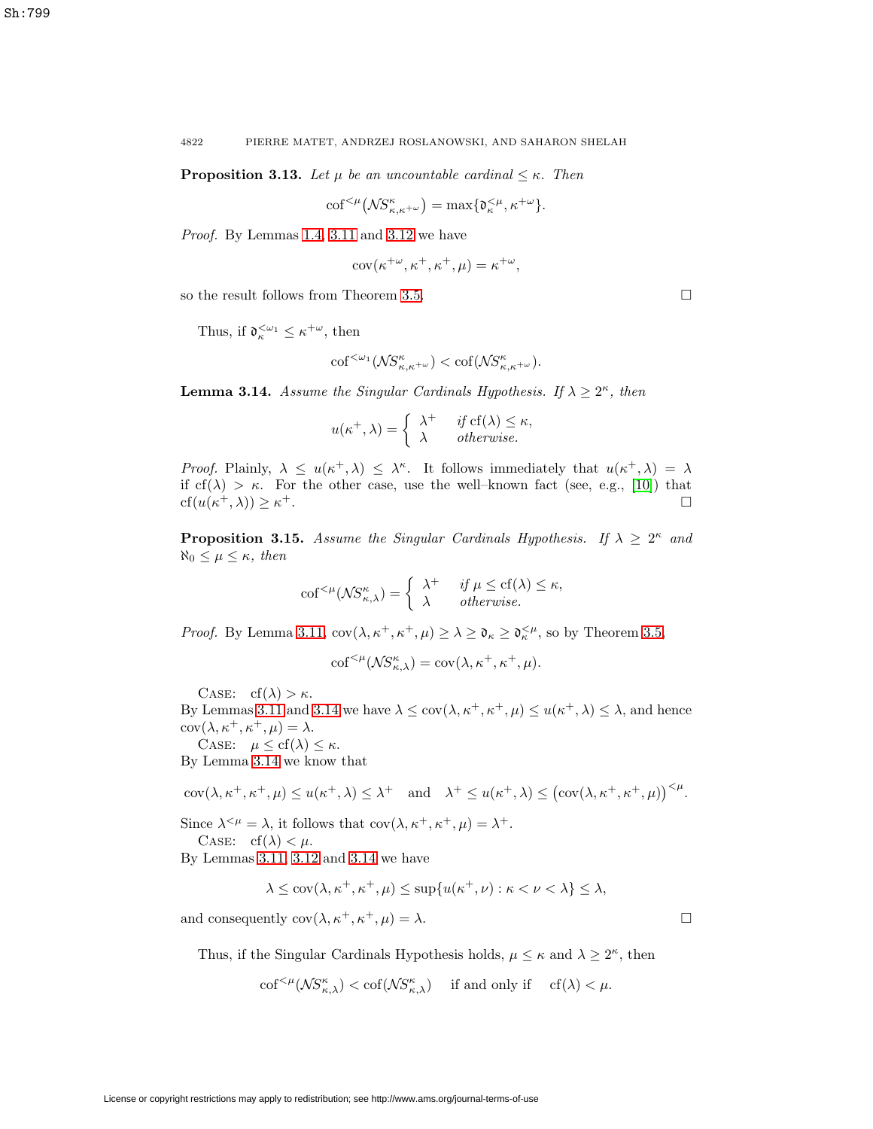4822 PIERRE MATET, ANDRZEJ ROSLANOWSKI, AND SAHARON SHELAH

**Proposition 3.13.** Let  $\mu$  be an uncountable cardinal  $\leq \kappa$ . Then

$$
\mathrm{cof}^{<\mu}\big(\mathcal{NS}^\kappa_{\kappa,\kappa^{+\omega}}\big)=\max\{\mathfrak{d}^{<\mu}_{\kappa},\kappa^{+\omega}\}.
$$

Proof. By Lemmas [1.4,](#page-2-0) [3.11](#page-8-1) and [3.12](#page-8-2) we have

$$
cov(\kappa^{+\omega}, \kappa^+, \kappa^+, \mu) = \kappa^{+\omega},
$$

so the result follows from Theorem [3.5.](#page-6-1)

Thus, if  $\mathfrak{d}_{\kappa}^{\leq \omega_1} \leq \kappa^{+\omega}$ , then

$$
\mathrm{cof}^{<\omega_1}(\mathcal{N}S^{\kappa}_{\kappa,\kappa+\omega}) < \mathrm{cof}(\mathcal{N}S^{\kappa}_{\kappa,\kappa+\omega}).
$$

<span id="page-9-0"></span>**Lemma 3.14.** Assume the Singular Cardinals Hypothesis. If  $\lambda \geq 2^{\kappa}$ , then

$$
u(\kappa^+, \lambda) = \begin{cases} \lambda^+ & \text{if } \text{cf}(\lambda) \leq \kappa, \\ \lambda & \text{otherwise.} \end{cases}
$$

Proof. Plainly,  $\lambda \leq u(\kappa^+, \lambda) \leq \lambda^{\kappa}$ . It follows immediately that  $u(\kappa^+, \lambda) = \lambda$ if  $cf(\lambda) > \kappa$ . For the other case, use the well–known fact (see, e.g., [\[10\]](#page-23-1)) that  $cf(u(\kappa^+,\lambda)) \geq \kappa^+$ .

**Proposition 3.15.** Assume the Singular Cardinals Hypothesis. If  $\lambda \geq 2^{\kappa}$  and  $\aleph_0 \leq \mu \leq \kappa$ , then

$$
\mathrm{cof}^{<\mu}(\mathcal{NS}_{\kappa,\lambda}^{\kappa}) = \begin{cases} \lambda^+ & \text{if } \mu \leq \mathrm{cf}(\lambda) \leq \kappa, \\ \lambda & \text{otherwise.} \end{cases}
$$

*Proof.* By Lemma [3.11,](#page-8-1)  $cov(\lambda, \kappa^+, \kappa^+, \mu) \ge \lambda \ge \mathfrak{d}_{\kappa} \ge \mathfrak{d}_{\kappa}^{\lt \mu}$ , so by Theorem [3.5,](#page-6-1)

$$
\mathrm{cof}^{<\mu}(\mathcal{NS}^\kappa_{\kappa,\lambda}) = \mathrm{cov}(\lambda,\kappa^+,\kappa^+,\mu).
$$

CASE:  $cf(\lambda) > \kappa$ .

By Lemmas [3.11](#page-8-1) and [3.14](#page-9-0) we have  $\lambda \leq \text{cov}(\lambda, \kappa^+, \kappa^+, \mu) \leq u(\kappa^+, \lambda) \leq \lambda$ , and hence  $cov(\lambda, \kappa^+, \kappa^+, \mu) = \lambda.$ 

CASE:  $\mu \leq cf(\lambda) \leq \kappa$ . By Lemma [3.14](#page-9-0) we know that

$$
\text{cov}(\lambda,\kappa^+,\kappa^+,\mu)\leq u(\kappa^+,\lambda)\leq \lambda^+\quad\text{and}\quad \lambda^+\leq u(\kappa^+,\lambda)\leq \big(\text{cov}(\lambda,\kappa^+,\kappa^+,\mu)\big)^{<\mu}.
$$

Since  $\lambda^{<\mu} = \lambda$ , it follows that  $\text{cov}(\lambda, \kappa^+, \kappa^+, \mu) = \lambda^+$ .

CASE:  $cf(\lambda) < \mu$ .

By Lemmas [3.11,](#page-8-1) [3.12](#page-8-2) and [3.14](#page-9-0) we have

$$
\lambda \leq \operatorname{cov}(\lambda, \kappa^+, \kappa^+, \mu) \leq \sup\{u(\kappa^+, \nu) : \kappa < \nu < \lambda\} \leq \lambda,
$$

and consequently  $cov(\lambda, \kappa^+, \kappa^+, \mu) = \lambda$ .

 $\Box$ 

Thus, if the Singular Cardinals Hypothesis holds,  $\mu \leq \kappa$  and  $\lambda \geq 2^{\kappa}$ , then

$$
\mathrm{cof}^{<\mu}(\mathcal{NS}^\kappa_{\kappa,\lambda}) < \mathrm{cof}(\mathcal{NS}^\kappa_{\kappa,\lambda}) \quad \text{ if and only if } \quad \mathrm{cf}(\lambda) < \mu.
$$

 $\Box$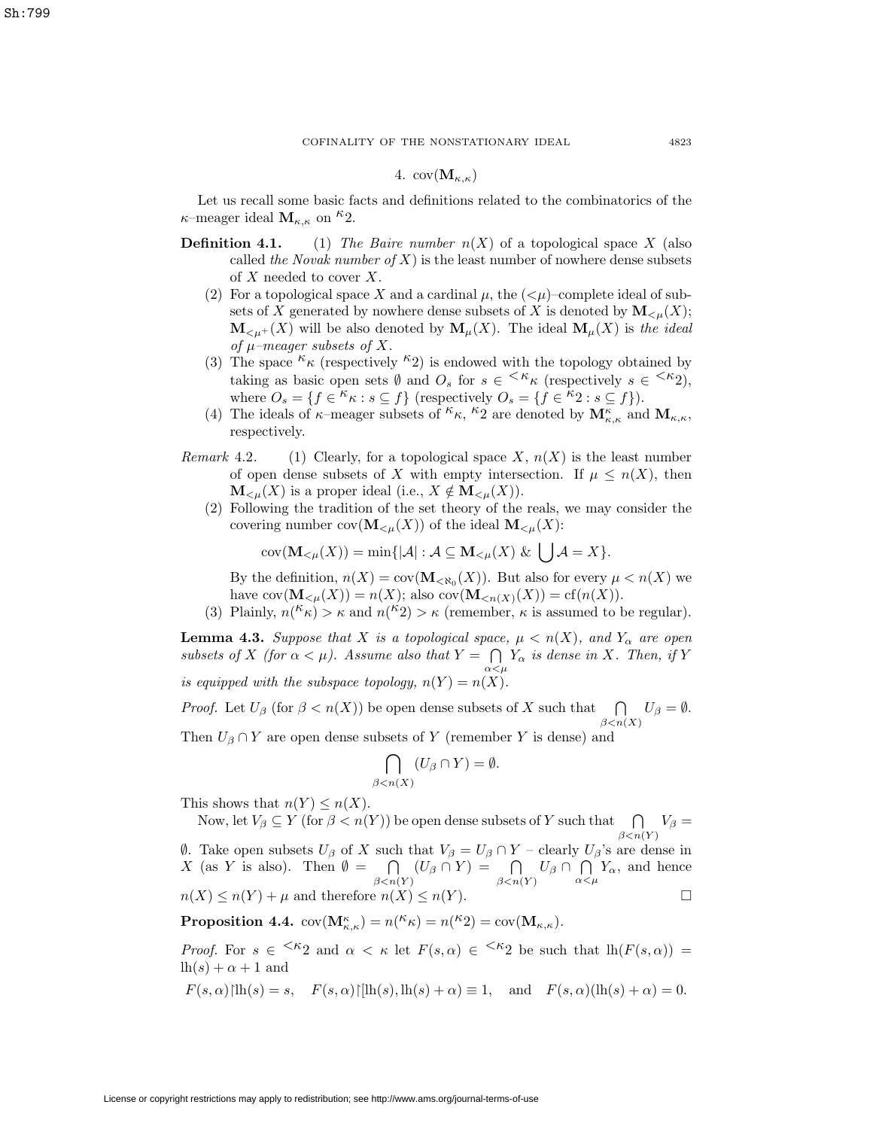## 4.  $cov(\mathbf{M}_{\kappa,\kappa})$

Let us recall some basic facts and definitions related to the combinatorics of the  $\kappa$ –meager ideal  $\mathbf{M}_{\kappa,\kappa}$  on <sup> $\kappa$ </sup>2.

- **Definition 4.1.** (1) The Baire number  $n(X)$  of a topological space X (also called the Novak number of X) is the least number of nowhere dense subsets of  $X$  needed to cover  $X$ .
	- (2) For a topological space X and a cardinal  $\mu$ , the  $( $\mu$ )-complete ideal of sub$ sets of X generated by nowhere dense subsets of X is denoted by  $\mathbf{M}_{\leq \mu}(X)$ ;  $\mathbf{M}_{\leq \mu^+}(X)$  will be also denoted by  $\mathbf{M}_{\mu}(X)$ . The ideal  $\mathbf{M}_{\mu}(X)$  is the ideal of  $\mu$ -meager subsets of X.
	- (3) The space  $\kappa_{\kappa}$  (respectively  $\kappa_{2}$ ) is endowed with the topology obtained by taking as basic open sets  $\emptyset$  and  $O_s$  for  $s \in \langle k \kappa \rangle$  (respectively  $s \in \langle k \kappa \rangle$ ), where  $O_s = \{f \in \kappa \kappa : s \subseteq f\}$  (respectively  $O_s = \{f \in \kappa \in \kappa \leq f\}$ ).
	- (4) The ideals of  $\kappa$ –meager subsets of  ${}^k\kappa$ ,  ${}^k\tilde{2}$  are denoted by  $\mathbf{M}_{\kappa,\kappa}^{\kappa}$  and  $\mathbf{M}_{\kappa,\kappa}$ , respectively.
- <span id="page-10-1"></span>Remark 4.2. (1) Clearly, for a topological space X,  $n(X)$  is the least number of open dense subsets of X with empty intersection. If  $\mu \leq n(X)$ , then  $\mathbf{M}_{\leq \mu}(X)$  is a proper ideal (i.e.,  $X \notin \mathbf{M}_{\leq \mu}(X)$ ).
	- (2) Following the tradition of the set theory of the reals, we may consider the covering number  $cov(\mathbf{M}_{\leq \mu}(X))$  of the ideal  $\mathbf{M}_{\leq \mu}(X)$ :

$$
cov(\mathbf{M}_{\leq \mu}(X)) = \min\{|\mathcal{A}| : \mathcal{A} \subseteq \mathbf{M}_{\leq \mu}(X) \& \bigcup \mathcal{A} = X\}.
$$

By the definition,  $n(X) = \text{cov}(\mathbf{M}_{\leq \aleph_0}(X))$ . But also for every  $\mu < n(X)$  we have  $cov(\mathbf{M}_{\leq \mu}(X)) = n(X)$ ; also  $cov(\mathbf{M}_{\leq n(X)}(X)) = cf(n(X)).$ 

(3) Plainly,  $n(\kappa_k) > \kappa$  and  $n(\kappa_k) > \kappa$  (remember,  $\kappa$  is assumed to be regular).

<span id="page-10-0"></span>**Lemma 4.3.** Suppose that X is a topological space,  $\mu < n(X)$ , and  $Y_\alpha$  are open subsets of X (for  $\alpha < \mu$ ). Assume also that  $Y = \bigcap$  $\bigcap_{\alpha<\mu}Y_{\alpha}$  is dense in X. Then, if Y is equipped with the subspace topology,  $n(Y) = n(X)$ .

*Proof.* Let  $U_\beta$  (for  $\beta < n(X)$ ) be open dense subsets of X such that  $\bigcap$  $\bigcap_{\beta < n(X)} U_{\beta} = \emptyset.$ Then  $U_\beta \cap Y$  are open dense subsets of Y (remember Y is dense) and

$$
\bigcap_{\beta < n(X)} (U_{\beta} \cap Y) = \emptyset.
$$

This shows that  $n(Y) \leq n(X)$ .

Now, let  $V_\beta \subseteq Y$  (for  $\beta < n(Y)$ ) be open dense subsets of Y such that  $\Box$  $\bigcap_{\beta < n(Y)} V_{\beta} =$  $θ$ . Take open subsets  $U_β$  of X such that  $V_β = U_β ∩ Y -$  clearly  $U_β$ 's are dense in X (as Y is also). Then  $\emptyset = \bigcap$  $\bigcap_{\beta < n(Y)} (U_\beta \cap Y) = \bigcap_{\beta < n(Y)}$  $\bigcap_{\beta < n(Y)} U_{\beta} \cap \bigcap_{\alpha < \beta}$  $\bigcap_{\alpha<\mu}Y_{\alpha}$ , and hence

<span id="page-10-2"></span>
$$
n(X) \le n(Y) + \mu \text{ and therefore } n(X) \le n(Y).
$$

**Proposition 4.4.**  $cov(\mathbf{M}_{\kappa,\kappa}^{\kappa}) = n({}^{\kappa}\kappa) = n({}^{\kappa}2) = cov(\mathbf{M}_{\kappa,\kappa}).$ 

*Proof.* For  $s \in \langle k_2 \rangle$  and  $\alpha < \kappa$  let  $F(s, \alpha) \in \langle k_2 \rangle$  be such that  $\ln(F(s, \alpha)) =$  $lh(s) + \alpha + 1$  and

$$
F(s, \alpha)
$$
|lh(s) = s,  $F(s, \alpha)$ |[lh(s), lh(s) + \alpha) \equiv 1, and  $F(s, \alpha)$ (lh(s) + \alpha) = 0.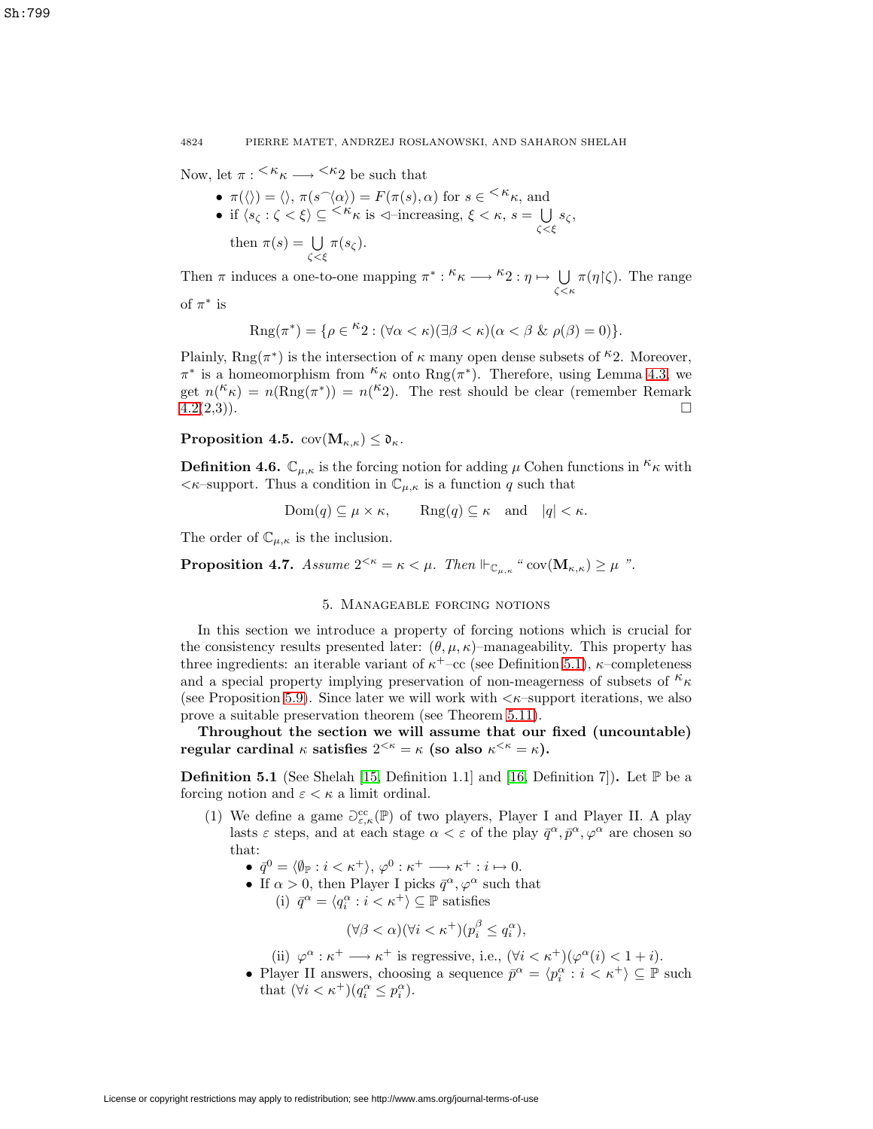Now, let  $\pi: \frac{K_{\kappa}}{\kappa} \longrightarrow \frac{K_{2}}{2}$  be such that

•  $\pi(\langle\rangle) = \langle\rangle, \pi(s^{\widehat{\ }}\langle\alpha\rangle) = F(\pi(s), \alpha)$  for  $s \in \langle K_{\kappa}, \text{ and}$ • if  $\langle s_\zeta : \zeta \times \xi \rangle \subseteq \langle \kappa \kappa \text{ is } \triangleleft \text{-increasing, } \xi \times \kappa, s = \bigcup_{\zeta \leq \xi} s_\zeta,$ then  $\pi(s) = \bigcup$  $\bigcup_{\zeta<\xi}\pi(s_{\zeta}).$ 

4824 PIERRE MATET, ANDRZEJ ROSLANOWSKI, AND SAHARON SHELAH

Then  $\pi$  induces a one-to-one mapping  $\pi^* : \kappa \longrightarrow \kappa_2 : \eta \mapsto \bigcup_{\zeta \leq \kappa} \pi(\eta|\zeta)$ . The range of  $\pi^*$  is

$$
Rng(\pi^*) = \{ \rho \in {}^{\kappa}2 : (\forall \alpha < \kappa)(\exists \beta < \kappa)(\alpha < \beta \& \rho(\beta) = 0) \}.
$$

Plainly,  $\text{Rng}(\pi^*)$  is the intersection of  $\kappa$  many open dense subsets of <sup> $\kappa$ </sup>2. Moreover,  $\pi^*$  is a homeomorphism from  $\kappa$  onto Rng( $\pi^*$ ). Therefore, using Lemma [4.3,](#page-10-0) we get  $n(\kappa_{\kappa}) = n(\text{Rng}(\pi^*)) = n(\kappa_2)$ . The rest should be clear (remember Remark  $4.2(2,3)$  $4.2(2,3)$ ).

<span id="page-11-1"></span>**Proposition 4.5.**  $cov(M_{\kappa,\kappa}) \leq \mathfrak{d}_{\kappa}$ .

**Definition 4.6.**  $\mathbb{C}_{\mu,\kappa}$  is the forcing notion for adding  $\mu$  Cohen functions in  ${}^{\kappa}\kappa$  with  $\langle \kappa$ -support. Thus a condition in  $\mathbb{C}_{\mu,\kappa}$  is a function q such that

$$
Dom(q) \subseteq \mu \times \kappa
$$
,  $Reg(q) \subseteq \kappa$  and  $|q| < \kappa$ .

The order of  $\mathbb{C}_{\mu,\kappa}$  is the inclusion.

**Proposition 4.7.** Assume  $2^{<\kappa} = \kappa < \mu$ . Then  $\Vdash_{\mathbb{C}_{\mu,\kappa}}$  " cov $(\mathbf{M}_{\kappa,\kappa}) \geq \mu$  ".

# 5. Manageable forcing notions

In this section we introduce a property of forcing notions which is crucial for the consistency results presented later:  $(\theta, \mu, \kappa)$ –manageability. This property has three ingredients: an iterable variant of  $\kappa^+$ –cc (see Definition [5.1\)](#page-11-0),  $\kappa$ –completeness and a special property implying preservation of non-meagerness of subsets of  ${}^k\kappa$ (see Proposition [5.9\)](#page-13-0). Since later we will work with  $\lt \kappa$ -support iterations, we also prove a suitable preservation theorem (see Theorem [5.11\)](#page-14-0).

<span id="page-11-0"></span>**Throughout the section we will assume that our fixed (uncountable) regular cardinal**  $\kappa$  **satisfies**  $2^{<\kappa} = \kappa$  (so also  $\kappa^{<\kappa} = \kappa$ ).

**Definition 5.1** (See Shelah [\[15,](#page-23-8) Definition 1.1] and [\[16,](#page-23-9) Definition 7]). Let  $\mathbb{P}$  be a forcing notion and  $\varepsilon < \kappa$  a limit ordinal.

- (1) We define a game  $\partial_{\varepsilon,\kappa}^{cc}(\mathbb{P})$  of two players, Player I and Player II. A play lasts  $\varepsilon$  steps, and at each stage  $\alpha < \varepsilon$  of the play  $\bar{q}^{\alpha}, \bar{p}^{\alpha}, \varphi^{\alpha}$  are chosen so that:
	- $\bar{q}^0 = \langle \emptyset_{\mathbb{P}} : i < \kappa^+ \rangle, \varphi^0 : \kappa^+ \longrightarrow \kappa^+ : i \mapsto 0.$
	- If  $\alpha > 0$ , then Player I picks  $\bar{q}^{\alpha}, \varphi^{\alpha}$  such that (i)  $\bar{q}^{\alpha} = \langle q_i^{\alpha} : i < \kappa^+ \rangle \subseteq \mathbb{P}$  satisfies

$$
(\forall \beta < \alpha)(\forall i < \kappa^+)(p_i^{\beta} \le q_i^{\alpha}),
$$

(ii)  $\varphi^{\alpha} : \kappa^+ \longrightarrow \kappa^+$  is regressive, i.e.,  $(\forall i < \kappa^+)(\varphi^{\alpha}(i) < 1 + i)$ .

• Player II answers, choosing a sequence  $\bar{p}^{\alpha} = \langle p^{\alpha}_i : i < \kappa^+ \rangle \subseteq \mathbb{P}$  such that  $(\forall i < \kappa^+)(q_i^{\alpha} \leq p_i^{\alpha})$ .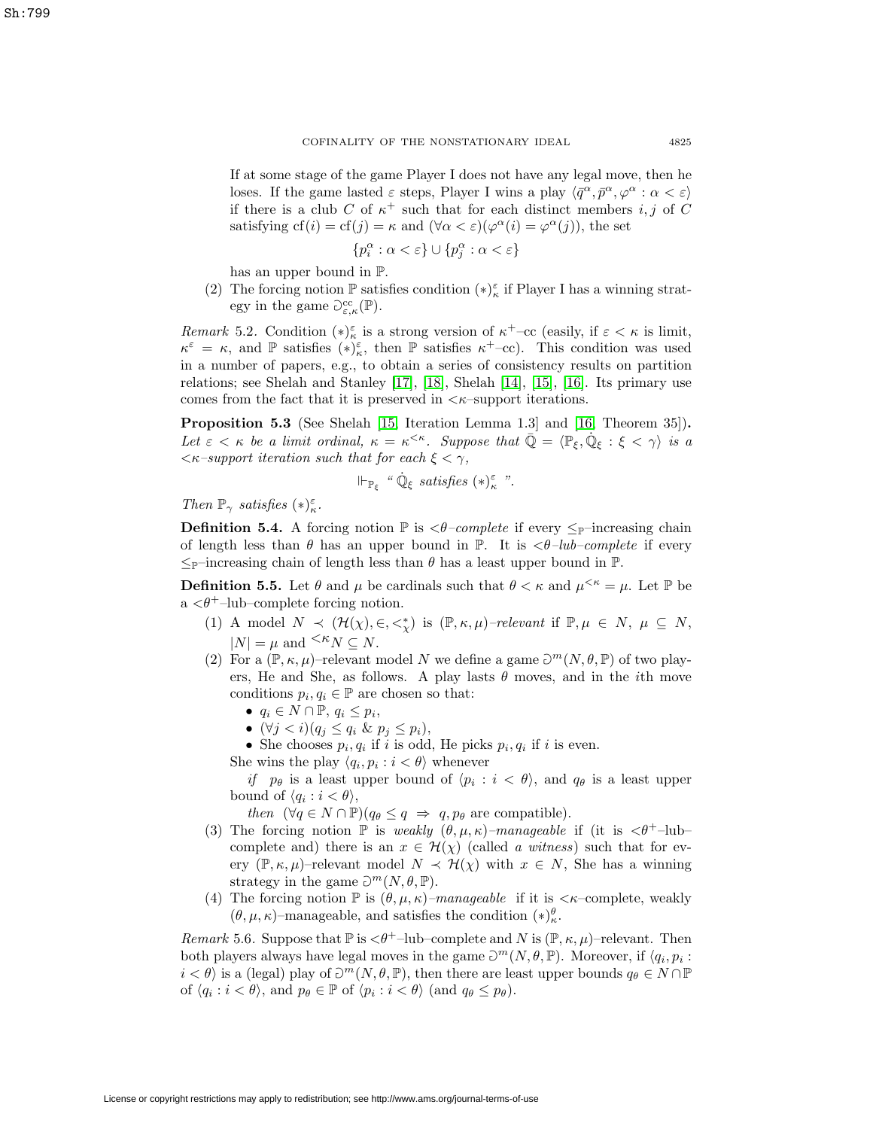Sh:799

If at some stage of the game Player I does not have any legal move, then he loses. If the game lasted  $\varepsilon$  steps, Player I wins a play  $\langle \bar{q}^{\alpha}, \bar{p}^{\alpha}, \varphi^{\alpha} : \alpha < \varepsilon \rangle$ if there is a club C of  $\kappa^+$  such that for each distinct members i, j of C satisfying  $cf(i) = cf(j) = \kappa$  and  $(\forall \alpha < \varepsilon)(\varphi^{\alpha}(i) = \varphi^{\alpha}(j))$ , the set

$$
\{p_i^\alpha:\alpha<\varepsilon\}\cup\{p_j^\alpha:\alpha<\varepsilon\}
$$

has an upper bound in P.

(2) The forcing notion  $\mathbb P$  satisfies condition  $(*)_\kappa^\varepsilon$  if Player I has a winning strategy in the game  $\mathcal{O}^{\text{cc}}_{\varepsilon,\kappa}(\mathbb{P})$ .

Remark 5.2. Condition  $(*)_{\kappa}^{\varepsilon}$  is a strong version of  $\kappa^+$ –cc (easily, if  $\varepsilon < \kappa$  is limit,  $\kappa^{\varepsilon} = \kappa$ , and  $\mathbb P$  satisfies  $(*)_\kappa^{\varepsilon}$ , then  $\mathbb P$  satisfies  $\kappa^+$ -cc). This condition was used in a number of papers, e.g., to obtain a series of consistency results on partition relations; see Shelah and Stanley [\[17\]](#page-24-0), [\[18\]](#page-24-1), Shelah [\[14\]](#page-23-10), [\[15\]](#page-23-8), [\[16\]](#page-23-9). Its primary use comes from the fact that it is preserved in  $\lt$   $\kappa$ –support iterations.

<span id="page-12-0"></span>**Proposition 5.3** (See Shelah [\[15,](#page-23-8) Iteration Lemma 1.3] and [\[16,](#page-23-9) Theorem 35])**.** Let  $\varepsilon < \kappa$  be a limit ordinal,  $\kappa = \kappa^{<\kappa}$ . Suppose that  $\overline{\mathbb{Q}} = \langle \mathbb{P}_{\xi}, \mathbb{Q}_{\xi} : \xi < \gamma \rangle$  is a  $\langle \kappa$ -support iteration such that for each  $\xi < \gamma$ ,

$$
\Vdash_{\mathbb{P}_{\xi}} \text{``}\dot{\mathbb{Q}}_{\xi} \text{ satisfies } (\ast)^{\varepsilon}_{\kappa} \text{''}.
$$

Then  $\mathbb{P}_{\gamma}$  satisfies  $(\ast)^{\varepsilon}_{\kappa}$ .

**Definition 5.4.** A forcing notion  $\mathbb{P}$  is  $\langle \theta$ -complete if every  $\leq_{\mathbb{P}}$ -increasing chain of length less than  $\theta$  has an upper bound in  $\mathbb{P}$ . It is  $\langle \theta \, - \, lub \, - \, \textit{complete} \rangle$  if every  $\leq_{\mathbb{P}}$ -increasing chain of length less than  $\theta$  has a least upper bound in  $\mathbb{P}$ .

**Definition 5.5.** Let  $\theta$  and  $\mu$  be cardinals such that  $\theta < \kappa$  and  $\mu^{<\kappa} = \mu$ . Let  $\mathbb{P}$  be  $a < \theta^+$ –lub–complete forcing notion.

- (1) A model  $N \prec (\mathcal{H}(\chi), \in, \leq^*_{\chi})$  is  $(\mathbb{P}, \kappa, \mu)$ -relevant if  $\mathbb{P}, \mu \in N, \mu \subseteq N$ ,  $|N| = \mu$  and  $\leq K_N \subseteq N$ .
- (2) For a  $(\mathbb{P}, \kappa, \mu)$ –relevant model N we define a game  $\mathcal{D}^m(N, \theta, \mathbb{P})$  of two players, He and She, as follows. A play lasts  $\theta$  moves, and in the *i*th move conditions  $p_i, q_i \in \mathbb{P}$  are chosen so that:
	- $q_i \in N \cap \mathbb{P}, q_i \leq p_i$
	- $(\forall j < i)(q_j \leq q_i \& p_j \leq p_i),$
	- She chooses  $p_i, q_i$  if i is odd, He picks  $p_i, q_i$  if i is even.
	- She wins the play  $\langle q_i, p_i : i < \theta \rangle$  whenever

if  $p_{\theta}$  is a least upper bound of  $\langle p_i : i < \theta \rangle$ , and  $q_{\theta}$  is a least upper bound of  $\langle q_i : i < \theta \rangle$ ,

then  $(\forall q \in N \cap \mathbb{P})(q_{\theta} \leq q \Rightarrow q, p_{\theta} \text{ are compatible}).$ 

- (3) The forcing notion  $\mathbb P$  is weakly  $(\theta, \mu, \kappa)$ –manageable if (it is  $\langle \theta^+$ –lub– complete and) there is an  $x \in \mathcal{H}(\chi)$  (called a witness) such that for every  $(\mathbb{P}, \kappa, \mu)$ –relevant model  $N \prec \mathcal{H}(\chi)$  with  $x \in N$ , She has a winning strategy in the game  $\mathcal{D}^m(N,\theta,\mathbb{P})$ .
- (4) The forcing notion  $\mathbb P$  is  $(\theta, \mu, \kappa)$ –manageable if it is  $\langle \kappa$ –complete, weakly  $(\theta, \mu, \kappa)$ -manageable, and satisfies the condition  $(*)^{\theta}_{\kappa}$ .

Remark 5.6. Suppose that  $\mathbb P$  is  $\langle \theta^+$ -lub-complete and N is  $(\mathbb P, \kappa, \mu)$ -relevant. Then both players always have legal moves in the game  $\mathcal{D}^m(N,\theta,\mathbb{P})$ . Moreover, if  $\langle q_i, p_i :$  $i < \theta$  is a (legal) play of  $\partial^m(N, \theta, \mathbb{P})$ , then there are least upper bounds  $q_\theta \in N \cap \mathbb{P}$ of  $\langle q_i : i < \theta \rangle$ , and  $p_\theta \in \mathbb{P}$  of  $\langle p_i : i < \theta \rangle$  (and  $q_\theta \leq p_\theta$ ).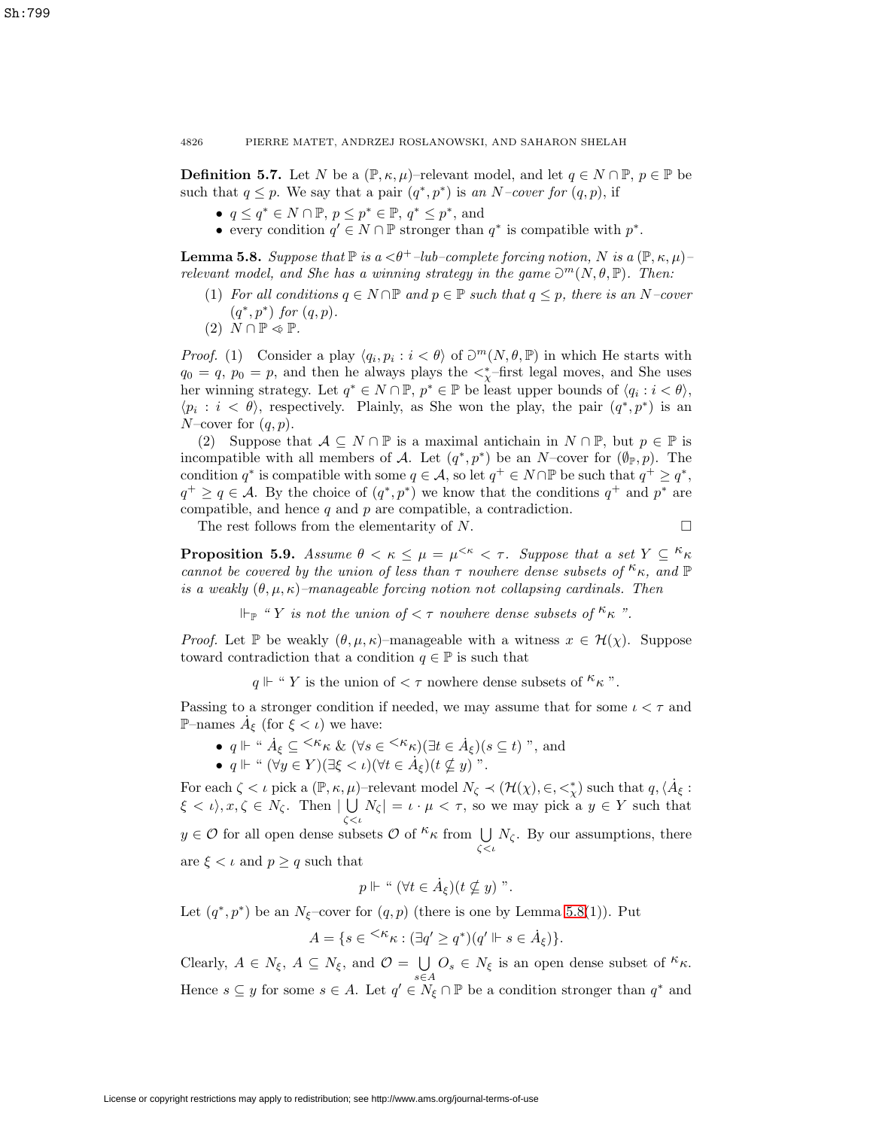**Definition 5.7.** Let N be a  $(\mathbb{P}, \kappa, \mu)$ –relevant model, and let  $q \in N \cap \mathbb{P}, p \in \mathbb{P}$  be such that  $q \leq p$ . We say that a pair  $(q^*, p^*)$  is an N–cover for  $(q, p)$ , if

- $q \leq q^* \in N \cap \mathbb{P}, p \leq p^* \in \mathbb{P}, q^* \leq p^*$ , and
- every condition  $q' \in N \cap \mathbb{P}$  stronger than  $q^*$  is compatible with  $p^*$ .

<span id="page-13-1"></span>**Lemma 5.8.** Suppose that  $\mathbb{P}$  is a  $\langle \theta^+ \text{-}lub\text{-}complete$  forcing notion, N is a  $(\mathbb{P}, \kappa, \mu)$ relevant model, and She has a winning strategy in the game  $\mathcal{D}^m(N,\theta,\mathbb{P})$ . Then:

- (1) For all conditions  $q \in N \cap \mathbb{P}$  and  $p \in \mathbb{P}$  such that  $q \leq p$ , there is an N-cover  $(q^*, p^*)$  for  $(q, p)$ .
- $(2)$   $N \cap \mathbb{P} \triangleleft \mathbb{P}$ .

*Proof.* (1) Consider a play  $\langle q_i, p_i : i < \theta \rangle$  of  $\mathcal{D}^m(N, \theta, \mathbb{P})$  in which He starts with  $q_0 = q, p_0 = p$ , and then he always plays the  $\lt^*_{\chi}$ -first legal moves, and She uses her winning strategy. Let  $q^* \in N \cap \mathbb{P}, p^* \in \mathbb{P}$  be least upper bounds of  $\langle q_i : i < \theta \rangle$ ,  $\langle p_i : i \langle \theta \rangle$ , respectively. Plainly, as She won the play, the pair  $(q^*, p^*)$  is an N–cover for  $(q, p)$ .

(2) Suppose that  $A \subseteq N \cap \mathbb{P}$  is a maximal antichain in  $N \cap \mathbb{P}$ , but  $p \in \mathbb{P}$  is incompatible with all members of A. Let  $(q^*, p^*)$  be an N–cover for  $(\varphi_{\mathbb{P}}, p)$ . The condition  $q^*$  is compatible with some  $q \in \mathcal{A}$ , so let  $q^+ \in N \cap \mathbb{P}$  be such that  $q^+ \geq q^*$ ,  $q^+ \ge q \in \mathcal{A}$ . By the choice of  $(q^*, p^*)$  we know that the conditions  $q^+$  and  $p^*$  are compatible, and hence  $q$  and  $p$  are compatible, a contradiction.

The rest follows from the elementarity of  $N$ .

$$
\Box
$$

<span id="page-13-0"></span>**Proposition 5.9.** Assume  $\theta < \kappa \leq \mu = \mu^{<\kappa} < \tau$ . Suppose that a set  $Y \subseteq \kappa_{\kappa}$ cannot be covered by the union of less than  $\tau$  nowhere dense subsets of  $\kappa_{\kappa}$ , and  $\mathbb P$ is a weakly  $(\theta, \mu, \kappa)$ -manageable forcing notion not collapsing cardinals. Then

 $\Vdash_{\mathbb{P}}$  " Y is not the union of  $\lt \tau$  nowhere dense subsets of  $\kappa_{\kappa}$ ".

*Proof.* Let P be weakly  $(\theta, \mu, \kappa)$ –manageable with a witness  $x \in \mathcal{H}(\chi)$ . Suppose toward contradiction that a condition  $q \in \mathbb{P}$  is such that

 $q \Vdash$  " Y is the union of  $\lt \tau$  nowhere dense subsets of  $\kappa_{\kappa}$ ".

Passing to a stronger condition if needed, we may assume that for some  $\iota < \tau$  and P–names  $\dot{A}_{\xi}$  (for  $\xi < \iota$ ) we have:

- $q \Vdash$  "  $\dot{A}_{\xi} \subseteq \langle \kappa_{\kappa} \& (\forall s \in \langle \kappa_{\kappa} \rangle) (\exists t \in \dot{A}_{\xi})(s \subseteq t)$ ", and
- $q \Vdash$  "  $(\forall y \in Y)(\exists \xi < \iota)(\forall t \in \dot{A}_{\xi})(t \nsubseteq y)$ ".

For each  $\zeta < \iota$  pick a  $(\mathbb{P}, \kappa, \mu)$ -relevant model  $N_{\zeta} \prec (\mathcal{H}(\chi), \in, \leq^*_{\chi})$  such that  $q, \langle \dot{A}_{\xi} :$  $\xi < \iota$ ,  $x, \zeta \in N_{\zeta}$ . Then  $| \bigcup$  $\bigcup_{\zeta \leq \iota} N_{\zeta} = \iota \cdot \mu < \tau$ , so we may pick a  $y \in Y$  such that  $y \in \mathcal{O}$  for all open dense subsets  $\mathcal{O}$  of  $kappa$  from  $\bigcup$  $\bigcup_{\zeta < \iota} N_{\zeta}$ . By our assumptions, there are  $\xi < \iota$  and  $p \geq q$  such that

$$
p \Vdash " (\forall t \in \dot{A}_{\xi})(t \nsubseteq y)".
$$

Let  $(q^*, p^*)$  be an N<sub> $\xi$ </sub>-cover for  $(q, p)$  (there is one by Lemma [5.8\(](#page-13-1)1)). Put

$$
A = \{ s \in {}^{<\kappa} \kappa : (\exists q' \ge q^*) (q' \Vdash s \in \dot{A}_{\xi}) \}.
$$

Clearly,  $A \in N_{\xi}$ ,  $A \subseteq N_{\xi}$ , and  $\mathcal{O} = \bigcup_{s \in A} O_s \in N_{\xi}$  is an open dense subset of  ${}^{\kappa} \kappa$ . Hence  $s \subseteq y$  for some  $s \in A$ . Let  $q' \in N_{\xi} \cap \mathbb{P}$  be a condition stronger than  $q^*$  and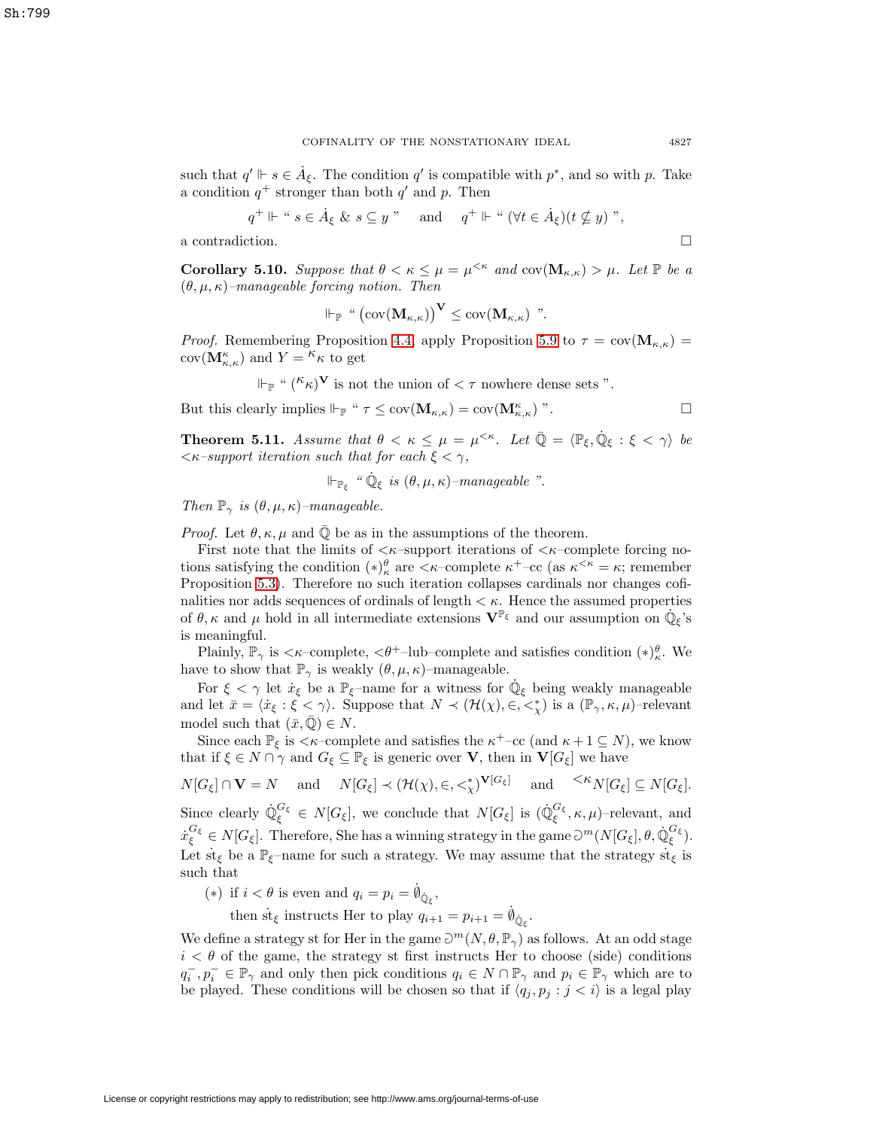such that  $q' \Vdash s \in \dot{A}_{\xi}$ . The condition  $q'$  is compatible with  $p^*$ , and so with p. Take a condition  $q^+$  stronger than both  $q'$  and p. Then

$$
q^+ \Vdash
$$
 "  $s \in \dot{A}_{\xi} \& s \subseteq y$  " and  $q^+ \Vdash$  "  $(\forall t \in \dot{A}_{\xi})(t \nsubseteq y)$  ",

<span id="page-14-1"></span>a contradiction.  $\hfill \square$ 

**Corollary 5.10.** Suppose that  $\theta < \kappa \leq \mu = \mu^{<\kappa}$  and  $cov(\mathbf{M}_{\kappa,\kappa}) > \mu$ . Let  $\mathbb P$  be a  $(\theta, \mu, \kappa)$ –manageable forcing notion. Then

$$
\Vdash_{\mathbb{P}} \text{``}\left(\text{cov}(\mathbf{M}_{\kappa,\kappa})\right)^{\mathbf{V}} \leq \text{cov}(\mathbf{M}_{\kappa,\kappa}) \text{''}.
$$

*Proof.* Remembering Proposition [4.4,](#page-10-2) apply Proposition [5.9](#page-13-0) to  $\tau = \text{cov}(\mathbf{M}_{\kappa,\kappa})$  $cov(\mathbf{M}_{\kappa,\kappa}^{\kappa})$  and  $Y = \kappa \kappa$  to get

$$
\Vdash_{\mathbb{P}} \text{`` } (\kappa_{\mathcal{K}})^{\mathbf{V}}
$$
 is not the union of  $< \tau$  nowhere dense sets ".

 $\Box$ 

But this clearly implies  $\Vdash_{\mathbb{P}}$  "  $\tau \leq \text{cov}(\mathbf{M}_{\kappa,\kappa}) = \text{cov}(\mathbf{M}_{\kappa,\kappa})$ ".

<span id="page-14-0"></span>**Theorem 5.11.** Assume that  $\theta < \kappa \leq \mu = \mu^{<\kappa}$ . Let  $\overline{\mathbb{Q}} = \langle \mathbb{P}_{\xi}, \dot{\mathbb{Q}}_{\xi} : \xi < \gamma \rangle$  be  $\langle \kappa$ -support iteration such that for each  $\xi < \gamma$ ,

$$
\Vdash_{\mathbb{P}_{\xi}} \text{``}\dot{\mathbb{Q}}_{\xi} \text{ is } (\theta, \mu, \kappa)\text{-}manageable''.
$$

Then  $\mathbb{P}_{\gamma}$  is  $(\theta, \mu, \kappa)$ -manageable.

*Proof.* Let  $\theta$ ,  $\kappa$ ,  $\mu$  and  $\overline{Q}$  be as in the assumptions of the theorem.

First note that the limits of  $\langle \kappa$ -support iterations of  $\langle \kappa$ -complete forcing notions satisfying the condition  $(*)_{\kappa}^{\theta}$  are  $\langle \kappa$ -complete  $\kappa^+$ -cc (as  $\kappa^{\langle \kappa \rangle} = \kappa$ ; remember Proposition [5.3\)](#page-12-0). Therefore no such iteration collapses cardinals nor changes cofinalities nor adds sequences of ordinals of length  $\lt \kappa$ . Hence the assumed properties of  $\theta$ ,  $\kappa$  and  $\mu$  hold in all intermediate extensions  $\mathbf{V}^{\mathbb{P}_{\xi}}$  and our assumption on  $\dot{\mathbb{Q}}_{\xi}$ 's is meaningful.

Plainly,  $\mathbb{P}_{\gamma}$  is  $\langle \kappa$ -complete,  $\langle \theta^+$ -lub-complete and satisfies condition  $(*)^{\theta}_{\kappa}$ . We have to show that  $\mathbb{P}_{\gamma}$  is weakly  $(\theta, \mu, \kappa)$ –manageable.

For  $\xi < \gamma$  let  $\dot{x}_{\xi}$  be a  $\mathbb{P}_{\xi}$ –name for a witness for  $\mathbb{Q}_{\xi}$  being weakly manageable and let  $\bar{x} = \langle \dot{x}_{\xi} : \xi \langle \gamma \rangle$ . Suppose that  $N \prec (\mathcal{H}(\chi), \in, \leq^*_{\chi})$  is a  $(\mathbb{P}_{\gamma}, \kappa, \mu)$ -relevant model such that  $(\bar{x}, \bar{\mathbb{Q}}) \in N$ .

Since each  $\mathbb{P}_{\xi}$  is  $\lt \kappa$ –complete and satisfies the  $\kappa^+$ –cc (and  $\kappa + 1 \subseteq N$ ), we know that if  $\xi \in N \cap \gamma$  and  $G_{\xi} \subseteq \mathbb{P}_{\xi}$  is generic over **V**, then in **V**[ $G_{\xi}$ ] we have

 $N[G_{\xi}] \cap \mathbf{V} = N$  and  $N[G_{\xi}] \prec (\mathcal{H}(\chi), \in, \leq^*_{\chi})^{\mathbf{V}[G_{\xi}]}$  and  $\leq^{\mathcal{K}} N[G_{\xi}] \subseteq N[G_{\xi}].$ Since clearly  $\mathbb{Q}_{\xi}^{G_{\xi}} \in N[G_{\xi}]$ , we conclude that  $N[G_{\xi}]$  is  $(\mathbb{Q}_{\xi}^{G_{\xi}}, \kappa, \mu)$ -relevant, and  $\dot{x}_{\xi}^{G_{\xi}} \in N[G_{\xi}].$  Therefore, She has a winning strategy in the game  $\partial^{m}(N[G_{\xi}], \theta, \dot{\mathbb{Q}}_{\xi}^{G_{\xi}}).$ Let  $\text{st}_{\xi}$  be a  $\mathbb{P}_{\xi}$ –name for such a strategy. We may assume that the strategy  $\text{st}_{\xi}$  is such that

(\*) if  $i < \theta$  is even and  $q_i = p_i = \dot{\phi}_{\dot{\mathbb{Q}}_{\xi}}$ ,

then st<sub> $\xi$ </sub> instructs Her to play  $q_{i+1} = p_{i+1} = \dot{q}_{\dot{Q}_{\xi}}$ .

We define a strategy st for Her in the game  $\mathcal{D}^m(N,\theta,\mathbb{P}_\gamma)$  as follows. At an odd stage  $i < \theta$  of the game, the strategy st first instructs Her to choose (side) conditions  $q_i^-, p_i^- \in \mathbb{P}_\gamma$  and only then pick conditions  $q_i \in N \cap \mathbb{P}_\gamma$  and  $p_i \in \mathbb{P}_\gamma$  which are to be played. These conditions will be chosen so that if  $\langle q_j, p_j : j < i \rangle$  is a legal play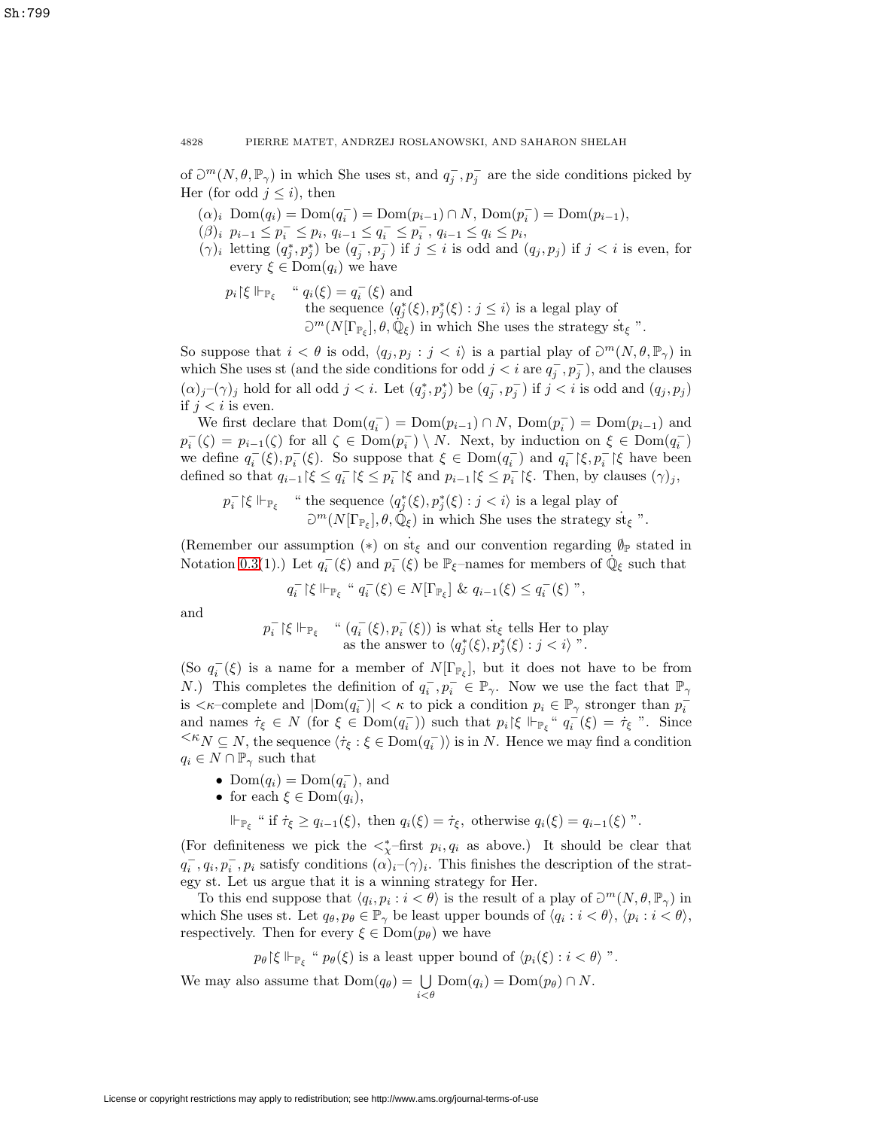of  $\mathcal{D}^m(N, \theta, \mathbb{P}_\gamma)$  in which She uses st, and  $q_j^-, p_j^-$  are the side conditions picked by Her (for odd  $j \leq i$ ), then

- $(\alpha)_i \text{ Dom}(q_i) = \text{Dom}(q_i^-) = \text{Dom}(p_{i-1}) \cap N, \text{Dom}(p_i^-) = \text{Dom}(p_{i-1}),$
- $(\beta)_i \ \ p_{i-1} \leq p_i^- \leq p_i, \ q_{i-1} \leq q_i^- \leq p_i^-, \ q_{i-1} \leq q_i \leq p_i,$
- $(\gamma)_i$  letting  $(q_j^*, p_j^*)$  be  $(q_j^-, p_j^-)$  if  $j \leq i$  is odd and  $(q_j, p_j)$  if  $j < i$  is even, for every  $\xi \in \text{Dom}(q_i)$  we have
	- $p_i$ | $\xi \Vdash_{\mathbb{P}_{\xi}}$  "  $q_i(\xi) = q_i^-(\xi)$  and the sequence  $\langle q_j^*(\xi), p_j^*(\xi) : j \leq i \rangle$  is a legal play of  $\mathbb{D}^m(N[\Gamma_{\mathbb{P}_\xi}], \theta, \dot{\mathbb{Q}}_\xi)$  in which She uses the strategy st<sub> $\xi$ </sub> ".

So suppose that  $i < \theta$  is odd,  $\langle q_j, p_j : j < i \rangle$  is a partial play of  $\mathcal{D}^m(N, \theta, \mathbb{P}_\gamma)$  in which She uses st (and the side conditions for odd  $j < i$  are  $q_j^-, p_j^-$ ), and the clauses  $(\alpha)_j$ – $(\gamma)_j$  hold for all odd  $j < i$ . Let  $(q_j^*, p_j^*)$  be  $(q_j^-, p_j^-)$  if  $j < i$  is odd and  $(q_j, p_j)$ if  $j < i$  is even.

We first declare that  $Dom(q_i^-) = Dom(p_{i-1}) \cap N$ ,  $Dom(p_i^-) = Dom(p_{i-1})$  and  $p_i^-(\zeta) = p_{i-1}(\zeta)$  for all  $\zeta \in \text{Dom}(p_i^-) \setminus N$ . Next, by induction on  $\xi \in \text{Dom}(q_i^-)$ we define  $q_i^-(\xi), p_i^-(\xi)$ . So suppose that  $\xi \in \text{Dom}(q_i^-)$  and  $q_i^- \upharpoonright \xi, p_i^- \upharpoonright \xi$  have been defined so that  $q_{i-1}$  | $\xi \le q_i^-$  | $\xi \le p_i^-$  | $\xi$  and  $p_{i-1}$  | $\xi \le p_i^-$  | $\xi$ . Then, by clauses  $(\gamma)_j$ ,

$$
p_i^-\upharpoonright\xi\Vdash_{\mathbb{P}_\xi}\quad\text{``the sequence $\langle q_j^*(\xi),p_j^*(\xi):j\text{st}_\xi
$$
''}.

(Remember our assumption  $(*)$  on  $st_{\xi}$  and our convention regarding  $\emptyset_{\mathbb{P}}$  stated in Notation [0.3\(](#page-1-2)1).) Let  $q_i^-(\xi)$  and  $p_i^-(\xi)$  be  $\mathbb{P}_{\xi}$ -names for members of  $\dot{\mathbb{Q}}_{\xi}$  such that

$$
q_i^-\upharpoonright\xi\Vdash_{\mathbb{P}_\xi}``q_i^-(\xi)\in N[\Gamma_{\mathbb{P}_\xi}]\ \&\ q_{i-1}(\xi)\leq q_i^-(\xi)''\,,
$$

and

$$
p_i^- \upharpoonright \xi \Vdash_{\mathbb{P}_{\xi}} \quad \text{`` } (q_i^-(\xi), p_i^-(\xi)) \text{ is what } \text{st}_{\xi} \text{ tells Her to play as the answer to } \langle q_j^*(\xi), p_j^*(\xi) : j < i \rangle \text{''}.
$$

(So  $q_i^-(\xi)$  is a name for a member of  $N[\Gamma_{\mathbb{P}_\xi}]$ , but it does not have to be from N.) This completes the definition of  $q_i^-, p_i^- \in \mathbb{P}_{\gamma}$ . Now we use the fact that  $\mathbb{P}_{\gamma}$ is  $\langle \kappa$ -complete and  $|\text{Dom}(q_i^-)| \langle \kappa \rangle$  to pick a condition  $p_i \in \mathbb{P}_\gamma$  stronger than  $p_i^$ and names  $\dot{\tau}_{\xi} \in N$  (for  $\xi \in \text{Dom}(q_i^-)$ ) such that  $p_i \upharpoonright \xi \Vdash_{\mathbb{P}_{\xi}} \dot{q}_i^-(\xi) = \dot{\tau}_{\xi}$  ". Since  $\leq K_N \subseteq N$ , the sequence  $\langle \tau_{\xi} : \xi \in \text{Dom}(q_i^-) \rangle$  is in N. Hence we may find a condition  $q_i \in N \cap \mathbb{P}_{\gamma}$  such that

- Dom $(q_i) = \text{Dom}(q_i^{-})$ , and
- for each  $\xi \in \text{Dom}(q_i)$ ,
	- $\Vdash_{\mathbb{P}_{\xi}}$  " if  $\dot{\tau}_{\xi} \geq q_{i-1}(\xi)$ , then  $q_i(\xi) = \dot{\tau}_{\xi}$ , otherwise  $q_i(\xi) = q_{i-1}(\xi)$ ".

(For definiteness we pick the  $\lt^*_\chi$ -first  $p_i, q_i$  as above.) It should be clear that  $q_i^-, q_i, p_i^-, p_i$  satisfy conditions  $(\alpha)_{i}$ – $(\gamma)_{i}$ . This finishes the description of the strategy st. Let us argue that it is a winning strategy for Her.

To this end suppose that  $\langle q_i, p_i : i < \theta \rangle$  is the result of a play of  $\mathcal{D}^m(N, \theta, \mathbb{P}_\gamma)$  in which She uses st. Let  $q_{\theta}, p_{\theta} \in \mathbb{P}_{\gamma}$  be least upper bounds of  $\langle q_i : i < \theta \rangle, \langle p_i : i < \theta \rangle$ , respectively. Then for every  $\xi \in \text{Dom}(p_{\theta})$  we have

$$
p_{\theta} \upharpoonright \xi \Vdash_{\mathbb{P}_{\xi}} \text{`` } p_{\theta}(\xi) \text{ is a least upper bound of } \langle p_i(\xi) : i < \theta \rangle \text{''}.
$$

We may also assume that  $Dom(q_{\theta}) = \bigcup_{i < \theta} Dom(q_i) = Dom(p_{\theta}) \cap N$ .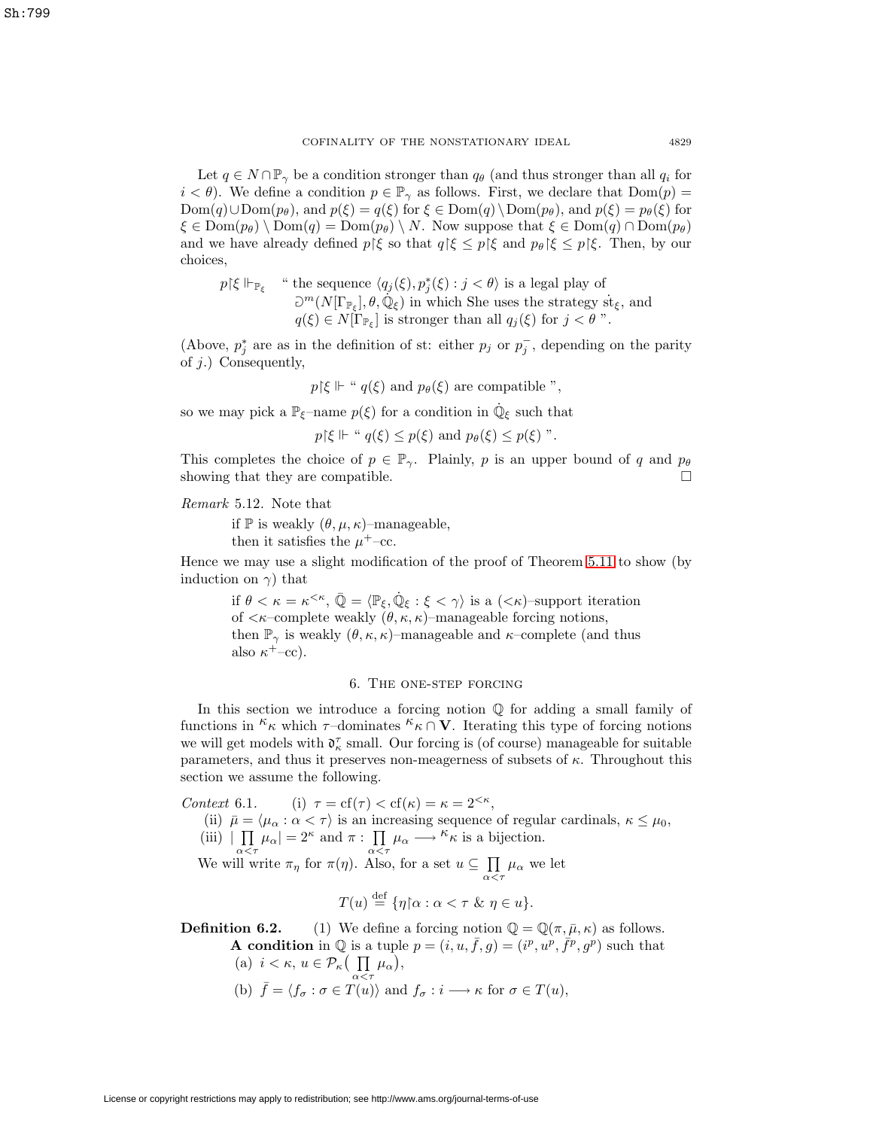Let  $q \in N \cap \mathbb{P}_{\gamma}$  be a condition stronger than  $q_{\theta}$  (and thus stronger than all  $q_i$  for  $i < \theta$ ). We define a condition  $p \in \mathbb{P}_{\gamma}$  as follows. First, we declare that  $Dom(p) =$  $Dom(q) \cup Dom(p_\theta)$ , and  $p(\xi) = q(\xi)$  for  $\xi \in Dom(q) \setminus Dom(p_\theta)$ , and  $p(\xi) = p_\theta(\xi)$  for  $\xi \in \text{Dom}(p_{\theta}) \setminus \text{Dom}(q) = \text{Dom}(p_{\theta}) \setminus N$ . Now suppose that  $\xi \in \text{Dom}(q) \cap \text{Dom}(p_{\theta})$ and we have already defined  $p \nvert \xi$  so that  $q \nvert \xi \leq p \nvert \xi$  and  $p_\theta \nvert \xi \leq p \nvert \xi$ . Then, by our choices,

$$
p \restriction \xi \Vdash_{\mathbb{P}_{\xi}}
$$
 "the sequence  $\langle q_j(\xi), p_j^*(\xi) : j < \theta \rangle$  is a legal play of  $\partial^m(N[\Gamma_{\mathbb{P}_{\xi}}], \theta, \mathbb{Q}_{\xi})$  in which She uses the strategy  $\text{st}_{\xi}$ , and  $q(\xi) \in N[\Gamma_{\mathbb{P}_{\xi}}]$  is stronger than all  $q_j(\xi)$  for  $j < \theta$ ".

(Above,  $p_j^*$  are as in the definition of st: either  $p_j$  or  $p_j^-$ , depending on the parity of j.) Consequently,

$$
p{\restriction}\xi \Vdash \text{`` } q(\xi) \text{ and } p_\theta(\xi) \text{ are compatible ''},
$$

so we may pick a  $\mathbb{P}_{\xi}$ –name  $p(\xi)$  for a condition in  $\dot{\mathbb{Q}}_{\xi}$  such that

 $p\{\xi \Vdash "q(\xi) \leq p(\xi) \text{ and } p_{\theta}(\xi) \leq p(\xi) \text{''}.$ 

This completes the choice of  $p \in \mathbb{P}_{\gamma}$ . Plainly, p is an upper bound of q and  $p_{\theta}$ showing that they are compatible.  $\Box$ 

Remark 5.12. Note that

if  $\mathbb P$  is weakly  $(\theta, \mu, \kappa)$ –manageable,

then it satisfies the  $\mu^+$ –cc.

Hence we may use a slight modification of the proof of Theorem [5.11](#page-14-0) to show (by induction on  $\gamma$ ) that

if  $\theta < \kappa = \kappa^{<\kappa}$ ,  $\overline{\mathbb{Q}} = \langle \mathbb{P}_{\xi}, \mathbb{Q}_{\xi} : \xi < \gamma \rangle$  is a  $(<\kappa$ )-support iteration of  $\langle \kappa$ -complete weakly  $(\theta, \kappa, \kappa)$ -manageable forcing notions, then  $\mathbb{P}_{\gamma}$  is weakly  $(\theta, \kappa, \kappa)$ –manageable and  $\kappa$ –complete (and thus also  $\kappa^+$ –cc).

### 6. The one-step forcing

In this section we introduce a forcing notion  $\mathbb Q$  for adding a small family of functions in <sup> $\kappa$ </sup><sub>K</sub> which  $\tau$ –dominates  $\kappa$ <sub>K</sub> ∩ **V**. Iterating this type of forcing notions we will get models with  $\mathfrak{d}_\kappa^\tau$  small. Our forcing is (of course) manageable for suitable parameters, and thus it preserves non-meagerness of subsets of  $\kappa$ . Throughout this section we assume the following.

Context 6.1. (i)  $\tau = cf(\tau) < cf(\kappa) = \kappa = 2^{<\kappa}$ ,

- (ii)  $\bar{\mu} = \langle \mu_{\alpha} : \alpha < \tau \rangle$  is an increasing sequence of regular cardinals,  $\kappa \leq \mu_0$ ,
- (iii)  $|\prod_{\alpha}^{\infty} \mu_{\alpha}| = 2^{\kappa}$  and  $\pi : \prod_{\alpha}^{\infty} \mu_{\alpha} \longrightarrow^{\kappa} \kappa$  is a bijection.

We will write  $\pi_{\eta}$  for  $\pi(\eta)$ . Also, for a set  $u \subseteq \prod$  $\prod_{\alpha<\tau}\mu_\alpha$  we let

$$
T(u) \stackrel{\text{def}}{=} \{ \eta \, | \, \alpha : \alpha < \tau \, \& \eta \in u \}.
$$

<span id="page-16-0"></span>**Definition 6.2.** (1) We define a forcing notion  $\mathbb{Q} = \mathbb{Q}(\pi, \bar{\mu}, \kappa)$  as follows. **A condition** in  $\mathbb Q$  is a tuple  $p = (i, u, \bar{f}, g) = (i^p, u^p, \bar{f}^p, g^p)$  such that (a)  $i < \kappa, u \in \mathcal{P}_{\kappa}(\prod$  $\prod_{\alpha<\tau}\mu_{\alpha}$ ),

(b) 
$$
\bar{f} = \langle f_{\sigma} : \sigma \in T(u) \rangle
$$
 and  $f_{\sigma} : i \longrightarrow \kappa$  for  $\sigma \in T(u)$ ,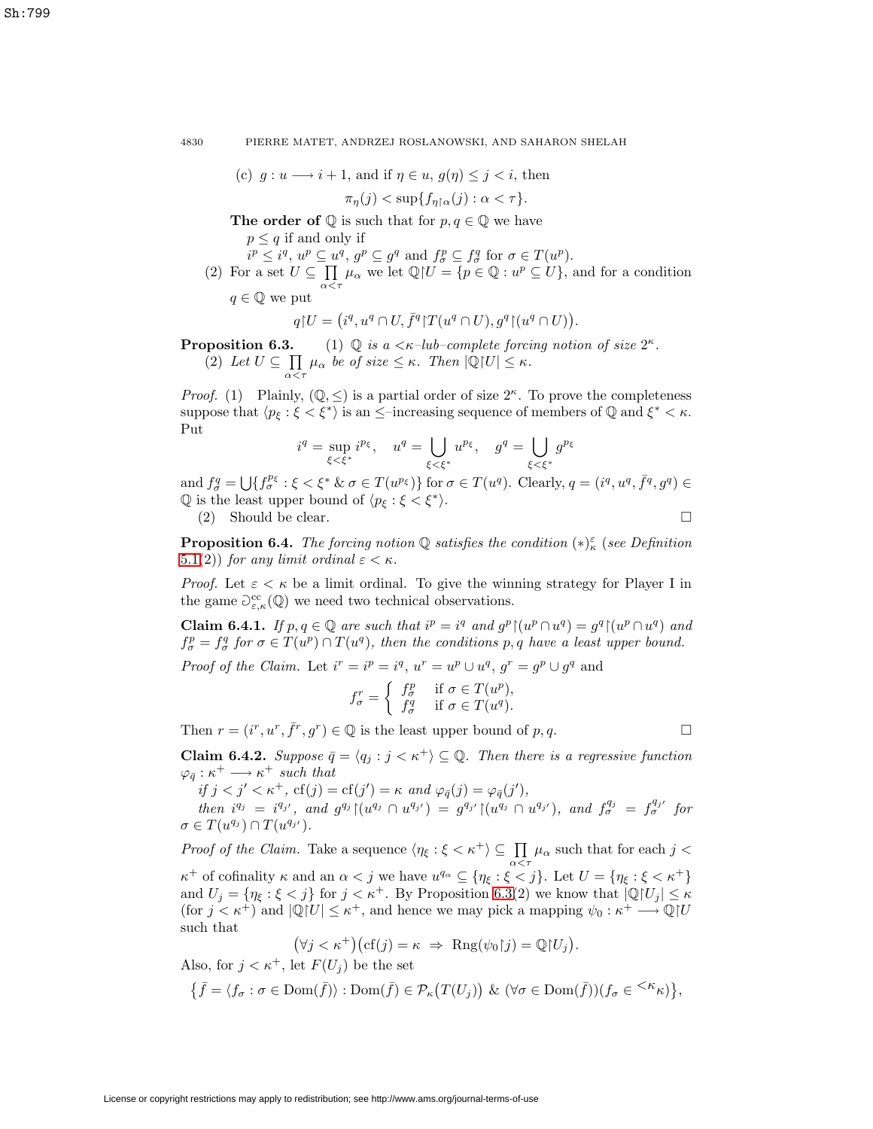4830 PIERRE MATET, ANDRZEJ ROSLANOWSKI, AND SAHARON SHELAH

(c) 
$$
g: u \longrightarrow i+1
$$
, and if  $\eta \in u$ ,  $g(\eta) \leq j < i$ , then

$$
\pi_{\eta}(j) < \sup\{f_{\eta \upharpoonright \alpha}(j) : \alpha < \tau\}.
$$

**The order of**  $\mathbb Q$  is such that for  $p, q \in \mathbb Q$  we have

 $p \leq q$  if and only if

 $i^p \leq i^q, u^p \subseteq u^q, g^p \subseteq g^q$  and  $f^p_\sigma \subseteq f^q_\sigma$  for  $\sigma \in T(u^p)$ .

(2) For a set  $U \subseteq \prod$  $\prod_{\alpha \leq \tau} \mu_{\alpha}$  we let  $\mathbb{Q}[U = \{p \in \mathbb{Q} : u^p \subseteq U\}$ , and for a condition

$$
q \in \mathbb{Q}
$$
 we put

$$
q U = (i^q, u^q \cap U, \overline{f}^q) T(u^q \cap U), g^q \upharpoonright (u^q \cap U)).
$$

<span id="page-17-0"></span>**Proposition 6.3.** (1)  $\mathbb{Q}$  is a  $\lt \kappa$ -lub-complete forcing notion of size  $2^{\kappa}$ .  $(2)$  Let  $U \subseteq \prod$  $\prod_{\alpha<\tau}\mu_{\alpha}$  be of size  $\leq\kappa$ . Then  $|\mathbb{Q}[U]\leq\kappa$ .

*Proof.* (1) Plainly,  $(\mathbb{Q}, \leq)$  is a partial order of size  $2^{\kappa}$ . To prove the completeness suppose that  $\langle p_{\xi} : \xi \langle \xi^* \rangle$  is an  $\leq$ –increasing sequence of members of  $\mathbb{Q}$  and  $\xi^* \langle \xi \rangle$ . Put

$$
i^q = \sup_{\xi < \xi^*} i^{p_\xi}, \quad u^q = \bigcup_{\xi < \xi^*} u^{p_\xi}, \quad g^q = \bigcup_{\xi < \xi^*} g^{p_\xi}
$$

and  $f_{\sigma}^q = \bigcup \{ f_{\sigma}^{p_{\xi}} : \xi < \xi^* \& \sigma \in T(u^{p_{\xi}}) \}$  for  $\sigma \in T(u^q)$ . Clearly,  $q = (i^q, u^q, \overline{f}^q, g^q) \in$  $\mathbb Q$  is the least upper bound of  $\langle p_{\xi} : \xi < \xi^* \rangle$ .  $\Box$ 

 $(2)$  Should be clear.

<span id="page-17-1"></span>**Proposition 6.4.** The forcing notion  $\mathbb{Q}$  satisfies the condition  $(*)_\kappa^{\varepsilon}$  (see Definition [5.1\(](#page-11-0)2)) for any limit ordinal  $\varepsilon < \kappa$ .

<span id="page-17-3"></span>*Proof.* Let  $\varepsilon < \kappa$  be a limit ordinal. To give the winning strategy for Player I in the game  $\mathcal{D}^{\text{cc}}_{\varepsilon,\kappa}(\mathbb{Q})$  we need two technical observations.

**Claim 6.4.1.** If  $p, q \in \mathbb{Q}$  are such that  $i^p = i^q$  and  $g^p \mid (u^p \cap u^q) = g^q \mid (u^p \cap u^q)$  and  $f_{\sigma}^p = f_{\sigma}^q$  for  $\sigma \in T(u^p) \cap T(u^q)$ , then the conditions p, q have a least upper bound.

*Proof of the Claim.* Let  $i^r = i^p = i^q$ ,  $u^r = u^p \cup u^q$ ,  $g^r = g^p \cup g^q$  and

$$
f_{\sigma}^r = \begin{cases} f_{\sigma}^p & \text{if } \sigma \in T(u^p), \\ f_{\sigma}^q & \text{if } \sigma \in T(u^q). \end{cases}
$$

Then  $r = (i^r, u^r, \bar{f}^r, g^r) \in \mathbb{Q}$  is the least upper bound of  $p, q$ .

<span id="page-17-2"></span>**Claim 6.4.2.** Suppose  $\bar{q} = \langle q_i : j \leq \kappa^+ \rangle \subseteq \mathbb{Q}$ . Then there is a regressive function  $\varphi_{\bar{g}} : \kappa^+ \longrightarrow \kappa^+$  such that

if  $j < j' < \kappa^+$ ,  $cf(j) = cf(j') = \kappa$  and  $\varphi_{\bar{q}}(j) = \varphi_{\bar{q}}(j')$ ,

then  $i^{q_j} = i^{q_{j'}}$ , and  $g^{q_j} \mid (u^{q_j} \cap u^{q_{j'}}) = g^{q_{j'}} \mid (u^{q_j} \cap u^{q_{j'}})$ , and  $f_{\sigma}^{q_j} = f_{\sigma}^{q_{j'}}$  for  $\sigma \in T(u^{q_j}) \cap T(u^{q_{j'}}).$ 

*Proof of the Claim.* Take a sequence  $\langle \eta_{\xi} : \xi \langle \kappa^+ \rangle \subseteq \prod$  $\prod_{\alpha \leq \tau} \mu_{\alpha}$  such that for each  $j <$  $\kappa^+$  of cofinality  $\kappa$  and an  $\alpha < j$  we have  $u^{q_\alpha} \subseteq \{\eta_\xi : \xi < j\}$ . Let  $U = \{\eta_\xi : \xi < \kappa^+\}$ and  $U_j = \{\eta_{\xi} : \xi < j\}$  for  $j < \kappa^+$ . By Proposition [6.3\(](#page-17-0)2) we know that  $|\mathbb{Q}[U_j] \leq \kappa$ (for  $j < \kappa^+$ ) and  $|\mathbb{Q}[U] \leq \kappa^+$ , and hence we may pick a mapping  $\psi_0 : \kappa^+ \longrightarrow \mathbb{Q}[U]$ such that

$$
(\forall j < \kappa^+) \big( \text{cf}(j) = \kappa \ \Rightarrow \ \text{Rng}(\psi_0 | j) = \mathbb{Q} | U_j \big).
$$

Also, for  $j < \kappa^+$ , let  $F(U_j)$  be the set

$$
\big\{\bar{f}=\langle f_\sigma:\sigma\in\text{Dom}(\bar{f})\rangle:\text{Dom}(\bar{f})\in\mathcal{P}_\kappa\big(T(U_j)\big)\ \&\ (\forall\sigma\in\text{Dom}(\bar{f}))(f_\sigma\in{}^{<\kappa}\kappa)\big\},
$$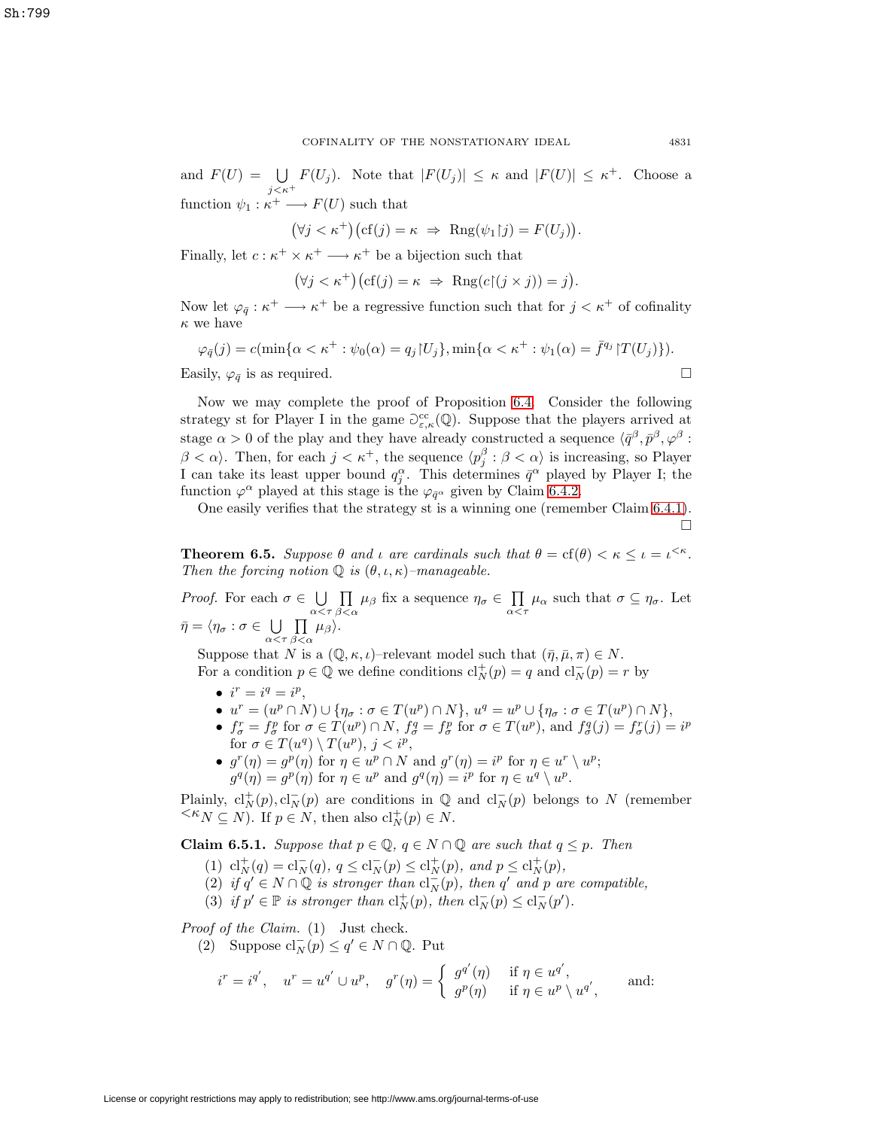and  $F(U) = \bigcup F(U_j)$ . Note that  $|F(U_j)| \leq \kappa$  and  $|F(U)| \leq \kappa^+$ . Choose a  $j<\kappa^+$ function  $\psi_1 : \kappa^+ \longrightarrow F(U)$  such that

 $(\forall j < \kappa^+)(cf(j) = \kappa \Rightarrow \text{Rng}(\psi_1|j) = F(U_j)).$ 

Finally, let  $c : \kappa^+ \times \kappa^+ \longrightarrow \kappa^+$  be a bijection such that

$$
(\forall j < \kappa^+) \big( \text{cf}(j) = \kappa \ \Rightarrow \ \text{Rng}(c \upharpoonright (j \times j)) = j \big).
$$

Now let  $\varphi_{\bar{q}} : \kappa^+ \longrightarrow \kappa^+$  be a regressive function such that for  $j < \kappa^+$  of cofinality  $\kappa$  we have

$$
\varphi_{\bar{q}}(j) = c(\min{\alpha < \kappa^+ : \psi_0(\alpha) = q_j | U_j}, \min{\alpha < \kappa^+ : \psi_1(\alpha) = \bar{f}^{q_j} | T(U_j) }).
$$

Easily,  $\varphi_{\bar{q}}$  is as required.  $\Box$ 

Now we may complete the proof of Proposition [6.4.](#page-17-1) Consider the following strategy st for Player I in the game  $\partial_{\varepsilon,\kappa}^{cc}(\mathbb{Q})$ . Suppose that the players arrived at stage  $\alpha > 0$  of the play and they have already constructed a sequence  $\langle \bar{q}^{\beta}, \bar{p}^{\beta}, \varphi^{\beta}$ :  $\beta < \alpha$ . Then, for each  $j < \kappa^+$ , the sequence  $\langle p_j^{\beta} : \beta < \alpha \rangle$  is increasing, so Player I can take its least upper bound  $q_j^{\alpha}$ . This determines  $\bar{q}^{\alpha}$  played by Player I; the function  $\varphi^{\alpha}$  played at this stage is the  $\varphi_{\bar{q}}$  given by Claim [6.4.2.](#page-17-2)

One easily verifies that the strategy st is a winning one (remember Claim [6.4.1\)](#page-17-3).

 $\Box$ 

<span id="page-18-1"></span>**Theorem 6.5.** Suppose  $\theta$  and  $\iota$  are cardinals such that  $\theta = \text{cf}(\theta) < \kappa \leq \iota = \iota^{<\kappa}$ . Then the forcing notion  $\mathbb Q$  is  $(\theta, \iota, \kappa)$ -manageable.

*Proof.* For each  $\sigma \in \bigcup_{\alpha < \tau} \prod_{\beta < \alpha}$  $\prod_{\beta<\alpha}\mu_{\beta}$  fix a sequence  $\eta_{\sigma}\in\prod_{\alpha<\alpha}$  $\prod_{\alpha<\tau}\mu_{\alpha}$  such that  $\sigma\subseteq\eta_{\sigma}$ . Let  $\bar{\eta}=\langle \eta_\sigma: \sigma\in \bigcup\limits_{\alpha<\tau}\prod\limits_{\beta<\epsilon}$  $\prod_{\beta<\alpha}\mu_{\beta}\rangle.$ 

Suppose that N is a  $(\mathbb{Q}, \kappa, \iota)$ –relevant model such that  $(\bar{\eta}, \bar{\mu}, \pi) \in N$ . For a condition  $p \in \mathbb{Q}$  we define conditions  $cl_N^+(p) = q$  and  $cl_N^-(p) = r$  by

- $i^r = i^q = i^p$ ,
- $u^r = (u^p \cap N) \cup \{ \eta_\sigma : \sigma \in T(u^p) \cap N \}, u^q = u^p \cup \{ \eta_\sigma : \sigma \in T(u^p) \cap N \},$
- $f_{\sigma}^r = f_{\sigma}^p$  for  $\sigma \in T(u^p) \cap N$ ,  $f_{\sigma}^q = f_{\sigma}^p$  for  $\sigma \in T(u^p)$ , and  $f_{\sigma}^q(j) = f_{\sigma}^r(j) = i^p$ for  $\sigma \in T(u^q) \setminus T(u^p), j < i^p$ ,
- $g^r(\eta) = g^p(\eta)$  for  $\eta \in u^p \cap N$  and  $g^r(\eta) = i^p$  for  $\eta \in u^r \setminus u^p$ ;  $g^q(\eta) = g^p(\eta)$  for  $\eta \in u^p$  and  $g^q(\eta) = i^p$  for  $\eta \in u^q \setminus u^p$ .

Plainly,  $\text{cl}_N^+(p)$ ,  $\text{cl}_N^-(p)$  are conditions in  $\mathbb Q$  and  $\text{cl}_N^-(p)$  belongs to N (remember  $\leq K_N \subseteq N$ ). If  $p \in N$ , then also  $\mathrm{cl}_N^+(p) \in N$ .

<span id="page-18-0"></span>**Claim 6.5.1.** Suppose that  $p \in \mathbb{Q}$ ,  $q \in N \cap \mathbb{Q}$  are such that  $q \leq p$ . Then

- (1)  $\mathrm{cl}_N^+(q) = \mathrm{cl}_N^-(q), q \leq \mathrm{cl}_N^-(p) \leq \mathrm{cl}_N^+(p), \text{ and } p \leq \mathrm{cl}_N^+(p),$
- (2) if  $q' \in N \cap \mathbb{Q}$  is stronger than  $cl_N^-(p)$ , then  $q'$  and p are compatible,
- (3) if  $p' \in \mathbb{P}$  is stronger than  $\mathrm{cl}_N^+(p)$ , then  $\mathrm{cl}_N^-(p) \leq \mathrm{cl}_N^-(p').$

Proof of the Claim. (1) Just check.

(2) Suppose  $\text{cl}_N^-(p) \le q' \in N \cap \mathbb{Q}$ . Put

$$
i^r = i^{q'}, \quad u^r = u^{q'} \cup u^p, \quad g^r(\eta) = \begin{cases} g^{q'}(\eta) & \text{if } \eta \in u^{q'}, \\ g^p(\eta) & \text{if } \eta \in u^p \setminus u^{q'}, \end{cases} \quad \text{and:}
$$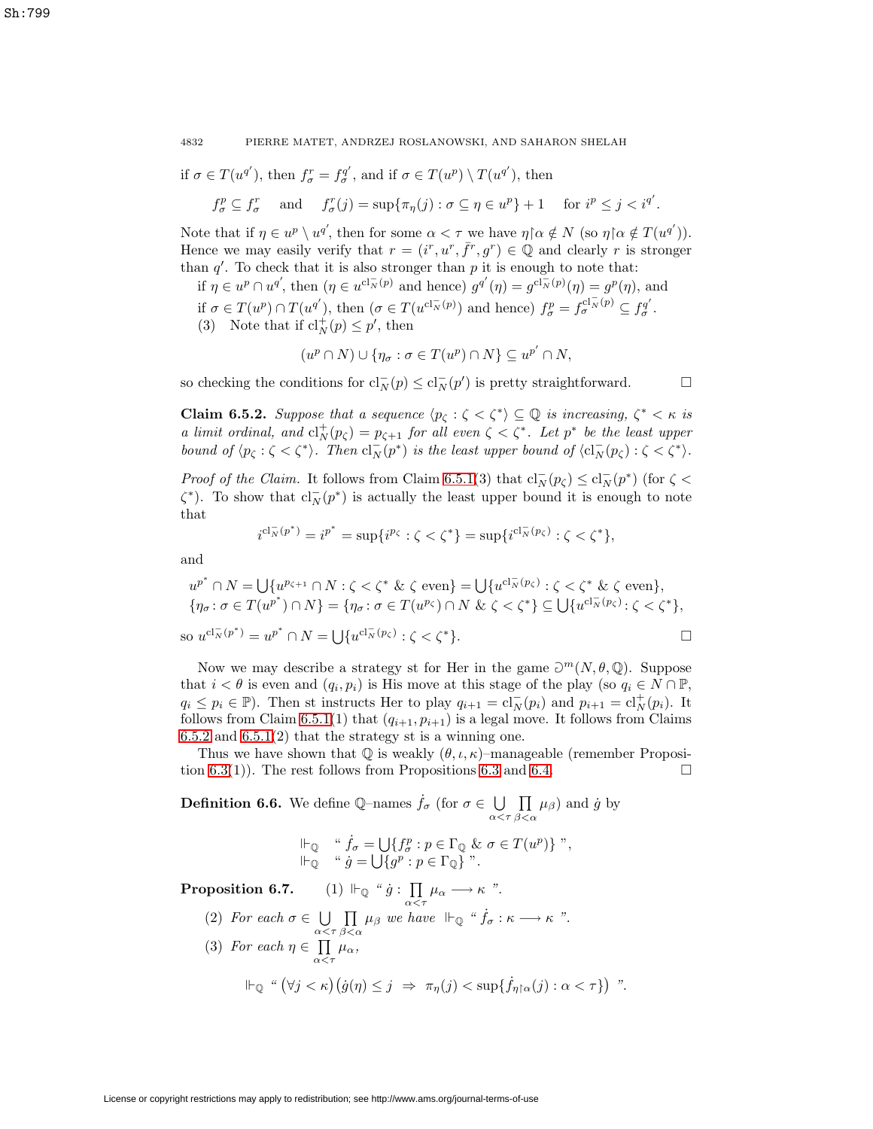if 
$$
\sigma \in T(u^{q'})
$$
, then  $f_{\sigma}^r = f_{\sigma}^{q'}$ , and if  $\sigma \in T(u^p) \setminus T(u^{q'})$ , then

$$
f_{\sigma}^p \subseteq f_{\sigma}^r \quad \text{ and } \quad f_{\sigma}^r(j) = \sup \{ \pi_{\eta}(j) : \sigma \subseteq \eta \in u^p \} + 1 \quad \text{ for } i^p \le j < i^{q'}.
$$

Note that if  $\eta \in u^p \setminus u^{q'}$ , then for some  $\alpha < \tau$  we have  $\eta \upharpoonright \alpha \notin N$  (so  $\eta \upharpoonright \alpha \notin T(u^{q'})$ ). Hence we may easily verify that  $r = (i^r, u^r, \bar{f}^r, g^r) \in \mathbb{Q}$  and clearly r is stronger than  $q'$ . To check that it is also stronger than  $p$  it is enough to note that:

if  $\eta \in u^p \cap u^{q'}$ , then  $(\eta \in u^{cl^{\perp}_{N}(p)}$  and hence)  $g^{q'}(\eta) = g^{cl^{\perp}_{N}(p)}(\eta) = g^{p}(\eta)$ , and if  $\sigma \in T(u^p) \cap T(u^{q'})$ , then  $(\sigma \in T(u^{cl_{\overline{N}}(p)})$  and hence)  $f_{\sigma}^p = f_{\sigma}^{cl_{\overline{N}}(p)} \subseteq f_{\sigma}^{q'}$ . (3) Note that if  $\text{cl}_N^+(p) \leq p'$ , then

$$
(u^p \cap N) \cup \{ \eta_\sigma : \sigma \in T(u^p) \cap N \} \subseteq u^{p'} \cap N,
$$

so checking the conditions for  $cl_N^-(p) \leq cl_N^-(p')$  is pretty straightforward.  $\Box$ 

<span id="page-19-0"></span>**Claim 6.5.2.** Suppose that a sequence  $\langle p_{\zeta} : \zeta \langle \zeta^* \rangle \subseteq \mathbb{Q}$  is increasing,  $\zeta^* \langle \zeta \rangle$  is a limit ordinal, and  $\mathrm{cl}_N^+(p_{\zeta}) = p_{\zeta+1}$  for all even  $\zeta \leq \zeta^*$ . Let  $p^*$  be the least upper bound of  $\langle p_{\zeta} : \zeta \langle \zeta^* \rangle$ . Then  $cl_N^-(p^*)$  is the least upper bound of  $\langle cl_N^-(p_{\zeta}) : \zeta \langle \zeta^* \rangle$ .

*Proof of the Claim.* It follows from Claim [6.5.1\(](#page-18-0)3) that  $cl_N^-(p_\zeta) \leq cl_N^-(p^*)$  (for  $\zeta$  <  $\zeta^*$ ). To show that  $cl_N^-(p^*)$  is actually the least upper bound it is enough to note that

$$
i^{\mathrm{cl}_N^-(p^*)} = i^{p^*} = \sup\{i^{p_{\zeta}} : \zeta < \zeta^*\} = \sup\{i^{\mathrm{cl}_N^-(p_{\zeta})} : \zeta < \zeta^*\},
$$

and

$$
u^{p^*} \cap N = \bigcup \{ u^{p_{\zeta+1}} \cap N : \zeta < \zeta^* \& \zeta \text{ even} \} = \bigcup \{ u^{c l_N^{-}(p_{\zeta})} : \zeta < \zeta^* \& \zeta \text{ even} \},
$$
  

$$
\{ \eta_{\sigma} : \sigma \in T(u^{p^*}) \cap N \} = \{ \eta_{\sigma} : \sigma \in T(u^{p_{\zeta}}) \cap N \& \zeta < \zeta^* \} \subseteq \bigcup \{ u^{c l_N^{-}(p_{\zeta})} : \zeta < \zeta^* \},
$$

so  $u^{\mathrm{cl}_N^-(p^*)} = u^{p^*} \cap N = \bigcup \{ u^{\mathrm{cl}_N^-(p_\zeta)} : \zeta < \zeta^* \}.$ 

Now we may describe a strategy st for Her in the game 
$$
\partial^m(N, \theta, \mathbb{Q})
$$
. Suppose that  $i < \theta$  is even and  $(q_i, p_i)$  is His move at this stage of the play (so  $q_i \in N \cap \mathbb{P}$ ,  $q_i \leq p_i \in \mathbb{P}$ ). Then st instructs Her to play  $q_{i+1} = cl_N^-(p_i)$  and  $p_{i+1} = cl_N^+(p_i)$ . It follows from Claim 6.5.1(1) that  $(q_{i+1}, p_{i+1})$  is a legal move. It follows from Claim 6.5.2 and 6.5.1(2) that the strategy st is a winning one.

Thus we have shown that  $\mathbb Q$  is weakly  $(\theta, \iota, \kappa)$ –manageable (remember Proposi-tion [6.3\(](#page-17-0)1)). The rest follows from Propositions [6.3](#page-17-0) and [6.4.](#page-17-1)  $\Box$ 

<span id="page-19-1"></span>**Definition 6.6.** We define Q-names  $\dot{f}_{\sigma}$  (for  $\sigma \in \bigcup_{\alpha < \tau} \prod_{\beta < \alpha}$  $\prod_{\beta<\alpha}\mu_{\beta}$  and  $\dot{g}$  by

$$
\begin{array}{ll}\n\Vdash_{\mathbb{Q}} & \text{`` } \dot{f}_{\sigma} = \bigcup \{ f_{\sigma}^p : p \in \Gamma_{\mathbb{Q}} \& \sigma \in T(u^p) \} \text{ ''}, \\
\Vdash_{\mathbb{Q}} & \text{`` } \dot{g} = \bigcup \{ g^p : p \in \Gamma_{\mathbb{Q}} \} \text{ ''}.\n\end{array}
$$

<span id="page-19-2"></span> $\textbf{Proposition 6.7.} \qquad (1) \Vdash_{\mathbb{Q}} \text{``$\dot{g}$. } \prod$  $\prod_{\alpha<\tau}\mu_\alpha\longrightarrow\kappa$  ".

(2) For each  $\sigma \in \bigcup_{\alpha < \tau} \prod_{\beta < \alpha}$  $\prod_{\beta<\alpha}\mu_{\beta}$  we have  $\Vdash_{\mathbb{Q}}$  " $\dot{f}_{\sigma} : \kappa \longrightarrow \kappa$  ". (3) For each  $\eta \in \Pi$  $\prod_{\alpha<\tau}\mu_\alpha,$  $\Vdash_{\mathbb{Q}} \text{`` } (\forall j < \kappa)(\dot{g}(\eta) \leq j \Rightarrow \pi_{\eta}(j) < \sup\{\dot{f}_{\eta \upharpoonright \alpha}(j) : \alpha < \tau\})$  ".

$$
\Box
$$

 $\Box$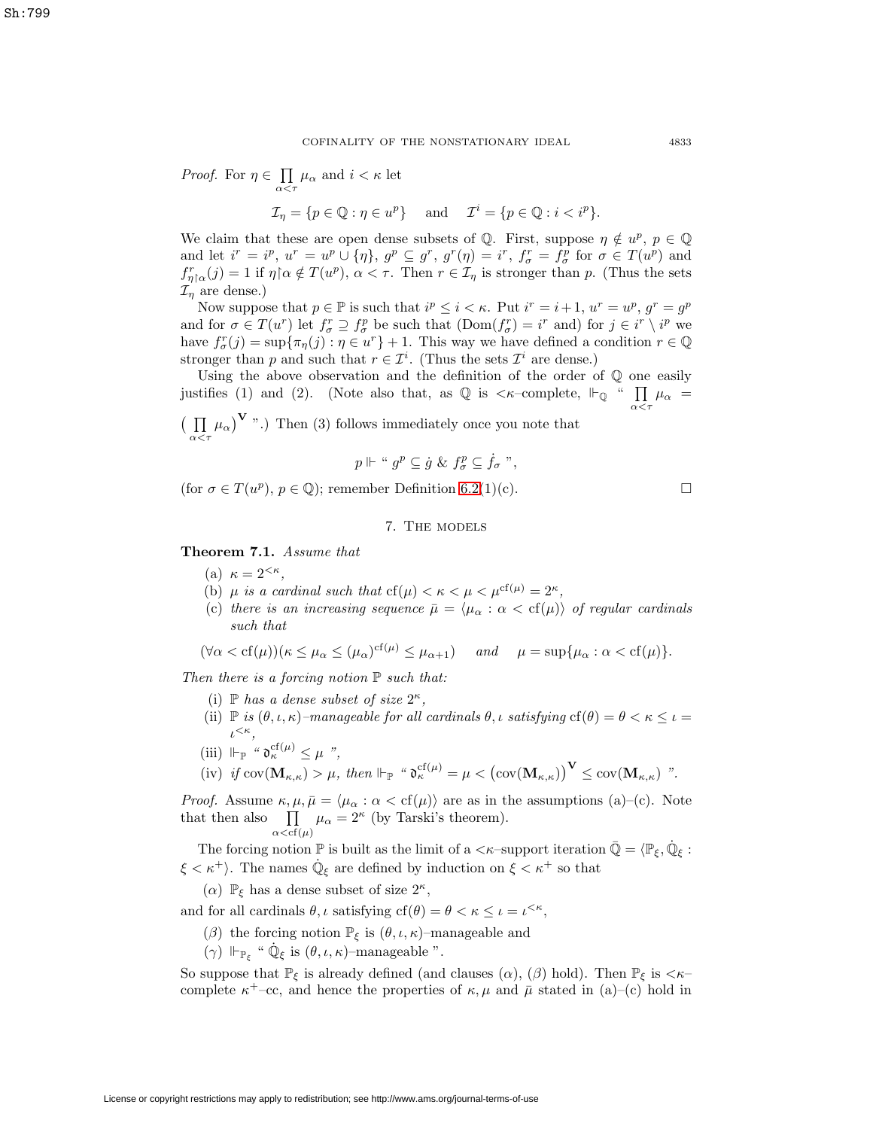*Proof.* For  $\eta \in \Pi$  $\prod_{\alpha < \tau} \mu_{\alpha}$  and  $i < \kappa$  let

$$
\mathcal{I}_{\eta} = \{ p \in \mathbb{Q} : \eta \in u^p \} \quad \text{and} \quad \mathcal{I}^i = \{ p \in \mathbb{Q} : i < i^p \}.
$$

We claim that these are open dense subsets of Q. First, suppose  $\eta \notin u^p$ ,  $p \in \mathbb{Q}$ and let  $i^r = i^p$ ,  $u^r = u^p \cup {\{\eta\}}$ ,  $g^p \subseteq g^r$ ,  $g^r(\eta) = i^r$ ,  $f^r_\sigma = f^p_\sigma$  for  $\sigma \in T(u^p)$  and  $f_{\eta\upharpoonright\alpha}^r(j) = 1$  if  $\eta\upharpoonright\alpha \notin T(u^p), \ \alpha < \tau$ . Then  $r \in \mathcal{I}_{\eta}$  is stronger than p. (Thus the sets  $\mathcal{I}_\eta$  are dense.)

Now suppose that  $p \in \mathbb{P}$  is such that  $i^p \leq i < \kappa$ . Put  $i^r = i + 1$ ,  $u^r = u^p$ ,  $g^r = g^p$ and for  $\sigma \in T(u^r)$  let  $f_{\sigma}^r \supseteq f_{\sigma}^p$  be such that  $(Dom(f_{\sigma}^r) = i^r$  and) for  $j \in i^r \setminus i^p$  we have  $f_{\sigma}^r(j) = \sup \{ \pi_{\eta}(j) : \eta \in u^r \} + 1$ . This way we have defined a condition  $r \in \mathbb{Q}$ stronger than p and such that  $r \in \mathcal{I}^i$ . (Thus the sets  $\mathcal{I}^i$  are dense.)

Using the above observation and the definition of the order of Q one easily justifies (1) and (2). (Note also that, as  $\mathbb Q$  is  $\lt \kappa$ -complete,  $\mathbb H_{\mathbb Q}$  "  $\prod$  $\prod_{\alpha<\tau}\mu_\alpha =$ 

 $\left( \Pi \right)$  $\prod_{\alpha \leq \tau} \mu_{\alpha}$   $\mathbf{V}$  ".) Then (3) follows immediately once you note that

$$
p \Vdash " gp \subseteq \dot{g} \& f_{\sigma}^{p} \subseteq \dot{f}_{\sigma}"
$$

(for  $\sigma \in T(u^p)$ ,  $p \in \mathbb{Q}$ ); remember Definition [6.2\(](#page-16-0)1)(c).

# 7. The models

<span id="page-20-0"></span>**Theorem 7.1.** Assume that

- (a)  $\kappa = 2^{<\kappa}$ ,
- (b)  $\mu$  is a cardinal such that  $cf(\mu) < \kappa < \mu < \mu^{cf(\mu)} = 2^{\kappa}$ ,
- (c) there is an increasing sequence  $\bar{\mu} = \langle \mu_{\alpha} : \alpha < \text{cf}(\mu) \rangle$  of regular cardinals such that

$$
(\forall \alpha < cf(\mu))(\kappa \le \mu_\alpha \le (\mu_\alpha)^{cf(\mu)} \le \mu_{\alpha+1}) \quad \text{and} \quad \mu = \sup \{\mu_\alpha : \alpha < cf(\mu)\}.
$$

Then there is a forcing notion  $\mathbb P$  such that:

- (i)  $\mathbb P$  has a dense subset of size  $2^{\kappa}$ ,
- (ii)  $\mathbb P$  is  $(\theta, \iota, \kappa)$ -manageable for all cardinals  $\theta, \iota$  satisfying  $cf(\theta) = \theta < \kappa \leq \iota$  $\iota^{<\kappa},$
- (iii)  $\Vdash_{\mathbb{P}}$  "  $\mathfrak{d}_{\kappa}^{cf(\mu)} \leq \mu$  ",

 $(iv)$  if  $cov(\mathbf{M}_{\kappa,\kappa}) > \mu$ , then  $\Vdash_{\mathbb{P}}$  " $\mathfrak{d}_{\kappa}^{cf(\mu)} = \mu < (cov(\mathbf{M}_{\kappa,\kappa}))^{\mathbf{V}} \leq cov(\mathbf{M}_{\kappa,\kappa})$  ".

*Proof.* Assume  $\kappa, \mu, \bar{\mu} = \langle \mu_{\alpha} : \alpha < \text{cf}(\mu) \rangle$  are as in the assumptions (a)–(c). Note that then also  $\Pi$  $\prod_{\alpha < \text{cf}(\mu)} \mu_{\alpha} = 2^{\kappa}$  (by Tarski's theorem).

The forcing notion  $\mathbb P$  is built as the limit of a  $<\kappa$ -support iteration  $\bar{\mathbb Q}=\langle \mathbb P_\xi, \mathbb Q_\xi:$  $\xi < \kappa^+$ . The names  $\mathbb{Q}_{\xi}$  are defined by induction on  $\xi < \kappa^+$  so that

( $\alpha$ )  $\mathbb{P}_{\xi}$  has a dense subset of size  $2^{\kappa}$ ,

and for all cardinals  $\theta$ ,  $\iota$  satisfying  $cf(\theta) = \theta < \kappa \leq \iota = \iota^{<\kappa}$ ,

- ( $\beta$ ) the forcing notion  $\mathbb{P}_{\xi}$  is  $(\theta, \iota, \kappa)$ –manageable and
- (γ)  $\Vdash_{\mathbb{P}_{\xi}}$  "  $\dot{\mathbb{Q}}_{\xi}$  is  $(\theta, \iota, \kappa)$ -manageable ".

So suppose that  $\mathbb{P}_{\xi}$  is already defined (and clauses  $(\alpha)$ ,  $(\beta)$  hold). Then  $\mathbb{P}_{\xi}$  is  $\lt \kappa$ complete  $\kappa^+$ –cc, and hence the properties of  $\kappa, \mu$  and  $\bar{\mu}$  stated in (a)–(c) hold in

 $\Box$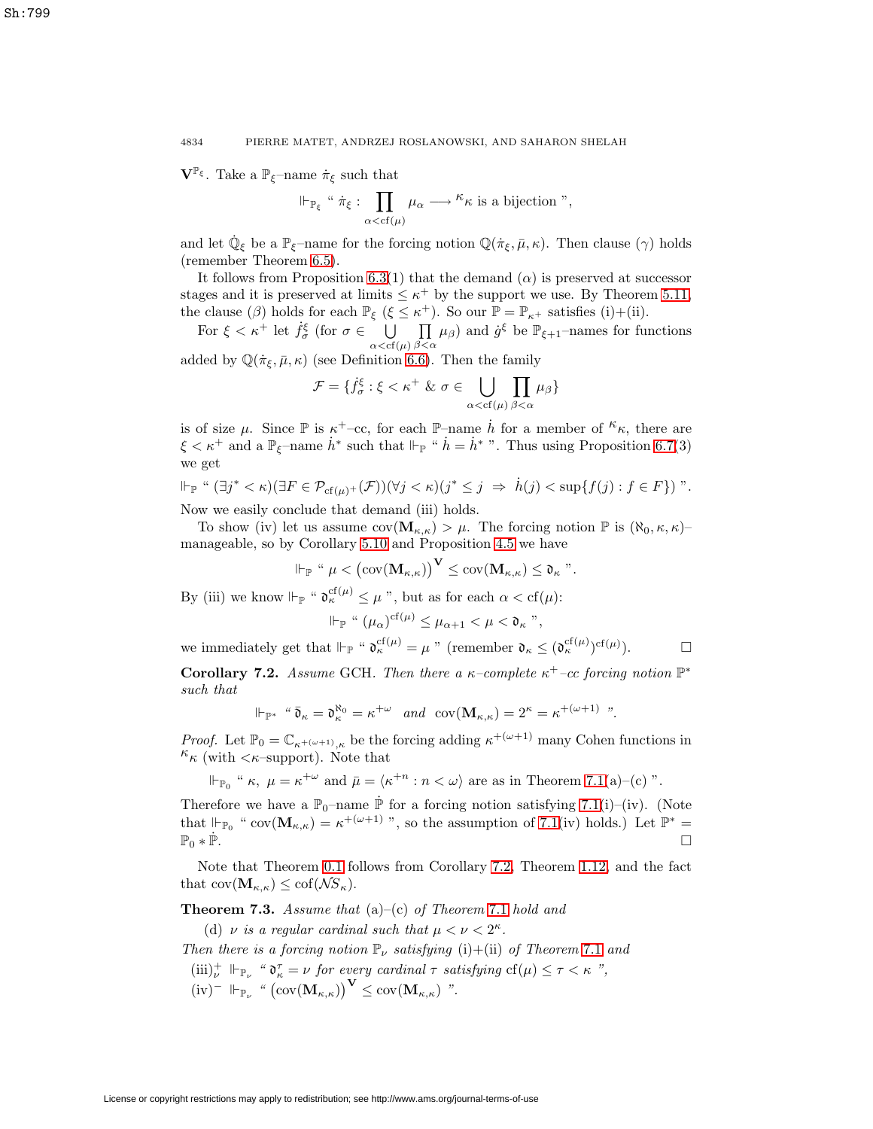$\mathbf{V}^{\mathbb{P}_{\xi}}$ . Take a  $\mathbb{P}_{\xi}$ –name  $\dot{\pi}_{\xi}$  such that

$$
\Vdash_{\mathbb{P}_{\xi}} \text{``}\ \dot{\pi}_{\xi} : \prod_{\alpha < \text{cf}(\mu)} \mu_{\alpha} \longrightarrow \text{``$\kappa$ is a bijection''},
$$

and let  $\dot{\mathbb{Q}}_{\xi}$  be a  $\mathbb{P}_{\xi}$ –name for the forcing notion  $\mathbb{Q}(\dot{\pi}_{\xi}, \bar{\mu}, \kappa)$ . Then clause  $(\gamma)$  holds (remember Theorem [6.5\)](#page-18-1).

It follows from Proposition [6.3\(](#page-17-0)1) that the demand  $(\alpha)$  is preserved at successor stages and it is preserved at limits  $\leq \kappa^+$  by the support we use. By Theorem [5.11,](#page-14-0) the clause ( $\beta$ ) holds for each  $\mathbb{P}_{\xi}$  ( $\xi \leq \kappa^+$ ). So our  $\mathbb{P} = \mathbb{P}_{\kappa^+}$  satisfies (i)+(ii).

For  $\xi < \kappa^+$  let  $\dot{f}_{\sigma}^{\xi}$  (for  $\sigma \in \bigcup_{\alpha < \text{cf}(\mu)}$ П  $\prod_{\beta<\alpha}\mu_{\beta}$  and  $\dot{g}^{\xi}$  be  $\mathbb{P}_{\xi+1}$ -names for functions added by  $\mathbb{Q}(\dot{\pi}_{\xi}, \bar{\mu}, \kappa)$  (see Definition [6.6\)](#page-19-1). Then the family

$$
\mathcal{F} = \{ \dot{f}_{\sigma}^{\xi} : \xi < \kappa^+ \& \sigma \in \bigcup_{\alpha < \text{cf}(\mu)} \prod_{\beta < \alpha} \mu_{\beta} \}
$$

is of size  $\mu$ . Since  $\mathbb P$  is  $\kappa^+$ –cc, for each  $\mathbb P$ –name  $\dot{h}$  for a member of  $\kappa$ , there are  $\xi < \kappa^+$  and a  $\mathbb{P}_{\xi}$ -name  $\dot{h}^*$  such that  $\Vdash_{\mathbb{P}}$  "  $\dot{h} = \dot{h}^*$ ". Thus using Proposition [6.7\(](#page-19-2)3) we get

$$
\Vdash_{\mathbb{P}} \text{`` } (\exists j^* < \kappa)(\exists F \in \mathcal{P}_{cf(\mu)^+}(\mathcal{F}))(\forall j < \kappa)(j^* \leq j \ \Rightarrow \ \dot{h}(j) < \sup\{f(j) : f \in F\}) \text{''}.
$$

Now we easily conclude that demand (iii) holds.

To show (iv) let us assume  $cov(\mathbf{M}_{\kappa,\kappa}) > \mu$ . The forcing notion  $\mathbb P$  is  $(\aleph_0,\kappa,\kappa)$ manageable, so by Corollary [5.10](#page-14-1) and Proposition [4.5](#page-11-1) we have

$$
\Vdash_{\mathbb{P}} \text{`` } \mu < \big( \text{cov}(\mathbf{M}_{\kappa,\kappa}) \big)^{\mathbf{V}} \leq \text{cov}(\mathbf{M}_{\kappa,\kappa}) \leq \mathfrak{d}_{\kappa} \text{''}.
$$

By (iii) we know  $\Vdash_{\mathbb{P}}$  "  $\mathfrak{d}_{\kappa}^{\mathrm{cf}(\mu)} \leq \mu$ ", but as for each  $\alpha < \mathrm{cf}(\mu)$ :

$$
\Vdash_{\mathbb{P}} \text{`` } (\mu_{\alpha})^{\mathrm{cf}(\mu)} \leq \mu_{\alpha+1} < \mu < \mathfrak{d}_{\kappa} \text{''},
$$

<span id="page-21-0"></span>we immediately get that  $\Vdash_{\mathbb{P}}$  " $\mathfrak{d}_{\kappa}^{\mathrm{cf}(\mu)} = \mu$ " (remember  $\mathfrak{d}_{\kappa} \leq (\mathfrak{d}_{\kappa}^{\mathrm{cf}(\mu)})^{\mathrm{cf}(\mu)}$  $). \Box$ 

**Corollary 7.2.** Assume GCH. Then there a  $\kappa$ -complete  $\kappa^+$ -cc forcing notion  $\mathbb{P}^*$ such that

$$
\Vdash_{\mathbb{P}^*} \text{``}\overline{\mathfrak{d}}_{\kappa} = \mathfrak{d}_{\kappa}^{\aleph_0} = \kappa^{+\omega} \quad \text{and} \quad \text{cov}(\mathbf{M}_{\kappa,\kappa}) = 2^{\kappa} = \kappa^{+(\omega+1)} \text{''}.
$$

*Proof.* Let  $\mathbb{P}_0 = \mathbb{C}_{\kappa+(\omega+1)_K}$  be the forcing adding  $\kappa^{+(\omega+1)}$  many Cohen functions in  $\kappa_{\kappa}$  (with  $\langle \kappa$ –support). Note that

$$
\Vdash_{\mathbb{P}_0} " \kappa, \ \mu = \kappa^{+\omega} \text{ and } \bar{\mu} = \langle \kappa^{+n} : n < \omega \rangle \text{ are as in Theorem 7.1(a)-(c)".}
$$

Therefore we have a  $\mathbb{P}_0$ –name  $\dot{\mathbb{P}}$  for a forcing notion satisfying [7.1\(](#page-20-0)i)–(iv). (Note that  $\Vdash_{\mathbb{P}_0}$  " cov $(\mathbf{M}_{\kappa,\kappa}) = \kappa^{+(\omega+1)}$ ", so the assumption of [7.1\(](#page-20-0)iv) holds.) Let  $\mathbb{P}^* =$  $\mathbb{P}_0 * \dot{\mathbb{P}}$ .

<span id="page-21-1"></span>Note that Theorem [0.1](#page-1-0) follows from Corollary [7.2,](#page-21-0) Theorem [1.12,](#page-4-0) and the fact that  $cov(\mathbf{M}_{\kappa,\kappa}) \leq cof(\mathcal{N}S_{\kappa}).$ 

**Theorem 7.3.** Assume that  $(a)$ – $(c)$  of Theorem [7.1](#page-20-0) hold and

(d)  $\nu$  is a regular cardinal such that  $\mu < \nu < 2^{\kappa}$ .

Then there is a forcing notion  $\mathbb{P}_{\nu}$  satisfying (i)+(ii) of Theorem [7.1](#page-20-0) and

 $(iii)_{\nu}^+ \Vdash_{\mathbb{P}_{\nu}}$  " $\mathfrak{d}_{\kappa}^{\tau} = \nu$  for every cardinal  $\tau$  satisfying  $cf(\mu) \leq \tau < \kappa$ ",  $(iv)^ \Vdash_{\mathbb{P}_{\nu}}$  "  $(\text{cov}(\mathbf{M}_{\kappa,\kappa}))^{\mathbf{V}} \leq \text{cov}(\mathbf{M}_{\kappa,\kappa})$  ".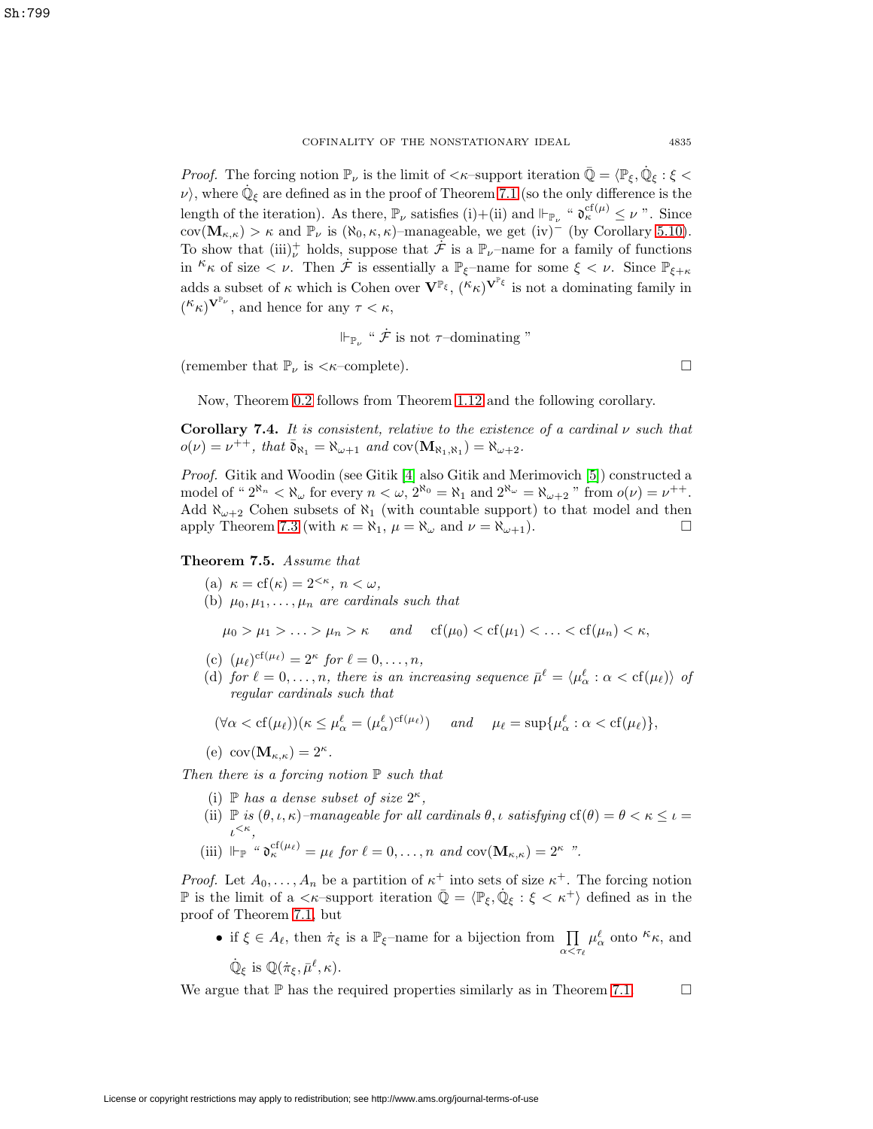*Proof.* The forcing notion  $\mathbb{P}_{\nu}$  is the limit of  $\langle \kappa$ -support iteration  $\mathbb{Q} = \langle \mathbb{P}_{\xi}, \mathbb{Q}_{\xi} : \xi \langle \xi \rangle$  $\nu$ , where  $\dot{\mathbb{Q}}_{\xi}$  are defined as in the proof of Theorem [7.1](#page-20-0) (so the only difference is the length of the iteration). As there,  $\mathbb{P}_{\nu}$  satisfies (i)+(ii) and  $\Vdash_{\mathbb{P}_{\nu}}$  " $\mathfrak{d}_{\kappa}^{\mathrm{cf}(\mu)} \leq \nu$ ". Since cov( $\mathbf{M}_{\kappa,\kappa}$ ) >  $\kappa$  and  $\mathbb{P}_{\nu}$  is ( $\aleph_0, \kappa, \kappa$ )–manageable, we get (iv)<sup>–</sup> (by Corollary [5.10\)](#page-14-1). To show that  $(iii)_{\nu}^+$  holds, suppose that  $\dot{\mathcal{F}}$  is a  $\mathbb{P}_{\nu}$ -name for a family of functions in  ${}^{\kappa}\kappa$  of size  $\lt \nu$ . Then  $\dot{\mathcal{F}}$  is essentially a  $\mathbb{P}_{\xi}$ -name for some  $\xi \lt \nu$ . Since  $\mathbb{P}_{\xi+\kappa}$ adds a subset of  $\kappa$  which is Cohen over  $\mathbf{V}^{\mathbb{P}_{\xi}}$ ,  $({}^{\kappa}\kappa)^{\mathbf{V}^{\mathbb{P}_{\xi}}}$  is not a dominating family in  $({}^{\mathcal{K}}\kappa)^{\mathbf{V}^{\mathbb{P}_{\nu}}},$  and hence for any  $\tau < \kappa$ ,

$$
\Vdash_{\mathbb{P}_{\nu}} \text{``}\mathcal{F} \text{ is not } \tau\text{-dominating''}
$$

(remember that  $\mathbb{P}_{\nu}$  is  $\langle \kappa$ -complete).

Now, Theorem [0.2](#page-1-1) follows from Theorem [1.12](#page-4-0) and the following corollary.

**Corollary 7.4.** It is consistent, relative to the existence of a cardinal  $\nu$  such that  $o(\nu) = \nu^{++}$ , that  $\bar{\mathfrak{d}}_{\aleph_1} = \aleph_{\omega+1}$  and  $\text{cov}(\mathbf{M}_{\aleph_1,\aleph_1}) = \aleph_{\omega+2}$ .

Proof. Gitik and Woodin (see Gitik [\[4\]](#page-23-11) also Gitik and Merimovich [\[5\]](#page-23-12)) constructed a model of " $2^{\aleph_n} < \aleph_\omega$  for every  $n < \omega$ ,  $2^{\aleph_0} = \aleph_1$  and  $2^{\aleph_\omega} = \aleph_{\omega+2}$ " from  $o(\nu) = \nu^{++}$ . Add  $\aleph_{\omega+2}$  Cohen subsets of  $\aleph_1$  (with countable support) to that model and then apply Theorem [7.3](#page-21-1) (with  $\kappa = \aleph_1$ ,  $\mu = \aleph_{\omega}$  and  $\nu = \aleph_{\omega+1}$ ).

### <span id="page-22-0"></span>**Theorem 7.5.** Assume that

- (a)  $\kappa = cf(\kappa) = 2^{<\kappa}, \ n < \omega,$
- (b)  $\mu_0, \mu_1, \ldots, \mu_n$  are cardinals such that

$$
\mu_0 > \mu_1 > \ldots > \mu_n > \kappa
$$
 and  $cf(\mu_0) < cf(\mu_1) < \ldots < cf(\mu_n) < \kappa$ ,

- (c)  $(\mu_{\ell})^{cf(\mu_{\ell})} = 2^{\kappa}$  for  $\ell = 0, \ldots, n$ ,
- (d) for  $\ell = 0, \ldots, n$ , there is an increasing sequence  $\bar{\mu}^{\ell} = \langle \mu_{\alpha}^{\ell} : \alpha < \text{cf}(\mu_{\ell}) \rangle$  of regular cardinals such that

$$
(\forall \alpha < \text{cf}(\mu_\ell)) (\kappa \le \mu_\alpha^\ell = (\mu_\alpha^\ell)^{\text{cf}(\mu_\ell)}) \quad \text{and} \quad \mu_\ell = \sup \{ \mu_\alpha^\ell : \alpha < \text{cf}(\mu_\ell) \},
$$

(e)  $cov(\mathbf{M}_{\kappa,\kappa})=2^{\kappa}$ .

Then there is a forcing notion  $\mathbb P$  such that

- (i)  $\mathbb{P}$  has a dense subset of size  $2^{\kappa}$ ,
- (ii)  $\mathbb P$  is  $(\theta, \iota, \kappa)$ -manageable for all cardinals  $\theta, \iota$  satisfying  $cf(\theta) = \theta < \kappa \leq \iota$  $\iota^{<\kappa},$
- (iii)  $\Vdash_{\mathbb{P}}$  "  $\mathfrak{d}_{\kappa}^{cf(\mu_{\ell})} = \mu_{\ell}$  for  $\ell = 0, \ldots, n$  and  $cov(\mathbf{M}_{\kappa,\kappa}) = 2^{\kappa}$  ".

*Proof.* Let  $A_0, \ldots, A_n$  be a partition of  $\kappa^+$  into sets of size  $\kappa^+$ . The forcing notion P is the limit of a  $\langle \kappa$ -support iteration  $\mathbb{Q} = \langle \mathbb{P}_{\xi}, \mathbb{Q}_{\xi} : \xi \langle \kappa^+ \rangle$  defined as in the proof of Theorem [7.1,](#page-20-0) but

• if  $\xi \in A_{\ell}$ , then  $\dot{\pi}_{\xi}$  is a  $\mathbb{P}_{\xi}$ -name for a bijection from  $\prod$  $\alpha < \tau_\ell$  $\mu_{\alpha}^{\ell}$  onto  $\kappa_{\kappa}$ , and  $\dot{\mathbb{Q}}_{\varepsilon}$  is  $\mathbb{Q}(\dot{\pi}_{\varepsilon}, \bar{\mu}^{\ell}, \kappa).$ 

We argue that  $\mathbb P$  has the required properties similarly as in Theorem [7.1.](#page-20-0)  $\Box$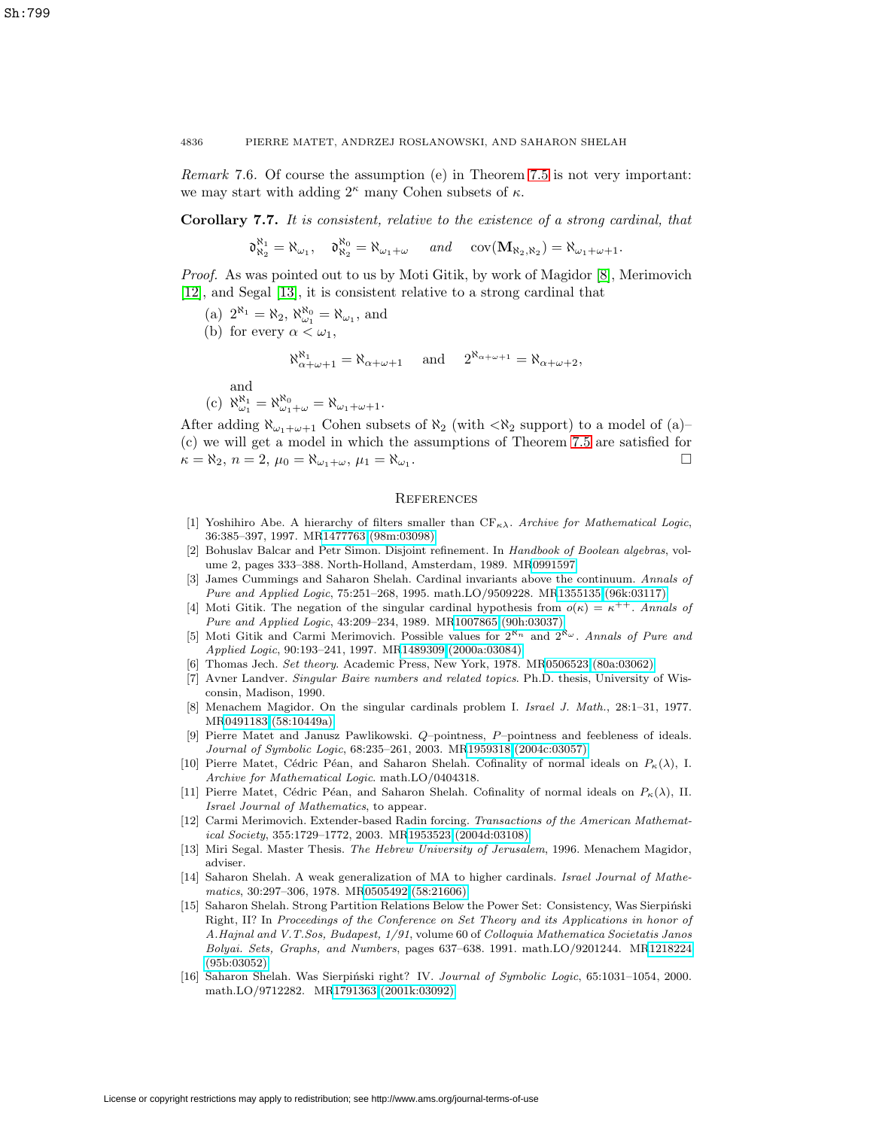Remark 7.6. Of course the assumption (e) in Theorem [7.5](#page-22-0) is not very important: we may start with adding  $2^{\kappa}$  many Cohen subsets of  $\kappa$ .

**Corollary 7.7.** It is consistent, relative to the existence of a strong cardinal, that

$$
\mathfrak{d}_{\aleph_2}^{\aleph_1}=\aleph_{\omega_1},\quad \mathfrak{d}_{\aleph_2}^{\aleph_0}=\aleph_{\omega_1+\omega}\quad\text{ and }\quad \mathrm{cov}(\mathbf{M}_{\aleph_2,\aleph_2})=\aleph_{\omega_1+\omega+1}.
$$

Proof. As was pointed out to us by Moti Gitik, by work of Magidor [\[8\]](#page-23-13), Merimovich [\[12\]](#page-23-14), and Segal [\[13\]](#page-23-15), it is consistent relative to a strong cardinal that

- (a)  $2^{\aleph_1} = \aleph_2$ ,  $\aleph_{\omega_1}^{\aleph_0} = \aleph_{\omega_1}$ , and
- (b) for every  $\alpha < \omega_1$ ,

$$
\aleph_{\alpha+\omega+1}^{\aleph_1} = \aleph_{\alpha+\omega+1} \quad \text{and} \quad 2^{\aleph_{\alpha+\omega+1}} = \aleph_{\alpha+\omega+2},
$$

and

(c) 
$$
\aleph_{\omega_1}^{\aleph_1} = \aleph_{\omega_1 + \omega}^{\aleph_0} = \aleph_{\omega_1 + \omega + 1}
$$
.

After adding  $\aleph_{\omega_1+\omega+1}$  Cohen subsets of  $\aleph_2$  (with  $\lt\aleph_2$  support) to a model of (a)– (c) we will get a model in which the assumptions of Theorem [7.5](#page-22-0) are satisfied for  $\kappa = \aleph_2, n = 2, \mu_0 = \aleph_{\omega_1 + \omega}, \mu_1 = \aleph_{\omega_1}.$  $\Box$ 

## **REFERENCES**

- <span id="page-23-6"></span>[1] Yoshihiro Abe. A hierarchy of filters smaller than  $CF_{\kappa\lambda}$ . Archive for Mathematical Logic, 36:385–397, 1997. M[R1477763 \(98m:03098\)](http://www.ams.org/mathscinet-getitem?mr=1477763)
- <span id="page-23-5"></span><span id="page-23-3"></span>[2] Bohuslav Balcar and Petr Simon. Disjoint refinement. In Handbook of Boolean algebras, volume 2, pages 333–388. North-Holland, Amsterdam, 1989. M[R0991597](http://www.ams.org/mathscinet-getitem?mr=0991597)
- James Cummings and Saharon Shelah. Cardinal invariants above the continuum. Annals of Pure and Applied Logic, 75:251–268, 1995. math.LO/9509228. M[R1355135 \(96k:03117\)](http://www.ams.org/mathscinet-getitem?mr=1355135)
- <span id="page-23-11"></span>[4] Moti Gitik. The negation of the singular cardinal hypothesis from  $o(\kappa) = \kappa^{++}$ . Annals of Pure and Applied Logic, 43:209–234, 1989. M[R1007865 \(90h:03037\)](http://www.ams.org/mathscinet-getitem?mr=1007865)
- <span id="page-23-12"></span>[5] Moti Gitik and Carmi Merimovich. Possible values for  $2^{\aleph_n}$  and  $2^{\aleph_\omega}$ . Annals of Pure and Applied Logic, 90:193–241, 1997. M[R1489309 \(2000a:03084\)](http://www.ams.org/mathscinet-getitem?mr=1489309)
- <span id="page-23-0"></span>[6] Thomas Jech. Set theory. Academic Press, New York, 1978. M[R0506523 \(80a:03062\)](http://www.ams.org/mathscinet-getitem?mr=0506523)
- <span id="page-23-4"></span>[7] Avner Landver. Singular Baire numbers and related topics. Ph.D. thesis, University of Wisconsin, Madison, 1990.
- <span id="page-23-13"></span>[8] Menachem Magidor. On the singular cardinals problem I. Israel J. Math., 28:1–31, 1977. M[R0491183 \(58:10449a\)](http://www.ams.org/mathscinet-getitem?mr=0491183)
- <span id="page-23-2"></span>[9] Pierre Matet and Janusz Pawlikowski. Q–pointness, P–pointness and feebleness of ideals. Journal of Symbolic Logic, 68:235–261, 2003. M[R1959318 \(2004c:03057\)](http://www.ams.org/mathscinet-getitem?mr=1959318)
- <span id="page-23-1"></span>[10] Pierre Matet, Cédric Péan, and Saharon Shelah. Cofinality of normal ideals on  $P_{\kappa}(\lambda)$ , I. Archive for Mathematical Logic. math.LO/0404318.
- <span id="page-23-7"></span>[11] Pierre Matet, Cédric Péan, and Saharon Shelah. Cofinality of normal ideals on  $P_{\kappa}(\lambda)$ , II. Israel Journal of Mathematics, to appear.
- <span id="page-23-14"></span>[12] Carmi Merimovich. Extender-based Radin forcing. Transactions of the American Mathematical Society, 355:1729–1772, 2003. M[R1953523 \(2004d:03108\)](http://www.ams.org/mathscinet-getitem?mr=1953523)
- <span id="page-23-15"></span>[13] Miri Segal. Master Thesis. The Hebrew University of Jerusalem, 1996. Menachem Magidor, adviser.
- <span id="page-23-10"></span>[14] Saharon Shelah. A weak generalization of MA to higher cardinals. Israel Journal of Mathematics, 30:297–306, 1978. M[R0505492 \(58:21606\)](http://www.ams.org/mathscinet-getitem?mr=0505492)
- <span id="page-23-8"></span>[15] Saharon Shelah. Strong Partition Relations Below the Power Set: Consistency, Was Sierpiński Right, II? In Proceedings of the Conference on Set Theory and its Applications in honor of A.Hajnal and V.T.Sos, Budapest, 1/91, volume 60 of Colloquia Mathematica Societatis Janos Bolyai. Sets, Graphs, and Numbers, pages 637–638. 1991. math.LO/9201244. M[R1218224](http://www.ams.org/mathscinet-getitem?mr=1218224) [\(95b:03052\)](http://www.ams.org/mathscinet-getitem?mr=1218224)
- <span id="page-23-9"></span>[16] Saharon Shelah. Was Sierpiński right? IV. Journal of Symbolic Logic, 65:1031-1054, 2000. math.LO/9712282. M[R1791363 \(2001k:03092\)](http://www.ams.org/mathscinet-getitem?mr=1791363)